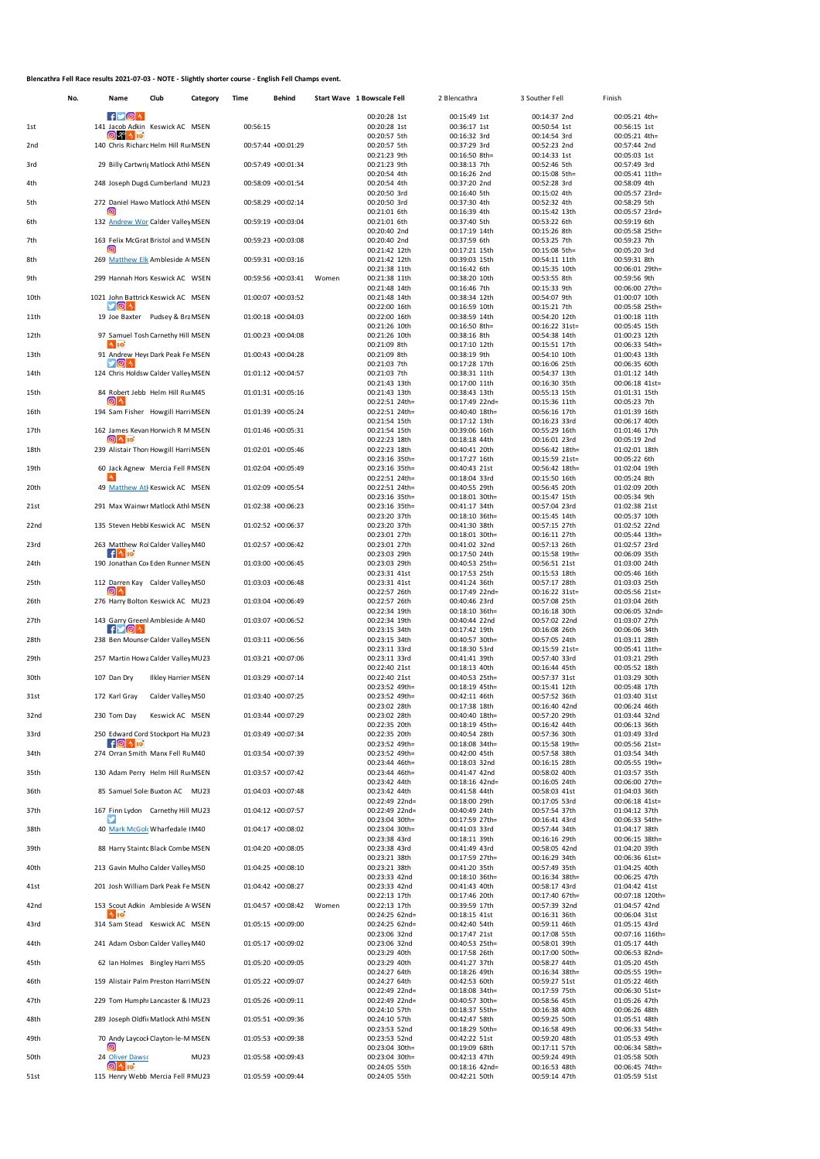## **Blencathra Fell Race results 2021-07-03 - NOTE - Slightly shorter course - English Fell Champs event.**

|                 | No. | Name                                                                | Club                       | Category | Time     | Behind             |       | Start Wave 1 Bowscale Fell       | 2 Blencathra                     | 3 Souther Fell                   | Finish                           |
|-----------------|-----|---------------------------------------------------------------------|----------------------------|----------|----------|--------------------|-------|----------------------------------|----------------------------------|----------------------------------|----------------------------------|
|                 |     | $f$ $\vee$ $\circ$ $\land$                                          |                            |          |          |                    |       | 00:20:28 1st                     | 00:15:49 1st                     | 00:14:37 2nd                     | 00:05:21 4th=                    |
| 1st             |     | 141 Jacob Adkin Keswick AC MSEN<br>$\sim$ 10<br>O K                 |                            |          | 00:56:15 |                    |       | 00:20:28 1st<br>00:20:57 5th     | 00:36:17 1st<br>00:16:32 3rd     | 00:50:54 1st<br>00:14:54 3rd     | 00:56:15 1st<br>00:05:21 4th=    |
| 2 <sub>nd</sub> |     | 140 Chris Richard Helm Hill Ru MSEN                                 |                            |          |          | 00:57:44 +00:01:29 |       | 00:20:57 5th                     | 00:37:29 3rd                     | 00:52:23 2nd                     | 00:57:44 2nd                     |
| 3rd             |     | 29 Billy Cartwrig Matlock Athl MSEN                                 |                            |          |          | 00:57:49 +00:01:34 |       | 00:21:23 9th<br>00:21:23 9th     | 00:16:50 8th=<br>00:38:13 7th    | 00:14:33 1st<br>00:52:46 5th     | 00:05:03 1st<br>00:57:49 3rd     |
|                 |     |                                                                     |                            |          |          |                    |       | 00:20:54 4th                     | 00:16:26 2nd                     | 00:15:08 5th=                    | 00:05:41 11th=                   |
| 4th             |     | 248 Joseph Dugdi Cumberland MU23                                    |                            |          |          | 00:58:09 +00:01:54 |       | 00:20:54 4th<br>00:20:50 3rd     | 00:37:20 2nd<br>00:16:40 5th     | 00:52:28 3rd<br>00:15:02 4th     | 00:58:09 4th<br>00:05:57 23rd=   |
| 5th             |     | 272 Daniel Hawo Matlock Athl MSEN                                   |                            |          |          | 00:58:29 +00:02:14 |       | 00:20:50 3rd                     | 00:37:30 4th                     | 00:52:32 4th                     | 00:58:29 5th                     |
| 6th             |     | (၀)<br>132 Andrew Wor Calder Valley MSEN                            |                            |          |          | 00:59:19 +00:03:04 |       | 00:21:01 6th<br>00:21:01 6th     | 00:16:39 4th<br>00:37:40 5th     | 00:15:42 13th<br>00:53:22 6th    | 00:05:57 23rd=<br>00:59:19 6th   |
|                 |     |                                                                     |                            |          |          |                    |       | 00:20:40 2nd                     | 00:17:19 14th                    | 00:15:26 8th                     | 00:05:58 25th=                   |
| 7th             |     | 163 Felix McGrat Bristol and V MSEN<br>Θ                            |                            |          |          | 00:59:23 +00:03:08 |       | 00:20:40 2nd                     | 00:37:59 6th                     | 00:53:25 7th<br>00:15:08 5th=    | 00:59:23 7th<br>00:05:20 3rd     |
| 8th             |     | 269 Matthew Elk Ambleside A MSEN                                    |                            |          |          | 00:59:31 +00:03:16 |       | 00:21:42 12th<br>00:21:42 12th   | 00:17:21 15th<br>00:39:03 15th   | 00:54:11 11th                    | 00:59:31 8th                     |
|                 |     | 299 Hannah Hors Keswick AC WSEN                                     |                            |          |          |                    |       | 00:21:38 11th                    | 00:16:42 6th                     | 00:15:35 10th                    | 00:06:01 29th=                   |
| 9th             |     |                                                                     |                            |          |          | 00:59:56 +00:03:41 | Women | 00:21:38 11th<br>00:21:48 14th   | 00:38:20 10th<br>00:16:46 7th    | 00:53:55 8th<br>00:15:33 9th     | 00:59:56 9th<br>00:06:00 27th=   |
| 10th            |     | 1021 John Battrick Keswick AC MSEN<br>У⊚]∿                          |                            |          |          | 01:00:07 +00:03:52 |       | 00:21:48 14th                    | 00:38:34 12th                    | 00:54:07 9th                     | 01:00:07 10th                    |
| 11th            |     | 19 Joe Baxter Pudsey & Bra MSEN                                     |                            |          |          | 01:00:18 +00:04:03 |       | 00:22:00 16th<br>00:22:00 16th   | 00:16:59 10th<br>00:38:59 14th   | 00:15:21 7th<br>00:54:20 12th    | 00:05:58 25th=<br>01:00:18 11th  |
|                 |     |                                                                     |                            |          |          |                    |       | 00:21:26 10th                    | 00:16:50 8th=                    | 00:16:22 31st=                   | 00:05:45 15th                    |
| 12th            |     | 97 Samuel Tosh Carnethy Hill MSEN<br>$\sim$ 10                      |                            |          |          | 01:00:23 +00:04:08 |       | 00:21:26 10th<br>00:21:09 8th    | 00:38:16 8th<br>00:17:10 12th    | 00:54:38 14th<br>00:15:51 17th   | 01:00:23 12th<br>00:06:33 54th=  |
| 13th            |     | 91 Andrew Heye Dark Peak Fe MSEN<br>∿וטוע                           |                            |          |          | 01:00:43 +00:04:28 |       | 00:21:09 8th                     | 00:38:19 9th                     | 00:54:10 10th                    | 01:00:43 13th                    |
| 14th            |     | 124 Chris Holdsw Calder Valley MSEN                                 |                            |          |          | 01:01:12 +00:04:57 |       | 00:21:03 7th<br>00:21:03 7th     | 00:17:28 17th<br>00:38:31 11th   | 00:16:06 25th<br>00:54:37 13th   | 00:06:35 60th<br>01:01:12 14th   |
|                 |     |                                                                     |                            |          |          |                    |       | 00:21:43 13th                    | 00:17:00 11th                    | 00:16:30 35th                    | 00:06:18 41st=                   |
| 15th            |     | 84 Robert Jebb Helm Hill Ru M45<br>(ၜ) ^                            |                            |          |          | 01:01:31 +00:05:16 |       | 00:21:43 13th<br>00:22:51 24th=  | 00:38:43 13th<br>00:17:49 22nd=  | 00:55:13 15th<br>00:15:36 11th   | 01:01:31 15th<br>00:05:23 7th    |
| 16th            |     | 194 Sam Fisher Howgill Harri MSEN                                   |                            |          |          | 01:01:39 +00:05:24 |       | 00:22:51 24th=                   | 00:40:40 18th=                   | 00:56:16 17th                    | 01:01:39 16th                    |
| 17th            |     | 162 James Kevan Horwich R M MSEN                                    |                            |          |          | 01:01:46 +00:05:31 |       | 00:21:54 15th<br>00:21:54 15th   | 00:17:12 13th<br>00:39:06 16th   | 00:16:23 33rd<br>00:55:29 16th   | 00:06:17 40th<br>01:01:46 17th   |
|                 |     | $\omega$ and                                                        |                            |          |          |                    |       | 00:22:23 18th                    | 00:18:18 44th                    | 00:16:01 23rd                    | 00:05:19 2nd                     |
| 18th            |     | 239 Alistair Thorr Howgill Harri MSEN                               |                            |          |          | 01:02:01 +00:05:46 |       | 00:22:23 18th<br>00:23:16 35th=  | 00:40:41 20th<br>00:17:27 16th   | 00:56:42 18th=<br>00:15:59 21st= | 01:02:01 18th<br>00:05:22 6th    |
| 19th            |     | 60 Jack Agnew Mercia Fell FMSEN                                     |                            |          |          | 01:02:04 +00:05:49 |       | 00:23:16 35th=                   | 00:40:43 21st                    | 00:56:42 18th=                   | 01:02:04 19th                    |
| 20th            |     | 49 Matthew Atk Keswick AC MSEN                                      |                            |          |          | 01:02:09 +00:05:54 |       | 00:22:51 24th=<br>00:22:51 24th= | 00:18:04 33rd<br>00:40:55 29th   | 00:15:50 16th<br>00:56:45 20th   | 00:05:24 8th<br>01:02:09 20th    |
|                 |     |                                                                     |                            |          |          |                    |       | 00:23:16 35th=                   | 00:18:01 30th=                   | 00:15:47 15th                    | 00:05:34 9th                     |
| 21st            |     | 291 Max Wainwr Matlock Athl MSEN                                    |                            |          |          | 01:02:38 +00:06:23 |       | 00:23:16 35th=<br>00:23:20 37th  | 00:41:17 34th<br>00:18:10 36th=  | 00:57:04 23rd<br>00:15:45 14th   | 01:02:38 21st<br>00:05:37 10th   |
| 22nd            |     | 135 Steven Hebbl Keswick AC MSEN                                    |                            |          |          | 01:02:52 +00:06:37 |       | 00:23:20 37th                    | 00:41:30 38th                    | 00:57:15 27th                    | 01:02:52 22nd                    |
| 23rd            |     | 263 Matthew Rol Calder Valley M40                                   |                            |          |          | 01:02:57 +00:06:42 |       | 00:23:01 27th<br>00:23:01 27th   | 00:18:01 30th=<br>00:41:02 32nd  | 00:16:11 27th<br>00:57:13 26th   | 00:05:44 13th=<br>01:02:57 23rd  |
|                 |     | fI∿l⊠                                                               |                            |          |          |                    |       | 00:23:03 29th                    | 00:17:50 24th                    | 00:15:58 19th=                   | 00:06:09 35th                    |
| 24th            |     | 190 Jonathan Cox Eden Runner MSEN                                   |                            |          |          | 01:03:00 +00:06:45 |       | 00:23:03 29th<br>00:23:31 41st   | 00:40:53 25th=<br>00:17:53 25th  | 00:56:51 21st<br>00:15:53 18th   | 01:03:00 24th<br>00:05:46 16th   |
| 25th            |     | 112 Darren Kay Calder Valley M50                                    |                            |          |          | 01:03:03 +00:06:48 |       | 00:23:31 41st                    | 00:41:24 36th                    | 00:57:17 28th                    | 01:03:03 25th                    |
| 26th            |     | (⊚) ^<br>276 Harry Bolton Keswick AC MU23                           |                            |          |          | 01:03:04 +00:06:49 |       | 00:22:57 26th<br>00:22:57 26th   | 00:17:49 22nd=<br>00:40:46 23rd  | 00:16:22 31st=<br>00:57:08 25th  | 00:05:56 21st=<br>01:03:04 26th  |
|                 |     |                                                                     |                            |          |          |                    |       | 00:22:34 19th                    | 00:18:10 36th=                   | 00:16:18 30th                    | 00:06:05 32nd=                   |
| 27th            |     | 143 Garry Greenł Ambleside A M40<br>$f$ or $\circ$                  |                            |          |          | 01:03:07 +00:06:52 |       | 00:22:34 19th<br>00:23:15 34th   | 00:40:44 22nd<br>00:17:42 19th   | 00:57:02 22nd<br>00:16:08 26th   | 01:03:07 27th<br>00:06:06 34th   |
| 28th            |     | 238 Ben Mounse Calder Valley MSEN                                   |                            |          |          | 01:03:11 +00:06:56 |       | 00:23:15 34th                    | 00:40:57 30th=                   | 00:57:05 24th                    | 01:03:11 28th                    |
| 29th            |     | 257 Martin Howa Calder Valley MU23                                  |                            |          |          | 01:03:21 +00:07:06 |       | 00:23:11 33rd<br>00:23:11 33rd   | 00:18:30 53rd<br>00:41:41 39th   | 00:15:59 21st=<br>00:57:40 33rd  | 00:05:41 11th=<br>01:03:21 29th  |
|                 |     |                                                                     |                            |          |          |                    |       | 00:22:40 21st                    | 00:18:13 40th                    | 00:16:44 45th                    | 00:05:52 18th                    |
| 30th            |     | 107 Dan Dry                                                         | <b>Ilkley Harrier MSEN</b> |          |          | 01:03:29 +00:07:14 |       | 00:22:40 21st<br>00:23:52 49th=  | 00:40:53 25th=<br>00:18:19 45th= | 00:57:37 31st<br>00:15:41 12th   | 01:03:29 30th<br>00:05:48 17th   |
| 31st            |     | 172 Karl Gray                                                       | Calder Valley M50          |          |          | 01:03:40 +00:07:25 |       | 00:23:52 49th=                   | 00:42:11 46th                    | 00:57:52 36th                    | 01:03:40 31st                    |
| 32nd            |     | 230 Tom Day                                                         | Keswick AC MSEN            |          |          | 01:03:44 +00:07:29 |       | 00:23:02 28th<br>00:23:02 28th   | 00:17:38 18th<br>00:40:40 18th=  | 00:16:40 42nd<br>00:57:20 29th   | 00:06:24 46th<br>01:03:44 32nd   |
|                 |     |                                                                     |                            |          |          |                    |       | 00:22:35 20th                    | 00:18:19 45th=                   | 00:16:42 44th                    | 00:06:13 36th                    |
| 33rd            |     | 250 Edward Cord Stockport Ha MU23<br>$f$ $\odot$ $\sim$ $f$ $\odot$ |                            |          |          | 01:03:49 +00:07:34 |       | 00:22:35 20th<br>00:23:52 49th=  | 00:40:54 28th<br>00:18:08 34th=  | 00:57:36 30th<br>00:15:58 19th=  | 01:03:49 33rd<br>00:05:56 21st=  |
| 34th            |     | 274 Orran Smith Manx Fell Rt M40                                    |                            |          |          | 01:03:54 +00:07:39 |       | 00:23:52 49th=                   | 00:42:00 45th                    | 00:57:58 38th                    | 01:03:54 34th                    |
| 35th            |     | 130 Adam Perry Helm Hill Ru MSEN                                    |                            |          |          | 01:03:57 +00:07:42 |       | 00:23:44 46th=<br>00:23:44 46th= | 00:18:03 32nd<br>00:41:47 42nd   | 00:16:15 28th<br>00:58:02 40th   | 00:05:55 19th=<br>01:03:57 35th  |
|                 |     |                                                                     |                            |          |          |                    |       | 00:23:42 44th                    | 00:18:16 42nd=                   | 00:16:05 24th                    | 00:06:00 27th=                   |
| 36th            |     | 85 Samuel Sole: Buxton AC MU23                                      |                            |          |          | 01:04:03 +00:07:48 |       | 00:23:42 44th<br>00:22:49 22nd=  | 00:41:58 44th<br>00:18:00 29th   | 00:58:03 41st<br>00:17:05 53rd   | 01:04:03 36th<br>00:06:18 41st=  |
| 37th            |     | 167 Finn Lydon Carnethy Hill MU23                                   |                            |          |          | 01:04:12 +00:07:57 |       | 00:22:49 22nd=                   | 00:40:49 24th                    | 00:57:54 37th                    | 01:04:12 37th                    |
| 38th            |     | 40 Mark McGol Wharfedale   M40                                      |                            |          |          | 01:04:17 +00:08:02 |       | 00:23:04 30th=<br>00:23:04 30th= | 00:17:59 27th=<br>00:41:03 33rd  | 00:16:41 43rd<br>00:57:44 34th   | 00:06:33 54th=<br>01:04:17 38th  |
|                 |     |                                                                     |                            |          |          |                    |       | 00:23:38 43rd                    | 00:18:11 39th                    | 00:16:16 29th                    | 00:06:15 38th=                   |
| 39th            |     | 88 Harry Staintc Black Combe MSEN                                   |                            |          |          | 01:04:20 +00:08:05 |       | 00:23:38 43rd<br>00:23:21 38th   | 00:41:49 43rd<br>00:17:59 27th=  | 00:58:05 42nd<br>00:16:29 34th   | 01:04:20 39th<br>00:06:36 61st=  |
| 40th            |     | 213 Gavin Mulho Calder Valley M50                                   |                            |          |          | 01:04:25 +00:08:10 |       | 00:23:21 38th                    | 00:41:20 35th                    | 00:57:49 35th                    | 01:04:25 40th                    |
| 41st            |     | 201 Josh William Dark Peak Fe MSEN                                  |                            |          |          | 01:04:42 +00:08:27 |       | 00:23:33 42nd<br>00:23:33 42nd   | 00:18:10 36th=<br>00:41:43 40th  | 00:16:34 38th=<br>00:58:17 43rd  | 00:06:25 47th<br>01:04:42 41st   |
|                 |     |                                                                     |                            |          |          |                    |       | 00:22:13 17th                    | 00:17:46 20th                    | 00:17:40 67th=                   | 00:07:18 120th=                  |
| 42nd            |     | 153 Scout Adkin Ambleside A WSEN<br>$\sim$ 10                       |                            |          |          | 01:04:57 +00:08:42 | Women | 00:22:13 17th<br>00:24:25 62nd=  | 00:39:59 17th<br>00:18:15 41st   | 00:57:39 32nd<br>00:16:31 36th   | 01:04:57 42nd<br>00:06:04 31st   |
| 43rd            |     | 314 Sam Stead Keswick AC MSEN                                       |                            |          |          | 01:05:15 +00:09:00 |       | 00:24:25 62nd=                   | 00:42:40 54th                    | 00:59:11 46th                    | 01:05:15 43rd                    |
| 44th            |     | 241 Adam Osbori Calder Valley M40                                   |                            |          |          | 01:05:17 +00:09:02 |       | 00:23:06 32nd<br>00:23:06 32nd   | 00:17:47 21st<br>00:40:53 25th=  | 00:17:08 55th<br>00:58:01 39th   | 00:07:16 116th=<br>01:05:17 44th |
|                 |     |                                                                     |                            |          |          |                    |       | 00:23:29 40th                    | 00:17:58 26th                    | 00:17:00 50th=                   | 00:06:53 82nd=                   |
| 45th            |     | 62 Ian Holmes Bingley Harri M55                                     |                            |          |          | 01:05:20 +00:09:05 |       | 00:23:29 40th<br>00:24:27 64th   | 00:41:27 37th<br>00:18:26 49th   | 00:58:27 44th<br>00:16:34 38th=  | 01:05:20 45th<br>00:05:55 19th=  |
| 46th            |     | 159 Alistair Palm Preston Harri MSEN                                |                            |          |          | 01:05:22 +00:09:07 |       | 00:24:27 64th                    | 00:42:53 60th                    | 00:59:27 51st                    | 01:05:22 46th                    |
| 47th            |     | 229 Tom Humphr Lancaster & MU23                                     |                            |          |          | 01:05:26 +00:09:11 |       | 00:22:49 22nd=<br>00:22:49 22nd= | 00:18:08 34th=<br>00:40:57 30th= | 00:17:59 75th<br>00:58:56 45th   | 00:06:30 51st=<br>01:05:26 47th  |
|                 |     |                                                                     |                            |          |          |                    |       | 00:24:10 57th                    | 00:18:37 55th=                   | 00:16:38 40th                    | 00:06:26 48th                    |
| 48th            |     | 289 Joseph Oldfic Matlock Athl MSEN                                 |                            |          |          | 01:05:51 +00:09:36 |       | 00:24:10 57th<br>00:23:53 52nd   | 00:42:47 58th<br>00:18:29 50th=  | 00:59:25 50th<br>00:16:58 49th   | 01:05:51 48th<br>00:06:33 54th=  |
| 49th            |     | 70 Andy Laycock Clayton-le-M MSEN                                   |                            |          |          | 01:05:53 +00:09:38 |       | 00:23:53 52nd                    | 00:42:22 51st                    | 00:59:20 48th                    | 01:05:53 49th                    |
| 50th            |     | 0<br>24 Oliver Dawsc                                                |                            | MU23     |          | 01:05:58 +00:09:43 |       | 00:23:04 30th=<br>00:23:04 30th= | 00:19:09 68th<br>00:42:13 47th   | 00:17:11 57th<br>00:59:24 49th   | 00:06:34 58th=<br>01:05:58 50th  |
|                 |     | $\odot$ 4 10                                                        |                            |          |          |                    |       | 00:24:05 55th                    | 00:18:16 42nd=                   | 00:16:53 48th                    | 00:06:45 74th=                   |
| 51st            |     | 115 Henry Webb Mercia Fell F MU23                                   |                            |          |          | 01:05:59 +00:09:44 |       | 00:24:05 55th                    | 00:42:21 50th                    | 00:59:14 47th                    | 01:05:59 51st                    |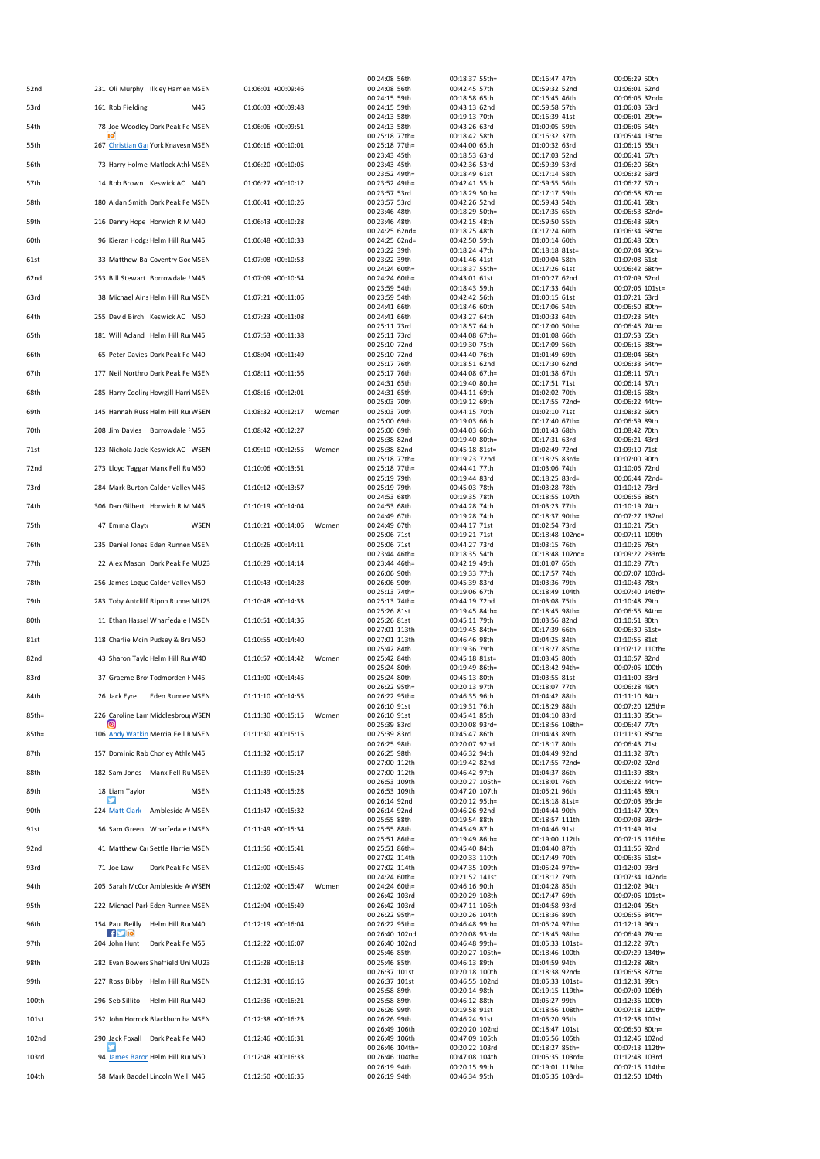| 00:24:08 56th<br>00:16:47 47th<br>00:18:37 55th=<br>00:24:08 56th<br>231 Oli Murphy Ilkley Harrier MSEN<br>01:06:01 +00:09:46<br>00:42:45 57th<br>00:59:32 52nd<br>52nd<br>00:24:15 59th<br>00:18:58 65th<br>00:16:45 46th<br>01:06:03 +00:09:48<br>161 Rob Fielding<br>M45<br>00:24:15 59th<br>00:43:13 62nd<br>00:59:58 57th<br>53rd<br>00:24:13 58th<br>00:19:13 70th<br>00:16:39 41st<br>78 Joe Woodley Dark Peak Fe MSEN<br>01:06:06 +00:09:51<br>00:24:13 58th<br>00:43:26 63rd<br>01:00:05 59th<br>54th<br>00:25:18 77th=<br>00:18:42 58th<br>00:16:32 37th<br>01:06:16 +00:10:01<br>267 Christian Gar York Knavesr MSEN<br>00:25:18 77th=<br>00:44:00 65th<br>01:00:32 63rd<br>55th<br>00:17:03 52nd<br>00:23:43 45th<br>00:18:53 63rd<br>73 Harry Holme: Matlock Athl MSEN<br>01:06:20 +00:10:05<br>00:23:43 45th<br>00:42:36 53rd<br>00:59:39 53rd<br>56th<br>00:23:52 49th=<br>00:18:49 61st<br>00:17:14 58th<br>01:06:27 +00:10:12<br>14 Rob Brown Keswick AC M40<br>00:23:52 49th=<br>00:42:41 55th<br>00:59:55 56th<br>57th<br>00:18:29 50th=<br>00:17:17 59th<br>00:23:57 53rd<br>180 Aidan Smith Dark Peak Fe MSEN<br>01:06:41 +00:10:26<br>00:23:57 53rd<br>00:42:26 52nd<br>00:59:43 54th<br>58th<br>00:23:46 48th<br>00:18:29 50th=<br>00:17:35 65th<br>216 Danny Hope Horwich R M M40<br>01:06:43 +00:10:28<br>00:23:46 48th<br>00:42:15 48th<br>00:59:50 55th<br>59th<br>00:24:25 62nd=<br>00:18:25 48th<br>00:17:24 60th<br>01:06:48 +00:10:33<br>96 Kieran Hodgs Helm Hill Ru M45<br>00:24:25 62nd=<br>60th<br>00:42:50 59th<br>01:00:14 60th<br>00:23:22 39th<br>00:18:24 47th<br>00:18:18 81st=<br>33 Matthew Bal Coventry Got MSEN<br>01:07:08 +00:10:53<br>00:23:22 39th<br>00:41:46 41st<br>01:00:04 58th<br>61st<br>00:24:24 60th=<br>00:18:37 55th=<br>00:17:26 61st<br>253 Bill Stewart Borrowdale IM45<br>01:07:09 +00:10:54<br>62nd<br>00:24:24 60th=<br>00:43:01 61st<br>01:00:27 62nd<br>00:23:59 54th<br>00:17:33 64th<br>00:18:43 59th<br>38 Michael Ains Helm Hill Ru MSEN<br>01:07:21 +00:11:06<br>00:23:59 54th<br>00:42:42 56th<br>01:00:15 61st<br>63rd<br>00:24:41 66th<br>00:18:46 60th<br>00:17:06 54th<br>01:07:23 +00:11:08<br>255 David Birch Keswick AC M50<br>00:43:27 64th<br>01:00:33 64th<br>64th<br>00:24:41 66th<br>00:25:11 73rd<br>00:18:57 64th<br>00:17:00 50th=<br>181 Will Acland Helm Hill Ru M45<br>01:07:53 +00:11:38<br>00:25:11 73rd<br>65th<br>00:44:08 67th=<br>01:01:08 66th<br>00:25:10 72nd<br>00:19:30 75th<br>00:17:09 56th<br>65 Peter Davies Dark Peak Fe M40<br>01:08:04 +00:11:49<br>00:25:10 72nd<br>00:44:40 76th<br>01:01:49 69th<br>66th<br>00:17:30 62nd<br>00:25:17 76th<br>00:18:51 62nd<br>177 Neil Northroj Dark Peak Fe MSEN<br>67th<br>01:08:11 +00:11:56<br>00:25:17 76th<br>00:44:08 67th=<br>01:01:38 67th<br>00:24:31 65th<br>00:19:40 80th=<br>00:17:51 71st<br>01:08:16 +00:12:01<br>285 Harry Cooling Howgill Harri MSEN<br>00:24:31 65th<br>00:44:11 69th<br>01:02:02 70th<br>68th<br>00:25:03 70th<br>00:19:12 69th<br>00:17:55 72nd=<br>145 Hannah Russ Helm Hill Ru WSEN<br>01:08:32 +00:12:17<br>Women<br>00:25:03 70th<br>00:44:15 70th<br>01:02:10 71st<br>69th<br>00:25:00 69th<br>00:19:03 66th<br>00:17:40 67th=<br>01:08:42 +00:12:27<br>208 Jim Davies Borrowdale IM55<br>70th<br>00:25:00 69th<br>00:44:03 66th<br>01:01:43 68th<br>00:25:38 82nd<br>00:19:40 80th=<br>00:17:31 63rd<br>123 Nichola Jacks Keswick AC WSEN<br>01:09:10 +00:12:55<br>Women<br>00:25:38 82nd<br>00:45:18 81st=<br>01:02:49 72nd<br>71st<br>00:25:18 77th=<br>00:19:23 72nd<br>00:18:25 83rd=<br>273 Lloyd Taggar Manx Fell Rt M50<br>01:10:06 +00:13:51<br>72nd<br>00:25:18 77th=<br>00:44:41 77th<br>01:03:06 74th<br>00:25:19 79th<br>00:19:44 83rd<br>00:18:25 83rd=<br>284 Mark Burton Calder Valley M45<br>73rd<br>01:10:12 +00:13:57<br>00:25:19 79th<br>00:45:03 78th<br>01:03:28 78th<br>00:24:53 68th<br>00:19:35 78th<br>00:18:55 107th<br>306 Dan Gilbert Horwich R M M45<br>01:10:19 +00:14:04<br>00:24:53 68th<br>01:03:23 77th<br>74th<br>00:44:28 74th<br>00:24:49 67th<br>00:19:28 74th<br>00:18:37 90th=<br>47 Emma Clayto<br>WSEN<br>01:10:21 +00:14:06<br>00:24:49 67th<br>01:02:54 73rd<br>75th<br>Women<br>00:44:17 71st<br>00:25:06 71st<br>00:18:48 102nd=<br>00:19:21 71st<br>235 Daniel Jones Eden Runner MSEN<br>01:10:26 +00:14:11<br>00:25:06 71st<br>00:44:27 73rd<br>01:03:15 76th<br>76th<br>00:18:48 102nd=<br>00:23:44 46th=<br>00:18:35 54th<br>22 Alex Mason Dark Peak Fe MU23<br>01:10:29 +00:14:14<br>77th<br>00:23:44 46th=<br>00:42:19 49th<br>01:01:07 65th<br>00:26:06 90th<br>00:19:33 77th<br>00:17:57 74th<br>256 James Logue Calder Valley M50<br>01:10:43 +00:14:28<br>00:26:06 90th<br>00:45:39 83rd<br>01:03:36 79th<br>78th<br>00:25:13 74th=<br>00:19:06 67th<br>00:18:49 104th<br>283 Toby Antcliff Ripon Runne MU23<br>01:10:48 +00:14:33<br>00:25:13 74th=<br>01:03:08 75th<br>79th<br>00:44:19 72nd<br>00:25:26 81st<br>00:19:45 84th=<br>00:18:45 98th=<br>11 Ethan Hassel Wharfedale   MSEN<br>01:10:51 +00:14:36<br>00:25:26 81st<br>00:45:11 79th<br>01:03:56 82nd<br>80th<br>00:27:01 113th<br>00:19:45 84th=<br>00:17:39 66th<br>118 Charlie Mcint Pudsey & Bra M50<br>01:10:55 +00:14:40<br>00:27:01 113th<br>00:46:46 98th<br>01:04:25 84th<br>81st<br>00:25:42 84th<br>00:19:36 79th<br>00:18:27 85th=<br>43 Sharon Taylo Helm Hill Ru W40<br>82nd<br>01:10:57 +00:14:42<br>Women<br>00:25:42 84th<br>00:45:18 81st=<br>01:03:45 80th<br>00:25:24 80th<br>00:19:49 86th=<br>00:18:42 94th=<br>37 Graeme Brov Todmorden I M45<br>01:11:00 +00:14:45<br>00:25:24 80th<br>00:45:13 80th<br>01:03:55 81st<br>83rd<br>00:26:22 95th=<br>00:20:13 97th<br>00:18:07 77th<br>Eden Runner MSEN<br>01:11:10 +00:14:55<br>00:26:22 95th=<br>00:46:35 96th<br>01:04:42 88th<br>84th<br>26 Jack Eyre<br>00:26:10 91st<br>00:19:31 76th<br>00:18:29 88th<br>226 Caroline Lam Middlesbrou WSEN<br>01:11:30 +00:15:15<br>Women<br>00:26:10 91st<br>00:45:41 85th<br>01:04:10 83rd<br>85th=<br>[ල<br>00:25:39 83rd<br>00:20:08 93rd=<br>00:18:56 108th=<br>106 Andy Watkin Mercia Fell F MSEN<br>01:11:30 +00:15:15<br>00:25:39 83rd<br>00:45:47 86th<br>01:04:43 89th<br>85th=<br>00:26:25 98th<br>00:20:07 92nd<br>00:18:17 80th<br>157 Dominic Rab Chorley Athle M45<br>01:11:32 +00:15:17<br>00:26:25 98th<br>00:46:32 94th<br>01:04:49 92nd<br>87th<br>00:27:00 112th<br>00:19:42 82nd<br>00:17:55 72nd=<br>182 Sam Jones Manx Fell RL MSEN<br>01:11:39 +00:15:24<br>00:27:00 112th<br>00:46:42 97th<br>01:04:37 86th<br>88th<br>00:26:53 109th<br>00:20:27 105th=<br>00:18:01 76th<br>18 Liam Taylor<br>01:11:43 +00:15:28<br>00:26:53 109th<br>00:47:20 107th<br>01:05:21 96th<br>89th<br>MSEN<br>00:26:14 92nd<br>00:20:12 95th=<br>00:18:18 81st=<br>224 Matt Clark Ambleside A MSEN<br>01:11:47 +00:15:32<br>00:26:14 92nd<br>00:46:26 92nd<br>01:04:44 90th<br>90th<br>00:25:55 88th<br>00:19:54 88th<br>00:18:57 111th<br>01:11:49 +00:15:34<br>91st<br>56 Sam Green Wharfedale   MSEN<br>00:25:55 88th<br>00:45:49 87th<br>01:04:46 91st<br>00:19:00 112th<br>00:25:51 86th=<br>00:19:49 86th=<br>41 Matthew Car Settle Harrie MSEN<br>92nd<br>01:11:56 +00:15:41<br>00:25:51 86th=<br>00:45:40 84th<br>01:04:40 87th<br>00:27:02 114th<br>00:20:33 110th<br>00:17:49 70th<br>01:12:00 +00:15:45<br>Dark Peak Fe MSEN<br>00:47:35 109th<br>01:05:24 97th=<br>93rd<br>71 Joe Law<br>00:27:02 114th<br>00:24:24 60th=<br>00:21:52 141st<br>00:18:12 79th<br>205 Sarah McCor Ambleside A WSEN<br>01:12:02 +00:15:47<br>94th<br>Women<br>00:24:24 60th=<br>00:46:16 90th<br>01:04:28 85th<br>00:26:42 103rd<br>00:20:29 108th<br>00:17:47 69th<br>222 Michael Park Eden Runner MSEN<br>01:12:04 +00:15:49<br>00:26:42 103rd<br>00:47:11 106th<br>01:04:58 93rd<br>95th<br>00:26:22 95th=<br>00:20:26 104th<br>00:18:36 89th<br>154 Paul Reilly Helm Hill Ru M40<br>01:12:19 +00:16:04<br>96th<br>00:26:22 95th=<br>00:46:48 99th=<br>01:05:24 97th=<br>$f$ $\blacksquare$ 10<br>00:26:40 102nd<br>00:20:08 93rd=<br>00:18:45 98th=<br>01:12:22 +00:16:07<br>97th<br>204 John Hunt<br>Dark Peak Fe M55<br>00:26:40 102nd<br>00:46:48 99th=<br>01:05:33 101st=<br>00:25:46 85th<br>00:20:27 105th=<br>00:18:46 100th<br>282 Evan Bowers Sheffield Uni MU23<br>01:12:28 +00:16:13<br>00:25:46 85th<br>01:04:59 94th<br>98th<br>00:46:13 89th<br>00:26:37 101st<br>00:20:18 100th<br>00:18:38 92nd=<br>227 Ross Bibby Helm Hill Ru MSEN<br>01:12:31 +00:16:16<br>99th<br>00:26:37 101st<br>00:46:55 102nd<br>01:05:33 101st=<br>00:25:58 89th<br>00:20:14 98th<br>00:19:15 119th=<br>296 Seb Sillito<br>Helm Hill Ru M40<br>01:12:36 +00:16:21<br>00:25:58 89th<br>00:46:12 88th<br>01:05:27 99th<br>100th<br>00:18:56 108th=<br>00:26:26 99th<br>00:19:58 91st<br>252 John Horrock Blackburn ha MSEN<br>01:12:38 +00:16:23<br>101st<br>00:26:26 99th<br>00:46:24 91st<br>01:05:20 95th<br>00:26:49 106th<br>00:20:20 102nd<br>00:18:47 101st<br>290 Jack Foxall Dark Peak Fe M40<br>01:12:46 +00:16:31<br>00:26:49 106th<br>00:47:09 105th<br>01:05:56 105th<br>102nd<br>00:26:46 104th=<br>00:20:22 103rd<br>00:18:27 85th=<br>94 James Baron Helm Hill Ru M50<br>103rd<br>01:12:48 +00:16:33<br>00:26:46 104th=<br>00:47:08 104th<br>01:05:35 103rd=<br>00:26:19 94th<br>00:20:15 99th<br>00:19:01 113th=<br>104th<br>58 Mark Baddel Lincoln Welli M45<br>01:12:50 +00:16:35<br>00:26:19 94th<br>00:46:34 95th<br>01:05:35 103rd= |  |  |  |                                   |
|----------------------------------------------------------------------------------------------------------------------------------------------------------------------------------------------------------------------------------------------------------------------------------------------------------------------------------------------------------------------------------------------------------------------------------------------------------------------------------------------------------------------------------------------------------------------------------------------------------------------------------------------------------------------------------------------------------------------------------------------------------------------------------------------------------------------------------------------------------------------------------------------------------------------------------------------------------------------------------------------------------------------------------------------------------------------------------------------------------------------------------------------------------------------------------------------------------------------------------------------------------------------------------------------------------------------------------------------------------------------------------------------------------------------------------------------------------------------------------------------------------------------------------------------------------------------------------------------------------------------------------------------------------------------------------------------------------------------------------------------------------------------------------------------------------------------------------------------------------------------------------------------------------------------------------------------------------------------------------------------------------------------------------------------------------------------------------------------------------------------------------------------------------------------------------------------------------------------------------------------------------------------------------------------------------------------------------------------------------------------------------------------------------------------------------------------------------------------------------------------------------------------------------------------------------------------------------------------------------------------------------------------------------------------------------------------------------------------------------------------------------------------------------------------------------------------------------------------------------------------------------------------------------------------------------------------------------------------------------------------------------------------------------------------------------------------------------------------------------------------------------------------------------------------------------------------------------------------------------------------------------------------------------------------------------------------------------------------------------------------------------------------------------------------------------------------------------------------------------------------------------------------------------------------------------------------------------------------------------------------------------------------------------------------------------------------------------------------------------------------------------------------------------------------------------------------------------------------------------------------------------------------------------------------------------------------------------------------------------------------------------------------------------------------------------------------------------------------------------------------------------------------------------------------------------------------------------------------------------------------------------------------------------------------------------------------------------------------------------------------------------------------------------------------------------------------------------------------------------------------------------------------------------------------------------------------------------------------------------------------------------------------------------------------------------------------------------------------------------------------------------------------------------------------------------------------------------------------------------------------------------------------------------------------------------------------------------------------------------------------------------------------------------------------------------------------------------------------------------------------------------------------------------------------------------------------------------------------------------------------------------------------------------------------------------------------------------------------------------------------------------------------------------------------------------------------------------------------------------------------------------------------------------------------------------------------------------------------------------------------------------------------------------------------------------------------------------------------------------------------------------------------------------------------------------------------------------------------------------------------------------------------------------------------------------------------------------------------------------------------------------------------------------------------------------------------------------------------------------------------------------------------------------------------------------------------------------------------------------------------------------------------------------------------------------------------------------------------------------------------------------------------------------------------------------------------------------------------------------------------------------------------------------------------------------------------------------------------------------------------------------------------------------------------------------------------------------------------------------------------------------------------------------------------------------------------------------------------------------------------------------------------------------------------------------------------------------------------------------------------------------------------------------------------------------------------------------------------------------------------------------------------------------------------------------------------------------------------------------------------------------------------------------------------------------------------------------------------------------------------------------------------------------------------------------------------------------------------------------------------------------------------------------------------------------------------------------------------------------------------------------------------------------------------------------------------------------------------------------------------------------------------------------------------------------------------------------------------------------------------------------------------------------------------------------------------------------------------------------------------------------------------------------------------------------------------------------------------------------------------------------------------------------------------------------------------------------------------------------------------------------------------------------------------------------------------------------------------------------------------------------------------------------------------------------------------------------------------------------------------------------------------------------------------------------------------------------------------------------------------------------------------------------------------------------------------------------------------------------------------------------------------------------------------------------------------------------------------------------------------------------------------------------------------------------------------------------------------------------------------------------------------------------------------------------------------------------------------------------------------------------------------------------------------------------------------------------------------------------------------------------------------------------------------------------------------------------------------------------------------------------------------------------------------------------------------------------------------------------|--|--|--|-----------------------------------|
|                                                                                                                                                                                                                                                                                                                                                                                                                                                                                                                                                                                                                                                                                                                                                                                                                                                                                                                                                                                                                                                                                                                                                                                                                                                                                                                                                                                                                                                                                                                                                                                                                                                                                                                                                                                                                                                                                                                                                                                                                                                                                                                                                                                                                                                                                                                                                                                                                                                                                                                                                                                                                                                                                                                                                                                                                                                                                                                                                                                                                                                                                                                                                                                                                                                                                                                                                                                                                                                                                                                                                                                                                                                                                                                                                                                                                                                                                                                                                                                                                                                                                                                                                                                                                                                                                                                                                                                                                                                                                                                                                                                                                                                                                                                                                                                                                                                                                                                                                                                                                                                                                                                                                                                                                                                                                                                                                                                                                                                                                                                                                                                                                                                                                                                                                                                                                                                                                                                                                                                                                                                                                                                                                                                                                                                                                                                                                                                                                                                                                                                                                                                                                                                                                                                                                                                                                                                                                                                                                                                                                                                                                                                                                                                                                                                                                                                                                                                                                                                                                                                                                                                                                                                                                                                                                                                                                                                                                                                                                                                                                                                                                                                                                                                                                                                                                                                                                                                                                                                                                                                                                                                                                                                                                                                                                                                                                                                                                                                                                                                                                                                                                                                                                                                                                                                                                                                                                                                                                                                                                  |  |  |  | 00:06:29 50th<br>01:06:01 52nd    |
|                                                                                                                                                                                                                                                                                                                                                                                                                                                                                                                                                                                                                                                                                                                                                                                                                                                                                                                                                                                                                                                                                                                                                                                                                                                                                                                                                                                                                                                                                                                                                                                                                                                                                                                                                                                                                                                                                                                                                                                                                                                                                                                                                                                                                                                                                                                                                                                                                                                                                                                                                                                                                                                                                                                                                                                                                                                                                                                                                                                                                                                                                                                                                                                                                                                                                                                                                                                                                                                                                                                                                                                                                                                                                                                                                                                                                                                                                                                                                                                                                                                                                                                                                                                                                                                                                                                                                                                                                                                                                                                                                                                                                                                                                                                                                                                                                                                                                                                                                                                                                                                                                                                                                                                                                                                                                                                                                                                                                                                                                                                                                                                                                                                                                                                                                                                                                                                                                                                                                                                                                                                                                                                                                                                                                                                                                                                                                                                                                                                                                                                                                                                                                                                                                                                                                                                                                                                                                                                                                                                                                                                                                                                                                                                                                                                                                                                                                                                                                                                                                                                                                                                                                                                                                                                                                                                                                                                                                                                                                                                                                                                                                                                                                                                                                                                                                                                                                                                                                                                                                                                                                                                                                                                                                                                                                                                                                                                                                                                                                                                                                                                                                                                                                                                                                                                                                                                                                                                                                                                                                  |  |  |  | 00:06:05 32nd=                    |
|                                                                                                                                                                                                                                                                                                                                                                                                                                                                                                                                                                                                                                                                                                                                                                                                                                                                                                                                                                                                                                                                                                                                                                                                                                                                                                                                                                                                                                                                                                                                                                                                                                                                                                                                                                                                                                                                                                                                                                                                                                                                                                                                                                                                                                                                                                                                                                                                                                                                                                                                                                                                                                                                                                                                                                                                                                                                                                                                                                                                                                                                                                                                                                                                                                                                                                                                                                                                                                                                                                                                                                                                                                                                                                                                                                                                                                                                                                                                                                                                                                                                                                                                                                                                                                                                                                                                                                                                                                                                                                                                                                                                                                                                                                                                                                                                                                                                                                                                                                                                                                                                                                                                                                                                                                                                                                                                                                                                                                                                                                                                                                                                                                                                                                                                                                                                                                                                                                                                                                                                                                                                                                                                                                                                                                                                                                                                                                                                                                                                                                                                                                                                                                                                                                                                                                                                                                                                                                                                                                                                                                                                                                                                                                                                                                                                                                                                                                                                                                                                                                                                                                                                                                                                                                                                                                                                                                                                                                                                                                                                                                                                                                                                                                                                                                                                                                                                                                                                                                                                                                                                                                                                                                                                                                                                                                                                                                                                                                                                                                                                                                                                                                                                                                                                                                                                                                                                                                                                                                                                                  |  |  |  | 01:06:03 53rd                     |
|                                                                                                                                                                                                                                                                                                                                                                                                                                                                                                                                                                                                                                                                                                                                                                                                                                                                                                                                                                                                                                                                                                                                                                                                                                                                                                                                                                                                                                                                                                                                                                                                                                                                                                                                                                                                                                                                                                                                                                                                                                                                                                                                                                                                                                                                                                                                                                                                                                                                                                                                                                                                                                                                                                                                                                                                                                                                                                                                                                                                                                                                                                                                                                                                                                                                                                                                                                                                                                                                                                                                                                                                                                                                                                                                                                                                                                                                                                                                                                                                                                                                                                                                                                                                                                                                                                                                                                                                                                                                                                                                                                                                                                                                                                                                                                                                                                                                                                                                                                                                                                                                                                                                                                                                                                                                                                                                                                                                                                                                                                                                                                                                                                                                                                                                                                                                                                                                                                                                                                                                                                                                                                                                                                                                                                                                                                                                                                                                                                                                                                                                                                                                                                                                                                                                                                                                                                                                                                                                                                                                                                                                                                                                                                                                                                                                                                                                                                                                                                                                                                                                                                                                                                                                                                                                                                                                                                                                                                                                                                                                                                                                                                                                                                                                                                                                                                                                                                                                                                                                                                                                                                                                                                                                                                                                                                                                                                                                                                                                                                                                                                                                                                                                                                                                                                                                                                                                                                                                                                                                                  |  |  |  | 00:06:01 29th=<br>01:06:06 54th   |
|                                                                                                                                                                                                                                                                                                                                                                                                                                                                                                                                                                                                                                                                                                                                                                                                                                                                                                                                                                                                                                                                                                                                                                                                                                                                                                                                                                                                                                                                                                                                                                                                                                                                                                                                                                                                                                                                                                                                                                                                                                                                                                                                                                                                                                                                                                                                                                                                                                                                                                                                                                                                                                                                                                                                                                                                                                                                                                                                                                                                                                                                                                                                                                                                                                                                                                                                                                                                                                                                                                                                                                                                                                                                                                                                                                                                                                                                                                                                                                                                                                                                                                                                                                                                                                                                                                                                                                                                                                                                                                                                                                                                                                                                                                                                                                                                                                                                                                                                                                                                                                                                                                                                                                                                                                                                                                                                                                                                                                                                                                                                                                                                                                                                                                                                                                                                                                                                                                                                                                                                                                                                                                                                                                                                                                                                                                                                                                                                                                                                                                                                                                                                                                                                                                                                                                                                                                                                                                                                                                                                                                                                                                                                                                                                                                                                                                                                                                                                                                                                                                                                                                                                                                                                                                                                                                                                                                                                                                                                                                                                                                                                                                                                                                                                                                                                                                                                                                                                                                                                                                                                                                                                                                                                                                                                                                                                                                                                                                                                                                                                                                                                                                                                                                                                                                                                                                                                                                                                                                                                                  |  |  |  | 00:05:44 13th=                    |
|                                                                                                                                                                                                                                                                                                                                                                                                                                                                                                                                                                                                                                                                                                                                                                                                                                                                                                                                                                                                                                                                                                                                                                                                                                                                                                                                                                                                                                                                                                                                                                                                                                                                                                                                                                                                                                                                                                                                                                                                                                                                                                                                                                                                                                                                                                                                                                                                                                                                                                                                                                                                                                                                                                                                                                                                                                                                                                                                                                                                                                                                                                                                                                                                                                                                                                                                                                                                                                                                                                                                                                                                                                                                                                                                                                                                                                                                                                                                                                                                                                                                                                                                                                                                                                                                                                                                                                                                                                                                                                                                                                                                                                                                                                                                                                                                                                                                                                                                                                                                                                                                                                                                                                                                                                                                                                                                                                                                                                                                                                                                                                                                                                                                                                                                                                                                                                                                                                                                                                                                                                                                                                                                                                                                                                                                                                                                                                                                                                                                                                                                                                                                                                                                                                                                                                                                                                                                                                                                                                                                                                                                                                                                                                                                                                                                                                                                                                                                                                                                                                                                                                                                                                                                                                                                                                                                                                                                                                                                                                                                                                                                                                                                                                                                                                                                                                                                                                                                                                                                                                                                                                                                                                                                                                                                                                                                                                                                                                                                                                                                                                                                                                                                                                                                                                                                                                                                                                                                                                                                                  |  |  |  | 01:06:16 55th<br>00:06:41 67th    |
|                                                                                                                                                                                                                                                                                                                                                                                                                                                                                                                                                                                                                                                                                                                                                                                                                                                                                                                                                                                                                                                                                                                                                                                                                                                                                                                                                                                                                                                                                                                                                                                                                                                                                                                                                                                                                                                                                                                                                                                                                                                                                                                                                                                                                                                                                                                                                                                                                                                                                                                                                                                                                                                                                                                                                                                                                                                                                                                                                                                                                                                                                                                                                                                                                                                                                                                                                                                                                                                                                                                                                                                                                                                                                                                                                                                                                                                                                                                                                                                                                                                                                                                                                                                                                                                                                                                                                                                                                                                                                                                                                                                                                                                                                                                                                                                                                                                                                                                                                                                                                                                                                                                                                                                                                                                                                                                                                                                                                                                                                                                                                                                                                                                                                                                                                                                                                                                                                                                                                                                                                                                                                                                                                                                                                                                                                                                                                                                                                                                                                                                                                                                                                                                                                                                                                                                                                                                                                                                                                                                                                                                                                                                                                                                                                                                                                                                                                                                                                                                                                                                                                                                                                                                                                                                                                                                                                                                                                                                                                                                                                                                                                                                                                                                                                                                                                                                                                                                                                                                                                                                                                                                                                                                                                                                                                                                                                                                                                                                                                                                                                                                                                                                                                                                                                                                                                                                                                                                                                                                                                  |  |  |  | 01:06:20 56th                     |
|                                                                                                                                                                                                                                                                                                                                                                                                                                                                                                                                                                                                                                                                                                                                                                                                                                                                                                                                                                                                                                                                                                                                                                                                                                                                                                                                                                                                                                                                                                                                                                                                                                                                                                                                                                                                                                                                                                                                                                                                                                                                                                                                                                                                                                                                                                                                                                                                                                                                                                                                                                                                                                                                                                                                                                                                                                                                                                                                                                                                                                                                                                                                                                                                                                                                                                                                                                                                                                                                                                                                                                                                                                                                                                                                                                                                                                                                                                                                                                                                                                                                                                                                                                                                                                                                                                                                                                                                                                                                                                                                                                                                                                                                                                                                                                                                                                                                                                                                                                                                                                                                                                                                                                                                                                                                                                                                                                                                                                                                                                                                                                                                                                                                                                                                                                                                                                                                                                                                                                                                                                                                                                                                                                                                                                                                                                                                                                                                                                                                                                                                                                                                                                                                                                                                                                                                                                                                                                                                                                                                                                                                                                                                                                                                                                                                                                                                                                                                                                                                                                                                                                                                                                                                                                                                                                                                                                                                                                                                                                                                                                                                                                                                                                                                                                                                                                                                                                                                                                                                                                                                                                                                                                                                                                                                                                                                                                                                                                                                                                                                                                                                                                                                                                                                                                                                                                                                                                                                                                                                                  |  |  |  | 00:06:32 53rd                     |
|                                                                                                                                                                                                                                                                                                                                                                                                                                                                                                                                                                                                                                                                                                                                                                                                                                                                                                                                                                                                                                                                                                                                                                                                                                                                                                                                                                                                                                                                                                                                                                                                                                                                                                                                                                                                                                                                                                                                                                                                                                                                                                                                                                                                                                                                                                                                                                                                                                                                                                                                                                                                                                                                                                                                                                                                                                                                                                                                                                                                                                                                                                                                                                                                                                                                                                                                                                                                                                                                                                                                                                                                                                                                                                                                                                                                                                                                                                                                                                                                                                                                                                                                                                                                                                                                                                                                                                                                                                                                                                                                                                                                                                                                                                                                                                                                                                                                                                                                                                                                                                                                                                                                                                                                                                                                                                                                                                                                                                                                                                                                                                                                                                                                                                                                                                                                                                                                                                                                                                                                                                                                                                                                                                                                                                                                                                                                                                                                                                                                                                                                                                                                                                                                                                                                                                                                                                                                                                                                                                                                                                                                                                                                                                                                                                                                                                                                                                                                                                                                                                                                                                                                                                                                                                                                                                                                                                                                                                                                                                                                                                                                                                                                                                                                                                                                                                                                                                                                                                                                                                                                                                                                                                                                                                                                                                                                                                                                                                                                                                                                                                                                                                                                                                                                                                                                                                                                                                                                                                                                                  |  |  |  | 01:06:27 57th<br>00:06:58 87th=   |
|                                                                                                                                                                                                                                                                                                                                                                                                                                                                                                                                                                                                                                                                                                                                                                                                                                                                                                                                                                                                                                                                                                                                                                                                                                                                                                                                                                                                                                                                                                                                                                                                                                                                                                                                                                                                                                                                                                                                                                                                                                                                                                                                                                                                                                                                                                                                                                                                                                                                                                                                                                                                                                                                                                                                                                                                                                                                                                                                                                                                                                                                                                                                                                                                                                                                                                                                                                                                                                                                                                                                                                                                                                                                                                                                                                                                                                                                                                                                                                                                                                                                                                                                                                                                                                                                                                                                                                                                                                                                                                                                                                                                                                                                                                                                                                                                                                                                                                                                                                                                                                                                                                                                                                                                                                                                                                                                                                                                                                                                                                                                                                                                                                                                                                                                                                                                                                                                                                                                                                                                                                                                                                                                                                                                                                                                                                                                                                                                                                                                                                                                                                                                                                                                                                                                                                                                                                                                                                                                                                                                                                                                                                                                                                                                                                                                                                                                                                                                                                                                                                                                                                                                                                                                                                                                                                                                                                                                                                                                                                                                                                                                                                                                                                                                                                                                                                                                                                                                                                                                                                                                                                                                                                                                                                                                                                                                                                                                                                                                                                                                                                                                                                                                                                                                                                                                                                                                                                                                                                                                                  |  |  |  | 01:06:41 58th                     |
|                                                                                                                                                                                                                                                                                                                                                                                                                                                                                                                                                                                                                                                                                                                                                                                                                                                                                                                                                                                                                                                                                                                                                                                                                                                                                                                                                                                                                                                                                                                                                                                                                                                                                                                                                                                                                                                                                                                                                                                                                                                                                                                                                                                                                                                                                                                                                                                                                                                                                                                                                                                                                                                                                                                                                                                                                                                                                                                                                                                                                                                                                                                                                                                                                                                                                                                                                                                                                                                                                                                                                                                                                                                                                                                                                                                                                                                                                                                                                                                                                                                                                                                                                                                                                                                                                                                                                                                                                                                                                                                                                                                                                                                                                                                                                                                                                                                                                                                                                                                                                                                                                                                                                                                                                                                                                                                                                                                                                                                                                                                                                                                                                                                                                                                                                                                                                                                                                                                                                                                                                                                                                                                                                                                                                                                                                                                                                                                                                                                                                                                                                                                                                                                                                                                                                                                                                                                                                                                                                                                                                                                                                                                                                                                                                                                                                                                                                                                                                                                                                                                                                                                                                                                                                                                                                                                                                                                                                                                                                                                                                                                                                                                                                                                                                                                                                                                                                                                                                                                                                                                                                                                                                                                                                                                                                                                                                                                                                                                                                                                                                                                                                                                                                                                                                                                                                                                                                                                                                                                                                  |  |  |  | 00:06:53 82nd=<br>01:06:43 59th   |
|                                                                                                                                                                                                                                                                                                                                                                                                                                                                                                                                                                                                                                                                                                                                                                                                                                                                                                                                                                                                                                                                                                                                                                                                                                                                                                                                                                                                                                                                                                                                                                                                                                                                                                                                                                                                                                                                                                                                                                                                                                                                                                                                                                                                                                                                                                                                                                                                                                                                                                                                                                                                                                                                                                                                                                                                                                                                                                                                                                                                                                                                                                                                                                                                                                                                                                                                                                                                                                                                                                                                                                                                                                                                                                                                                                                                                                                                                                                                                                                                                                                                                                                                                                                                                                                                                                                                                                                                                                                                                                                                                                                                                                                                                                                                                                                                                                                                                                                                                                                                                                                                                                                                                                                                                                                                                                                                                                                                                                                                                                                                                                                                                                                                                                                                                                                                                                                                                                                                                                                                                                                                                                                                                                                                                                                                                                                                                                                                                                                                                                                                                                                                                                                                                                                                                                                                                                                                                                                                                                                                                                                                                                                                                                                                                                                                                                                                                                                                                                                                                                                                                                                                                                                                                                                                                                                                                                                                                                                                                                                                                                                                                                                                                                                                                                                                                                                                                                                                                                                                                                                                                                                                                                                                                                                                                                                                                                                                                                                                                                                                                                                                                                                                                                                                                                                                                                                                                                                                                                                                                  |  |  |  | 00:06:34 58th=                    |
|                                                                                                                                                                                                                                                                                                                                                                                                                                                                                                                                                                                                                                                                                                                                                                                                                                                                                                                                                                                                                                                                                                                                                                                                                                                                                                                                                                                                                                                                                                                                                                                                                                                                                                                                                                                                                                                                                                                                                                                                                                                                                                                                                                                                                                                                                                                                                                                                                                                                                                                                                                                                                                                                                                                                                                                                                                                                                                                                                                                                                                                                                                                                                                                                                                                                                                                                                                                                                                                                                                                                                                                                                                                                                                                                                                                                                                                                                                                                                                                                                                                                                                                                                                                                                                                                                                                                                                                                                                                                                                                                                                                                                                                                                                                                                                                                                                                                                                                                                                                                                                                                                                                                                                                                                                                                                                                                                                                                                                                                                                                                                                                                                                                                                                                                                                                                                                                                                                                                                                                                                                                                                                                                                                                                                                                                                                                                                                                                                                                                                                                                                                                                                                                                                                                                                                                                                                                                                                                                                                                                                                                                                                                                                                                                                                                                                                                                                                                                                                                                                                                                                                                                                                                                                                                                                                                                                                                                                                                                                                                                                                                                                                                                                                                                                                                                                                                                                                                                                                                                                                                                                                                                                                                                                                                                                                                                                                                                                                                                                                                                                                                                                                                                                                                                                                                                                                                                                                                                                                                                                  |  |  |  | 01:06:48 60th                     |
|                                                                                                                                                                                                                                                                                                                                                                                                                                                                                                                                                                                                                                                                                                                                                                                                                                                                                                                                                                                                                                                                                                                                                                                                                                                                                                                                                                                                                                                                                                                                                                                                                                                                                                                                                                                                                                                                                                                                                                                                                                                                                                                                                                                                                                                                                                                                                                                                                                                                                                                                                                                                                                                                                                                                                                                                                                                                                                                                                                                                                                                                                                                                                                                                                                                                                                                                                                                                                                                                                                                                                                                                                                                                                                                                                                                                                                                                                                                                                                                                                                                                                                                                                                                                                                                                                                                                                                                                                                                                                                                                                                                                                                                                                                                                                                                                                                                                                                                                                                                                                                                                                                                                                                                                                                                                                                                                                                                                                                                                                                                                                                                                                                                                                                                                                                                                                                                                                                                                                                                                                                                                                                                                                                                                                                                                                                                                                                                                                                                                                                                                                                                                                                                                                                                                                                                                                                                                                                                                                                                                                                                                                                                                                                                                                                                                                                                                                                                                                                                                                                                                                                                                                                                                                                                                                                                                                                                                                                                                                                                                                                                                                                                                                                                                                                                                                                                                                                                                                                                                                                                                                                                                                                                                                                                                                                                                                                                                                                                                                                                                                                                                                                                                                                                                                                                                                                                                                                                                                                                                                  |  |  |  | 00:07:04 96th=<br>01:07:08 61st   |
|                                                                                                                                                                                                                                                                                                                                                                                                                                                                                                                                                                                                                                                                                                                                                                                                                                                                                                                                                                                                                                                                                                                                                                                                                                                                                                                                                                                                                                                                                                                                                                                                                                                                                                                                                                                                                                                                                                                                                                                                                                                                                                                                                                                                                                                                                                                                                                                                                                                                                                                                                                                                                                                                                                                                                                                                                                                                                                                                                                                                                                                                                                                                                                                                                                                                                                                                                                                                                                                                                                                                                                                                                                                                                                                                                                                                                                                                                                                                                                                                                                                                                                                                                                                                                                                                                                                                                                                                                                                                                                                                                                                                                                                                                                                                                                                                                                                                                                                                                                                                                                                                                                                                                                                                                                                                                                                                                                                                                                                                                                                                                                                                                                                                                                                                                                                                                                                                                                                                                                                                                                                                                                                                                                                                                                                                                                                                                                                                                                                                                                                                                                                                                                                                                                                                                                                                                                                                                                                                                                                                                                                                                                                                                                                                                                                                                                                                                                                                                                                                                                                                                                                                                                                                                                                                                                                                                                                                                                                                                                                                                                                                                                                                                                                                                                                                                                                                                                                                                                                                                                                                                                                                                                                                                                                                                                                                                                                                                                                                                                                                                                                                                                                                                                                                                                                                                                                                                                                                                                                                                  |  |  |  | 00:06:42 68th=                    |
|                                                                                                                                                                                                                                                                                                                                                                                                                                                                                                                                                                                                                                                                                                                                                                                                                                                                                                                                                                                                                                                                                                                                                                                                                                                                                                                                                                                                                                                                                                                                                                                                                                                                                                                                                                                                                                                                                                                                                                                                                                                                                                                                                                                                                                                                                                                                                                                                                                                                                                                                                                                                                                                                                                                                                                                                                                                                                                                                                                                                                                                                                                                                                                                                                                                                                                                                                                                                                                                                                                                                                                                                                                                                                                                                                                                                                                                                                                                                                                                                                                                                                                                                                                                                                                                                                                                                                                                                                                                                                                                                                                                                                                                                                                                                                                                                                                                                                                                                                                                                                                                                                                                                                                                                                                                                                                                                                                                                                                                                                                                                                                                                                                                                                                                                                                                                                                                                                                                                                                                                                                                                                                                                                                                                                                                                                                                                                                                                                                                                                                                                                                                                                                                                                                                                                                                                                                                                                                                                                                                                                                                                                                                                                                                                                                                                                                                                                                                                                                                                                                                                                                                                                                                                                                                                                                                                                                                                                                                                                                                                                                                                                                                                                                                                                                                                                                                                                                                                                                                                                                                                                                                                                                                                                                                                                                                                                                                                                                                                                                                                                                                                                                                                                                                                                                                                                                                                                                                                                                                                                  |  |  |  | 01:07:09 62nd<br>00:07:06 101st=  |
|                                                                                                                                                                                                                                                                                                                                                                                                                                                                                                                                                                                                                                                                                                                                                                                                                                                                                                                                                                                                                                                                                                                                                                                                                                                                                                                                                                                                                                                                                                                                                                                                                                                                                                                                                                                                                                                                                                                                                                                                                                                                                                                                                                                                                                                                                                                                                                                                                                                                                                                                                                                                                                                                                                                                                                                                                                                                                                                                                                                                                                                                                                                                                                                                                                                                                                                                                                                                                                                                                                                                                                                                                                                                                                                                                                                                                                                                                                                                                                                                                                                                                                                                                                                                                                                                                                                                                                                                                                                                                                                                                                                                                                                                                                                                                                                                                                                                                                                                                                                                                                                                                                                                                                                                                                                                                                                                                                                                                                                                                                                                                                                                                                                                                                                                                                                                                                                                                                                                                                                                                                                                                                                                                                                                                                                                                                                                                                                                                                                                                                                                                                                                                                                                                                                                                                                                                                                                                                                                                                                                                                                                                                                                                                                                                                                                                                                                                                                                                                                                                                                                                                                                                                                                                                                                                                                                                                                                                                                                                                                                                                                                                                                                                                                                                                                                                                                                                                                                                                                                                                                                                                                                                                                                                                                                                                                                                                                                                                                                                                                                                                                                                                                                                                                                                                                                                                                                                                                                                                                                                  |  |  |  | 01:07:21 63rd                     |
|                                                                                                                                                                                                                                                                                                                                                                                                                                                                                                                                                                                                                                                                                                                                                                                                                                                                                                                                                                                                                                                                                                                                                                                                                                                                                                                                                                                                                                                                                                                                                                                                                                                                                                                                                                                                                                                                                                                                                                                                                                                                                                                                                                                                                                                                                                                                                                                                                                                                                                                                                                                                                                                                                                                                                                                                                                                                                                                                                                                                                                                                                                                                                                                                                                                                                                                                                                                                                                                                                                                                                                                                                                                                                                                                                                                                                                                                                                                                                                                                                                                                                                                                                                                                                                                                                                                                                                                                                                                                                                                                                                                                                                                                                                                                                                                                                                                                                                                                                                                                                                                                                                                                                                                                                                                                                                                                                                                                                                                                                                                                                                                                                                                                                                                                                                                                                                                                                                                                                                                                                                                                                                                                                                                                                                                                                                                                                                                                                                                                                                                                                                                                                                                                                                                                                                                                                                                                                                                                                                                                                                                                                                                                                                                                                                                                                                                                                                                                                                                                                                                                                                                                                                                                                                                                                                                                                                                                                                                                                                                                                                                                                                                                                                                                                                                                                                                                                                                                                                                                                                                                                                                                                                                                                                                                                                                                                                                                                                                                                                                                                                                                                                                                                                                                                                                                                                                                                                                                                                                                                  |  |  |  | 00:06:50 80th=                    |
|                                                                                                                                                                                                                                                                                                                                                                                                                                                                                                                                                                                                                                                                                                                                                                                                                                                                                                                                                                                                                                                                                                                                                                                                                                                                                                                                                                                                                                                                                                                                                                                                                                                                                                                                                                                                                                                                                                                                                                                                                                                                                                                                                                                                                                                                                                                                                                                                                                                                                                                                                                                                                                                                                                                                                                                                                                                                                                                                                                                                                                                                                                                                                                                                                                                                                                                                                                                                                                                                                                                                                                                                                                                                                                                                                                                                                                                                                                                                                                                                                                                                                                                                                                                                                                                                                                                                                                                                                                                                                                                                                                                                                                                                                                                                                                                                                                                                                                                                                                                                                                                                                                                                                                                                                                                                                                                                                                                                                                                                                                                                                                                                                                                                                                                                                                                                                                                                                                                                                                                                                                                                                                                                                                                                                                                                                                                                                                                                                                                                                                                                                                                                                                                                                                                                                                                                                                                                                                                                                                                                                                                                                                                                                                                                                                                                                                                                                                                                                                                                                                                                                                                                                                                                                                                                                                                                                                                                                                                                                                                                                                                                                                                                                                                                                                                                                                                                                                                                                                                                                                                                                                                                                                                                                                                                                                                                                                                                                                                                                                                                                                                                                                                                                                                                                                                                                                                                                                                                                                                                                  |  |  |  | 01:07:23 64th<br>00:06:45 74th=   |
|                                                                                                                                                                                                                                                                                                                                                                                                                                                                                                                                                                                                                                                                                                                                                                                                                                                                                                                                                                                                                                                                                                                                                                                                                                                                                                                                                                                                                                                                                                                                                                                                                                                                                                                                                                                                                                                                                                                                                                                                                                                                                                                                                                                                                                                                                                                                                                                                                                                                                                                                                                                                                                                                                                                                                                                                                                                                                                                                                                                                                                                                                                                                                                                                                                                                                                                                                                                                                                                                                                                                                                                                                                                                                                                                                                                                                                                                                                                                                                                                                                                                                                                                                                                                                                                                                                                                                                                                                                                                                                                                                                                                                                                                                                                                                                                                                                                                                                                                                                                                                                                                                                                                                                                                                                                                                                                                                                                                                                                                                                                                                                                                                                                                                                                                                                                                                                                                                                                                                                                                                                                                                                                                                                                                                                                                                                                                                                                                                                                                                                                                                                                                                                                                                                                                                                                                                                                                                                                                                                                                                                                                                                                                                                                                                                                                                                                                                                                                                                                                                                                                                                                                                                                                                                                                                                                                                                                                                                                                                                                                                                                                                                                                                                                                                                                                                                                                                                                                                                                                                                                                                                                                                                                                                                                                                                                                                                                                                                                                                                                                                                                                                                                                                                                                                                                                                                                                                                                                                                                                                  |  |  |  | 01:07:53 65th                     |
|                                                                                                                                                                                                                                                                                                                                                                                                                                                                                                                                                                                                                                                                                                                                                                                                                                                                                                                                                                                                                                                                                                                                                                                                                                                                                                                                                                                                                                                                                                                                                                                                                                                                                                                                                                                                                                                                                                                                                                                                                                                                                                                                                                                                                                                                                                                                                                                                                                                                                                                                                                                                                                                                                                                                                                                                                                                                                                                                                                                                                                                                                                                                                                                                                                                                                                                                                                                                                                                                                                                                                                                                                                                                                                                                                                                                                                                                                                                                                                                                                                                                                                                                                                                                                                                                                                                                                                                                                                                                                                                                                                                                                                                                                                                                                                                                                                                                                                                                                                                                                                                                                                                                                                                                                                                                                                                                                                                                                                                                                                                                                                                                                                                                                                                                                                                                                                                                                                                                                                                                                                                                                                                                                                                                                                                                                                                                                                                                                                                                                                                                                                                                                                                                                                                                                                                                                                                                                                                                                                                                                                                                                                                                                                                                                                                                                                                                                                                                                                                                                                                                                                                                                                                                                                                                                                                                                                                                                                                                                                                                                                                                                                                                                                                                                                                                                                                                                                                                                                                                                                                                                                                                                                                                                                                                                                                                                                                                                                                                                                                                                                                                                                                                                                                                                                                                                                                                                                                                                                                                                  |  |  |  | 00:06:15 38th=<br>01:08:04 66th   |
|                                                                                                                                                                                                                                                                                                                                                                                                                                                                                                                                                                                                                                                                                                                                                                                                                                                                                                                                                                                                                                                                                                                                                                                                                                                                                                                                                                                                                                                                                                                                                                                                                                                                                                                                                                                                                                                                                                                                                                                                                                                                                                                                                                                                                                                                                                                                                                                                                                                                                                                                                                                                                                                                                                                                                                                                                                                                                                                                                                                                                                                                                                                                                                                                                                                                                                                                                                                                                                                                                                                                                                                                                                                                                                                                                                                                                                                                                                                                                                                                                                                                                                                                                                                                                                                                                                                                                                                                                                                                                                                                                                                                                                                                                                                                                                                                                                                                                                                                                                                                                                                                                                                                                                                                                                                                                                                                                                                                                                                                                                                                                                                                                                                                                                                                                                                                                                                                                                                                                                                                                                                                                                                                                                                                                                                                                                                                                                                                                                                                                                                                                                                                                                                                                                                                                                                                                                                                                                                                                                                                                                                                                                                                                                                                                                                                                                                                                                                                                                                                                                                                                                                                                                                                                                                                                                                                                                                                                                                                                                                                                                                                                                                                                                                                                                                                                                                                                                                                                                                                                                                                                                                                                                                                                                                                                                                                                                                                                                                                                                                                                                                                                                                                                                                                                                                                                                                                                                                                                                                                                  |  |  |  | 00:06:33 54th=                    |
|                                                                                                                                                                                                                                                                                                                                                                                                                                                                                                                                                                                                                                                                                                                                                                                                                                                                                                                                                                                                                                                                                                                                                                                                                                                                                                                                                                                                                                                                                                                                                                                                                                                                                                                                                                                                                                                                                                                                                                                                                                                                                                                                                                                                                                                                                                                                                                                                                                                                                                                                                                                                                                                                                                                                                                                                                                                                                                                                                                                                                                                                                                                                                                                                                                                                                                                                                                                                                                                                                                                                                                                                                                                                                                                                                                                                                                                                                                                                                                                                                                                                                                                                                                                                                                                                                                                                                                                                                                                                                                                                                                                                                                                                                                                                                                                                                                                                                                                                                                                                                                                                                                                                                                                                                                                                                                                                                                                                                                                                                                                                                                                                                                                                                                                                                                                                                                                                                                                                                                                                                                                                                                                                                                                                                                                                                                                                                                                                                                                                                                                                                                                                                                                                                                                                                                                                                                                                                                                                                                                                                                                                                                                                                                                                                                                                                                                                                                                                                                                                                                                                                                                                                                                                                                                                                                                                                                                                                                                                                                                                                                                                                                                                                                                                                                                                                                                                                                                                                                                                                                                                                                                                                                                                                                                                                                                                                                                                                                                                                                                                                                                                                                                                                                                                                                                                                                                                                                                                                                                                                  |  |  |  | 01:08:11 67th<br>00:06:14 37th    |
|                                                                                                                                                                                                                                                                                                                                                                                                                                                                                                                                                                                                                                                                                                                                                                                                                                                                                                                                                                                                                                                                                                                                                                                                                                                                                                                                                                                                                                                                                                                                                                                                                                                                                                                                                                                                                                                                                                                                                                                                                                                                                                                                                                                                                                                                                                                                                                                                                                                                                                                                                                                                                                                                                                                                                                                                                                                                                                                                                                                                                                                                                                                                                                                                                                                                                                                                                                                                                                                                                                                                                                                                                                                                                                                                                                                                                                                                                                                                                                                                                                                                                                                                                                                                                                                                                                                                                                                                                                                                                                                                                                                                                                                                                                                                                                                                                                                                                                                                                                                                                                                                                                                                                                                                                                                                                                                                                                                                                                                                                                                                                                                                                                                                                                                                                                                                                                                                                                                                                                                                                                                                                                                                                                                                                                                                                                                                                                                                                                                                                                                                                                                                                                                                                                                                                                                                                                                                                                                                                                                                                                                                                                                                                                                                                                                                                                                                                                                                                                                                                                                                                                                                                                                                                                                                                                                                                                                                                                                                                                                                                                                                                                                                                                                                                                                                                                                                                                                                                                                                                                                                                                                                                                                                                                                                                                                                                                                                                                                                                                                                                                                                                                                                                                                                                                                                                                                                                                                                                                                                                  |  |  |  | 01:08:16 68th                     |
|                                                                                                                                                                                                                                                                                                                                                                                                                                                                                                                                                                                                                                                                                                                                                                                                                                                                                                                                                                                                                                                                                                                                                                                                                                                                                                                                                                                                                                                                                                                                                                                                                                                                                                                                                                                                                                                                                                                                                                                                                                                                                                                                                                                                                                                                                                                                                                                                                                                                                                                                                                                                                                                                                                                                                                                                                                                                                                                                                                                                                                                                                                                                                                                                                                                                                                                                                                                                                                                                                                                                                                                                                                                                                                                                                                                                                                                                                                                                                                                                                                                                                                                                                                                                                                                                                                                                                                                                                                                                                                                                                                                                                                                                                                                                                                                                                                                                                                                                                                                                                                                                                                                                                                                                                                                                                                                                                                                                                                                                                                                                                                                                                                                                                                                                                                                                                                                                                                                                                                                                                                                                                                                                                                                                                                                                                                                                                                                                                                                                                                                                                                                                                                                                                                                                                                                                                                                                                                                                                                                                                                                                                                                                                                                                                                                                                                                                                                                                                                                                                                                                                                                                                                                                                                                                                                                                                                                                                                                                                                                                                                                                                                                                                                                                                                                                                                                                                                                                                                                                                                                                                                                                                                                                                                                                                                                                                                                                                                                                                                                                                                                                                                                                                                                                                                                                                                                                                                                                                                                                                  |  |  |  | 00:06:22 44th=                    |
|                                                                                                                                                                                                                                                                                                                                                                                                                                                                                                                                                                                                                                                                                                                                                                                                                                                                                                                                                                                                                                                                                                                                                                                                                                                                                                                                                                                                                                                                                                                                                                                                                                                                                                                                                                                                                                                                                                                                                                                                                                                                                                                                                                                                                                                                                                                                                                                                                                                                                                                                                                                                                                                                                                                                                                                                                                                                                                                                                                                                                                                                                                                                                                                                                                                                                                                                                                                                                                                                                                                                                                                                                                                                                                                                                                                                                                                                                                                                                                                                                                                                                                                                                                                                                                                                                                                                                                                                                                                                                                                                                                                                                                                                                                                                                                                                                                                                                                                                                                                                                                                                                                                                                                                                                                                                                                                                                                                                                                                                                                                                                                                                                                                                                                                                                                                                                                                                                                                                                                                                                                                                                                                                                                                                                                                                                                                                                                                                                                                                                                                                                                                                                                                                                                                                                                                                                                                                                                                                                                                                                                                                                                                                                                                                                                                                                                                                                                                                                                                                                                                                                                                                                                                                                                                                                                                                                                                                                                                                                                                                                                                                                                                                                                                                                                                                                                                                                                                                                                                                                                                                                                                                                                                                                                                                                                                                                                                                                                                                                                                                                                                                                                                                                                                                                                                                                                                                                                                                                                                                                  |  |  |  | 01:08:32 69th<br>00:06:59 89th    |
|                                                                                                                                                                                                                                                                                                                                                                                                                                                                                                                                                                                                                                                                                                                                                                                                                                                                                                                                                                                                                                                                                                                                                                                                                                                                                                                                                                                                                                                                                                                                                                                                                                                                                                                                                                                                                                                                                                                                                                                                                                                                                                                                                                                                                                                                                                                                                                                                                                                                                                                                                                                                                                                                                                                                                                                                                                                                                                                                                                                                                                                                                                                                                                                                                                                                                                                                                                                                                                                                                                                                                                                                                                                                                                                                                                                                                                                                                                                                                                                                                                                                                                                                                                                                                                                                                                                                                                                                                                                                                                                                                                                                                                                                                                                                                                                                                                                                                                                                                                                                                                                                                                                                                                                                                                                                                                                                                                                                                                                                                                                                                                                                                                                                                                                                                                                                                                                                                                                                                                                                                                                                                                                                                                                                                                                                                                                                                                                                                                                                                                                                                                                                                                                                                                                                                                                                                                                                                                                                                                                                                                                                                                                                                                                                                                                                                                                                                                                                                                                                                                                                                                                                                                                                                                                                                                                                                                                                                                                                                                                                                                                                                                                                                                                                                                                                                                                                                                                                                                                                                                                                                                                                                                                                                                                                                                                                                                                                                                                                                                                                                                                                                                                                                                                                                                                                                                                                                                                                                                                                                  |  |  |  | 01:08:42 70th                     |
|                                                                                                                                                                                                                                                                                                                                                                                                                                                                                                                                                                                                                                                                                                                                                                                                                                                                                                                                                                                                                                                                                                                                                                                                                                                                                                                                                                                                                                                                                                                                                                                                                                                                                                                                                                                                                                                                                                                                                                                                                                                                                                                                                                                                                                                                                                                                                                                                                                                                                                                                                                                                                                                                                                                                                                                                                                                                                                                                                                                                                                                                                                                                                                                                                                                                                                                                                                                                                                                                                                                                                                                                                                                                                                                                                                                                                                                                                                                                                                                                                                                                                                                                                                                                                                                                                                                                                                                                                                                                                                                                                                                                                                                                                                                                                                                                                                                                                                                                                                                                                                                                                                                                                                                                                                                                                                                                                                                                                                                                                                                                                                                                                                                                                                                                                                                                                                                                                                                                                                                                                                                                                                                                                                                                                                                                                                                                                                                                                                                                                                                                                                                                                                                                                                                                                                                                                                                                                                                                                                                                                                                                                                                                                                                                                                                                                                                                                                                                                                                                                                                                                                                                                                                                                                                                                                                                                                                                                                                                                                                                                                                                                                                                                                                                                                                                                                                                                                                                                                                                                                                                                                                                                                                                                                                                                                                                                                                                                                                                                                                                                                                                                                                                                                                                                                                                                                                                                                                                                                                                                  |  |  |  | 00:06:21 43rd<br>01:09:10 71st    |
|                                                                                                                                                                                                                                                                                                                                                                                                                                                                                                                                                                                                                                                                                                                                                                                                                                                                                                                                                                                                                                                                                                                                                                                                                                                                                                                                                                                                                                                                                                                                                                                                                                                                                                                                                                                                                                                                                                                                                                                                                                                                                                                                                                                                                                                                                                                                                                                                                                                                                                                                                                                                                                                                                                                                                                                                                                                                                                                                                                                                                                                                                                                                                                                                                                                                                                                                                                                                                                                                                                                                                                                                                                                                                                                                                                                                                                                                                                                                                                                                                                                                                                                                                                                                                                                                                                                                                                                                                                                                                                                                                                                                                                                                                                                                                                                                                                                                                                                                                                                                                                                                                                                                                                                                                                                                                                                                                                                                                                                                                                                                                                                                                                                                                                                                                                                                                                                                                                                                                                                                                                                                                                                                                                                                                                                                                                                                                                                                                                                                                                                                                                                                                                                                                                                                                                                                                                                                                                                                                                                                                                                                                                                                                                                                                                                                                                                                                                                                                                                                                                                                                                                                                                                                                                                                                                                                                                                                                                                                                                                                                                                                                                                                                                                                                                                                                                                                                                                                                                                                                                                                                                                                                                                                                                                                                                                                                                                                                                                                                                                                                                                                                                                                                                                                                                                                                                                                                                                                                                                                                  |  |  |  | 00:07:00 90th                     |
|                                                                                                                                                                                                                                                                                                                                                                                                                                                                                                                                                                                                                                                                                                                                                                                                                                                                                                                                                                                                                                                                                                                                                                                                                                                                                                                                                                                                                                                                                                                                                                                                                                                                                                                                                                                                                                                                                                                                                                                                                                                                                                                                                                                                                                                                                                                                                                                                                                                                                                                                                                                                                                                                                                                                                                                                                                                                                                                                                                                                                                                                                                                                                                                                                                                                                                                                                                                                                                                                                                                                                                                                                                                                                                                                                                                                                                                                                                                                                                                                                                                                                                                                                                                                                                                                                                                                                                                                                                                                                                                                                                                                                                                                                                                                                                                                                                                                                                                                                                                                                                                                                                                                                                                                                                                                                                                                                                                                                                                                                                                                                                                                                                                                                                                                                                                                                                                                                                                                                                                                                                                                                                                                                                                                                                                                                                                                                                                                                                                                                                                                                                                                                                                                                                                                                                                                                                                                                                                                                                                                                                                                                                                                                                                                                                                                                                                                                                                                                                                                                                                                                                                                                                                                                                                                                                                                                                                                                                                                                                                                                                                                                                                                                                                                                                                                                                                                                                                                                                                                                                                                                                                                                                                                                                                                                                                                                                                                                                                                                                                                                                                                                                                                                                                                                                                                                                                                                                                                                                                                                  |  |  |  | 01:10:06 72nd                     |
|                                                                                                                                                                                                                                                                                                                                                                                                                                                                                                                                                                                                                                                                                                                                                                                                                                                                                                                                                                                                                                                                                                                                                                                                                                                                                                                                                                                                                                                                                                                                                                                                                                                                                                                                                                                                                                                                                                                                                                                                                                                                                                                                                                                                                                                                                                                                                                                                                                                                                                                                                                                                                                                                                                                                                                                                                                                                                                                                                                                                                                                                                                                                                                                                                                                                                                                                                                                                                                                                                                                                                                                                                                                                                                                                                                                                                                                                                                                                                                                                                                                                                                                                                                                                                                                                                                                                                                                                                                                                                                                                                                                                                                                                                                                                                                                                                                                                                                                                                                                                                                                                                                                                                                                                                                                                                                                                                                                                                                                                                                                                                                                                                                                                                                                                                                                                                                                                                                                                                                                                                                                                                                                                                                                                                                                                                                                                                                                                                                                                                                                                                                                                                                                                                                                                                                                                                                                                                                                                                                                                                                                                                                                                                                                                                                                                                                                                                                                                                                                                                                                                                                                                                                                                                                                                                                                                                                                                                                                                                                                                                                                                                                                                                                                                                                                                                                                                                                                                                                                                                                                                                                                                                                                                                                                                                                                                                                                                                                                                                                                                                                                                                                                                                                                                                                                                                                                                                                                                                                                                                  |  |  |  | 00:06:44 72nd=<br>01:10:12 73rd   |
|                                                                                                                                                                                                                                                                                                                                                                                                                                                                                                                                                                                                                                                                                                                                                                                                                                                                                                                                                                                                                                                                                                                                                                                                                                                                                                                                                                                                                                                                                                                                                                                                                                                                                                                                                                                                                                                                                                                                                                                                                                                                                                                                                                                                                                                                                                                                                                                                                                                                                                                                                                                                                                                                                                                                                                                                                                                                                                                                                                                                                                                                                                                                                                                                                                                                                                                                                                                                                                                                                                                                                                                                                                                                                                                                                                                                                                                                                                                                                                                                                                                                                                                                                                                                                                                                                                                                                                                                                                                                                                                                                                                                                                                                                                                                                                                                                                                                                                                                                                                                                                                                                                                                                                                                                                                                                                                                                                                                                                                                                                                                                                                                                                                                                                                                                                                                                                                                                                                                                                                                                                                                                                                                                                                                                                                                                                                                                                                                                                                                                                                                                                                                                                                                                                                                                                                                                                                                                                                                                                                                                                                                                                                                                                                                                                                                                                                                                                                                                                                                                                                                                                                                                                                                                                                                                                                                                                                                                                                                                                                                                                                                                                                                                                                                                                                                                                                                                                                                                                                                                                                                                                                                                                                                                                                                                                                                                                                                                                                                                                                                                                                                                                                                                                                                                                                                                                                                                                                                                                                                                  |  |  |  | 00:06:56 86th                     |
|                                                                                                                                                                                                                                                                                                                                                                                                                                                                                                                                                                                                                                                                                                                                                                                                                                                                                                                                                                                                                                                                                                                                                                                                                                                                                                                                                                                                                                                                                                                                                                                                                                                                                                                                                                                                                                                                                                                                                                                                                                                                                                                                                                                                                                                                                                                                                                                                                                                                                                                                                                                                                                                                                                                                                                                                                                                                                                                                                                                                                                                                                                                                                                                                                                                                                                                                                                                                                                                                                                                                                                                                                                                                                                                                                                                                                                                                                                                                                                                                                                                                                                                                                                                                                                                                                                                                                                                                                                                                                                                                                                                                                                                                                                                                                                                                                                                                                                                                                                                                                                                                                                                                                                                                                                                                                                                                                                                                                                                                                                                                                                                                                                                                                                                                                                                                                                                                                                                                                                                                                                                                                                                                                                                                                                                                                                                                                                                                                                                                                                                                                                                                                                                                                                                                                                                                                                                                                                                                                                                                                                                                                                                                                                                                                                                                                                                                                                                                                                                                                                                                                                                                                                                                                                                                                                                                                                                                                                                                                                                                                                                                                                                                                                                                                                                                                                                                                                                                                                                                                                                                                                                                                                                                                                                                                                                                                                                                                                                                                                                                                                                                                                                                                                                                                                                                                                                                                                                                                                                                                  |  |  |  | 01:10:19 74th<br>00:07:27 132nd   |
|                                                                                                                                                                                                                                                                                                                                                                                                                                                                                                                                                                                                                                                                                                                                                                                                                                                                                                                                                                                                                                                                                                                                                                                                                                                                                                                                                                                                                                                                                                                                                                                                                                                                                                                                                                                                                                                                                                                                                                                                                                                                                                                                                                                                                                                                                                                                                                                                                                                                                                                                                                                                                                                                                                                                                                                                                                                                                                                                                                                                                                                                                                                                                                                                                                                                                                                                                                                                                                                                                                                                                                                                                                                                                                                                                                                                                                                                                                                                                                                                                                                                                                                                                                                                                                                                                                                                                                                                                                                                                                                                                                                                                                                                                                                                                                                                                                                                                                                                                                                                                                                                                                                                                                                                                                                                                                                                                                                                                                                                                                                                                                                                                                                                                                                                                                                                                                                                                                                                                                                                                                                                                                                                                                                                                                                                                                                                                                                                                                                                                                                                                                                                                                                                                                                                                                                                                                                                                                                                                                                                                                                                                                                                                                                                                                                                                                                                                                                                                                                                                                                                                                                                                                                                                                                                                                                                                                                                                                                                                                                                                                                                                                                                                                                                                                                                                                                                                                                                                                                                                                                                                                                                                                                                                                                                                                                                                                                                                                                                                                                                                                                                                                                                                                                                                                                                                                                                                                                                                                                                                  |  |  |  | 01:10:21 75th                     |
|                                                                                                                                                                                                                                                                                                                                                                                                                                                                                                                                                                                                                                                                                                                                                                                                                                                                                                                                                                                                                                                                                                                                                                                                                                                                                                                                                                                                                                                                                                                                                                                                                                                                                                                                                                                                                                                                                                                                                                                                                                                                                                                                                                                                                                                                                                                                                                                                                                                                                                                                                                                                                                                                                                                                                                                                                                                                                                                                                                                                                                                                                                                                                                                                                                                                                                                                                                                                                                                                                                                                                                                                                                                                                                                                                                                                                                                                                                                                                                                                                                                                                                                                                                                                                                                                                                                                                                                                                                                                                                                                                                                                                                                                                                                                                                                                                                                                                                                                                                                                                                                                                                                                                                                                                                                                                                                                                                                                                                                                                                                                                                                                                                                                                                                                                                                                                                                                                                                                                                                                                                                                                                                                                                                                                                                                                                                                                                                                                                                                                                                                                                                                                                                                                                                                                                                                                                                                                                                                                                                                                                                                                                                                                                                                                                                                                                                                                                                                                                                                                                                                                                                                                                                                                                                                                                                                                                                                                                                                                                                                                                                                                                                                                                                                                                                                                                                                                                                                                                                                                                                                                                                                                                                                                                                                                                                                                                                                                                                                                                                                                                                                                                                                                                                                                                                                                                                                                                                                                                                                                  |  |  |  | 00:07:11 109th<br>01:10:26 76th   |
|                                                                                                                                                                                                                                                                                                                                                                                                                                                                                                                                                                                                                                                                                                                                                                                                                                                                                                                                                                                                                                                                                                                                                                                                                                                                                                                                                                                                                                                                                                                                                                                                                                                                                                                                                                                                                                                                                                                                                                                                                                                                                                                                                                                                                                                                                                                                                                                                                                                                                                                                                                                                                                                                                                                                                                                                                                                                                                                                                                                                                                                                                                                                                                                                                                                                                                                                                                                                                                                                                                                                                                                                                                                                                                                                                                                                                                                                                                                                                                                                                                                                                                                                                                                                                                                                                                                                                                                                                                                                                                                                                                                                                                                                                                                                                                                                                                                                                                                                                                                                                                                                                                                                                                                                                                                                                                                                                                                                                                                                                                                                                                                                                                                                                                                                                                                                                                                                                                                                                                                                                                                                                                                                                                                                                                                                                                                                                                                                                                                                                                                                                                                                                                                                                                                                                                                                                                                                                                                                                                                                                                                                                                                                                                                                                                                                                                                                                                                                                                                                                                                                                                                                                                                                                                                                                                                                                                                                                                                                                                                                                                                                                                                                                                                                                                                                                                                                                                                                                                                                                                                                                                                                                                                                                                                                                                                                                                                                                                                                                                                                                                                                                                                                                                                                                                                                                                                                                                                                                                                                                  |  |  |  | 00:09:22 233rd=                   |
|                                                                                                                                                                                                                                                                                                                                                                                                                                                                                                                                                                                                                                                                                                                                                                                                                                                                                                                                                                                                                                                                                                                                                                                                                                                                                                                                                                                                                                                                                                                                                                                                                                                                                                                                                                                                                                                                                                                                                                                                                                                                                                                                                                                                                                                                                                                                                                                                                                                                                                                                                                                                                                                                                                                                                                                                                                                                                                                                                                                                                                                                                                                                                                                                                                                                                                                                                                                                                                                                                                                                                                                                                                                                                                                                                                                                                                                                                                                                                                                                                                                                                                                                                                                                                                                                                                                                                                                                                                                                                                                                                                                                                                                                                                                                                                                                                                                                                                                                                                                                                                                                                                                                                                                                                                                                                                                                                                                                                                                                                                                                                                                                                                                                                                                                                                                                                                                                                                                                                                                                                                                                                                                                                                                                                                                                                                                                                                                                                                                                                                                                                                                                                                                                                                                                                                                                                                                                                                                                                                                                                                                                                                                                                                                                                                                                                                                                                                                                                                                                                                                                                                                                                                                                                                                                                                                                                                                                                                                                                                                                                                                                                                                                                                                                                                                                                                                                                                                                                                                                                                                                                                                                                                                                                                                                                                                                                                                                                                                                                                                                                                                                                                                                                                                                                                                                                                                                                                                                                                                                                  |  |  |  | 01:10:29 77th                     |
|                                                                                                                                                                                                                                                                                                                                                                                                                                                                                                                                                                                                                                                                                                                                                                                                                                                                                                                                                                                                                                                                                                                                                                                                                                                                                                                                                                                                                                                                                                                                                                                                                                                                                                                                                                                                                                                                                                                                                                                                                                                                                                                                                                                                                                                                                                                                                                                                                                                                                                                                                                                                                                                                                                                                                                                                                                                                                                                                                                                                                                                                                                                                                                                                                                                                                                                                                                                                                                                                                                                                                                                                                                                                                                                                                                                                                                                                                                                                                                                                                                                                                                                                                                                                                                                                                                                                                                                                                                                                                                                                                                                                                                                                                                                                                                                                                                                                                                                                                                                                                                                                                                                                                                                                                                                                                                                                                                                                                                                                                                                                                                                                                                                                                                                                                                                                                                                                                                                                                                                                                                                                                                                                                                                                                                                                                                                                                                                                                                                                                                                                                                                                                                                                                                                                                                                                                                                                                                                                                                                                                                                                                                                                                                                                                                                                                                                                                                                                                                                                                                                                                                                                                                                                                                                                                                                                                                                                                                                                                                                                                                                                                                                                                                                                                                                                                                                                                                                                                                                                                                                                                                                                                                                                                                                                                                                                                                                                                                                                                                                                                                                                                                                                                                                                                                                                                                                                                                                                                                                                                  |  |  |  | 00:07:07 103rd<br>01:10:43 78th   |
|                                                                                                                                                                                                                                                                                                                                                                                                                                                                                                                                                                                                                                                                                                                                                                                                                                                                                                                                                                                                                                                                                                                                                                                                                                                                                                                                                                                                                                                                                                                                                                                                                                                                                                                                                                                                                                                                                                                                                                                                                                                                                                                                                                                                                                                                                                                                                                                                                                                                                                                                                                                                                                                                                                                                                                                                                                                                                                                                                                                                                                                                                                                                                                                                                                                                                                                                                                                                                                                                                                                                                                                                                                                                                                                                                                                                                                                                                                                                                                                                                                                                                                                                                                                                                                                                                                                                                                                                                                                                                                                                                                                                                                                                                                                                                                                                                                                                                                                                                                                                                                                                                                                                                                                                                                                                                                                                                                                                                                                                                                                                                                                                                                                                                                                                                                                                                                                                                                                                                                                                                                                                                                                                                                                                                                                                                                                                                                                                                                                                                                                                                                                                                                                                                                                                                                                                                                                                                                                                                                                                                                                                                                                                                                                                                                                                                                                                                                                                                                                                                                                                                                                                                                                                                                                                                                                                                                                                                                                                                                                                                                                                                                                                                                                                                                                                                                                                                                                                                                                                                                                                                                                                                                                                                                                                                                                                                                                                                                                                                                                                                                                                                                                                                                                                                                                                                                                                                                                                                                                                                  |  |  |  | 00:07:40 146th=                   |
|                                                                                                                                                                                                                                                                                                                                                                                                                                                                                                                                                                                                                                                                                                                                                                                                                                                                                                                                                                                                                                                                                                                                                                                                                                                                                                                                                                                                                                                                                                                                                                                                                                                                                                                                                                                                                                                                                                                                                                                                                                                                                                                                                                                                                                                                                                                                                                                                                                                                                                                                                                                                                                                                                                                                                                                                                                                                                                                                                                                                                                                                                                                                                                                                                                                                                                                                                                                                                                                                                                                                                                                                                                                                                                                                                                                                                                                                                                                                                                                                                                                                                                                                                                                                                                                                                                                                                                                                                                                                                                                                                                                                                                                                                                                                                                                                                                                                                                                                                                                                                                                                                                                                                                                                                                                                                                                                                                                                                                                                                                                                                                                                                                                                                                                                                                                                                                                                                                                                                                                                                                                                                                                                                                                                                                                                                                                                                                                                                                                                                                                                                                                                                                                                                                                                                                                                                                                                                                                                                                                                                                                                                                                                                                                                                                                                                                                                                                                                                                                                                                                                                                                                                                                                                                                                                                                                                                                                                                                                                                                                                                                                                                                                                                                                                                                                                                                                                                                                                                                                                                                                                                                                                                                                                                                                                                                                                                                                                                                                                                                                                                                                                                                                                                                                                                                                                                                                                                                                                                                                                  |  |  |  | 01:10:48 79th<br>00:06:55 84th=   |
|                                                                                                                                                                                                                                                                                                                                                                                                                                                                                                                                                                                                                                                                                                                                                                                                                                                                                                                                                                                                                                                                                                                                                                                                                                                                                                                                                                                                                                                                                                                                                                                                                                                                                                                                                                                                                                                                                                                                                                                                                                                                                                                                                                                                                                                                                                                                                                                                                                                                                                                                                                                                                                                                                                                                                                                                                                                                                                                                                                                                                                                                                                                                                                                                                                                                                                                                                                                                                                                                                                                                                                                                                                                                                                                                                                                                                                                                                                                                                                                                                                                                                                                                                                                                                                                                                                                                                                                                                                                                                                                                                                                                                                                                                                                                                                                                                                                                                                                                                                                                                                                                                                                                                                                                                                                                                                                                                                                                                                                                                                                                                                                                                                                                                                                                                                                                                                                                                                                                                                                                                                                                                                                                                                                                                                                                                                                                                                                                                                                                                                                                                                                                                                                                                                                                                                                                                                                                                                                                                                                                                                                                                                                                                                                                                                                                                                                                                                                                                                                                                                                                                                                                                                                                                                                                                                                                                                                                                                                                                                                                                                                                                                                                                                                                                                                                                                                                                                                                                                                                                                                                                                                                                                                                                                                                                                                                                                                                                                                                                                                                                                                                                                                                                                                                                                                                                                                                                                                                                                                                                  |  |  |  | 01:10:51 80th                     |
|                                                                                                                                                                                                                                                                                                                                                                                                                                                                                                                                                                                                                                                                                                                                                                                                                                                                                                                                                                                                                                                                                                                                                                                                                                                                                                                                                                                                                                                                                                                                                                                                                                                                                                                                                                                                                                                                                                                                                                                                                                                                                                                                                                                                                                                                                                                                                                                                                                                                                                                                                                                                                                                                                                                                                                                                                                                                                                                                                                                                                                                                                                                                                                                                                                                                                                                                                                                                                                                                                                                                                                                                                                                                                                                                                                                                                                                                                                                                                                                                                                                                                                                                                                                                                                                                                                                                                                                                                                                                                                                                                                                                                                                                                                                                                                                                                                                                                                                                                                                                                                                                                                                                                                                                                                                                                                                                                                                                                                                                                                                                                                                                                                                                                                                                                                                                                                                                                                                                                                                                                                                                                                                                                                                                                                                                                                                                                                                                                                                                                                                                                                                                                                                                                                                                                                                                                                                                                                                                                                                                                                                                                                                                                                                                                                                                                                                                                                                                                                                                                                                                                                                                                                                                                                                                                                                                                                                                                                                                                                                                                                                                                                                                                                                                                                                                                                                                                                                                                                                                                                                                                                                                                                                                                                                                                                                                                                                                                                                                                                                                                                                                                                                                                                                                                                                                                                                                                                                                                                                                                  |  |  |  | 00:06:30 51st=                    |
|                                                                                                                                                                                                                                                                                                                                                                                                                                                                                                                                                                                                                                                                                                                                                                                                                                                                                                                                                                                                                                                                                                                                                                                                                                                                                                                                                                                                                                                                                                                                                                                                                                                                                                                                                                                                                                                                                                                                                                                                                                                                                                                                                                                                                                                                                                                                                                                                                                                                                                                                                                                                                                                                                                                                                                                                                                                                                                                                                                                                                                                                                                                                                                                                                                                                                                                                                                                                                                                                                                                                                                                                                                                                                                                                                                                                                                                                                                                                                                                                                                                                                                                                                                                                                                                                                                                                                                                                                                                                                                                                                                                                                                                                                                                                                                                                                                                                                                                                                                                                                                                                                                                                                                                                                                                                                                                                                                                                                                                                                                                                                                                                                                                                                                                                                                                                                                                                                                                                                                                                                                                                                                                                                                                                                                                                                                                                                                                                                                                                                                                                                                                                                                                                                                                                                                                                                                                                                                                                                                                                                                                                                                                                                                                                                                                                                                                                                                                                                                                                                                                                                                                                                                                                                                                                                                                                                                                                                                                                                                                                                                                                                                                                                                                                                                                                                                                                                                                                                                                                                                                                                                                                                                                                                                                                                                                                                                                                                                                                                                                                                                                                                                                                                                                                                                                                                                                                                                                                                                                                                  |  |  |  | 01:10:55 81st<br>00:07:12 110th=  |
|                                                                                                                                                                                                                                                                                                                                                                                                                                                                                                                                                                                                                                                                                                                                                                                                                                                                                                                                                                                                                                                                                                                                                                                                                                                                                                                                                                                                                                                                                                                                                                                                                                                                                                                                                                                                                                                                                                                                                                                                                                                                                                                                                                                                                                                                                                                                                                                                                                                                                                                                                                                                                                                                                                                                                                                                                                                                                                                                                                                                                                                                                                                                                                                                                                                                                                                                                                                                                                                                                                                                                                                                                                                                                                                                                                                                                                                                                                                                                                                                                                                                                                                                                                                                                                                                                                                                                                                                                                                                                                                                                                                                                                                                                                                                                                                                                                                                                                                                                                                                                                                                                                                                                                                                                                                                                                                                                                                                                                                                                                                                                                                                                                                                                                                                                                                                                                                                                                                                                                                                                                                                                                                                                                                                                                                                                                                                                                                                                                                                                                                                                                                                                                                                                                                                                                                                                                                                                                                                                                                                                                                                                                                                                                                                                                                                                                                                                                                                                                                                                                                                                                                                                                                                                                                                                                                                                                                                                                                                                                                                                                                                                                                                                                                                                                                                                                                                                                                                                                                                                                                                                                                                                                                                                                                                                                                                                                                                                                                                                                                                                                                                                                                                                                                                                                                                                                                                                                                                                                                                                  |  |  |  | 01:10:57 82nd                     |
|                                                                                                                                                                                                                                                                                                                                                                                                                                                                                                                                                                                                                                                                                                                                                                                                                                                                                                                                                                                                                                                                                                                                                                                                                                                                                                                                                                                                                                                                                                                                                                                                                                                                                                                                                                                                                                                                                                                                                                                                                                                                                                                                                                                                                                                                                                                                                                                                                                                                                                                                                                                                                                                                                                                                                                                                                                                                                                                                                                                                                                                                                                                                                                                                                                                                                                                                                                                                                                                                                                                                                                                                                                                                                                                                                                                                                                                                                                                                                                                                                                                                                                                                                                                                                                                                                                                                                                                                                                                                                                                                                                                                                                                                                                                                                                                                                                                                                                                                                                                                                                                                                                                                                                                                                                                                                                                                                                                                                                                                                                                                                                                                                                                                                                                                                                                                                                                                                                                                                                                                                                                                                                                                                                                                                                                                                                                                                                                                                                                                                                                                                                                                                                                                                                                                                                                                                                                                                                                                                                                                                                                                                                                                                                                                                                                                                                                                                                                                                                                                                                                                                                                                                                                                                                                                                                                                                                                                                                                                                                                                                                                                                                                                                                                                                                                                                                                                                                                                                                                                                                                                                                                                                                                                                                                                                                                                                                                                                                                                                                                                                                                                                                                                                                                                                                                                                                                                                                                                                                                                                  |  |  |  | 00:07:05 100th<br>01:11:00 83rd   |
|                                                                                                                                                                                                                                                                                                                                                                                                                                                                                                                                                                                                                                                                                                                                                                                                                                                                                                                                                                                                                                                                                                                                                                                                                                                                                                                                                                                                                                                                                                                                                                                                                                                                                                                                                                                                                                                                                                                                                                                                                                                                                                                                                                                                                                                                                                                                                                                                                                                                                                                                                                                                                                                                                                                                                                                                                                                                                                                                                                                                                                                                                                                                                                                                                                                                                                                                                                                                                                                                                                                                                                                                                                                                                                                                                                                                                                                                                                                                                                                                                                                                                                                                                                                                                                                                                                                                                                                                                                                                                                                                                                                                                                                                                                                                                                                                                                                                                                                                                                                                                                                                                                                                                                                                                                                                                                                                                                                                                                                                                                                                                                                                                                                                                                                                                                                                                                                                                                                                                                                                                                                                                                                                                                                                                                                                                                                                                                                                                                                                                                                                                                                                                                                                                                                                                                                                                                                                                                                                                                                                                                                                                                                                                                                                                                                                                                                                                                                                                                                                                                                                                                                                                                                                                                                                                                                                                                                                                                                                                                                                                                                                                                                                                                                                                                                                                                                                                                                                                                                                                                                                                                                                                                                                                                                                                                                                                                                                                                                                                                                                                                                                                                                                                                                                                                                                                                                                                                                                                                                                                  |  |  |  | 00:06:28 49th                     |
|                                                                                                                                                                                                                                                                                                                                                                                                                                                                                                                                                                                                                                                                                                                                                                                                                                                                                                                                                                                                                                                                                                                                                                                                                                                                                                                                                                                                                                                                                                                                                                                                                                                                                                                                                                                                                                                                                                                                                                                                                                                                                                                                                                                                                                                                                                                                                                                                                                                                                                                                                                                                                                                                                                                                                                                                                                                                                                                                                                                                                                                                                                                                                                                                                                                                                                                                                                                                                                                                                                                                                                                                                                                                                                                                                                                                                                                                                                                                                                                                                                                                                                                                                                                                                                                                                                                                                                                                                                                                                                                                                                                                                                                                                                                                                                                                                                                                                                                                                                                                                                                                                                                                                                                                                                                                                                                                                                                                                                                                                                                                                                                                                                                                                                                                                                                                                                                                                                                                                                                                                                                                                                                                                                                                                                                                                                                                                                                                                                                                                                                                                                                                                                                                                                                                                                                                                                                                                                                                                                                                                                                                                                                                                                                                                                                                                                                                                                                                                                                                                                                                                                                                                                                                                                                                                                                                                                                                                                                                                                                                                                                                                                                                                                                                                                                                                                                                                                                                                                                                                                                                                                                                                                                                                                                                                                                                                                                                                                                                                                                                                                                                                                                                                                                                                                                                                                                                                                                                                                                                                  |  |  |  | 01:11:10 84th                     |
|                                                                                                                                                                                                                                                                                                                                                                                                                                                                                                                                                                                                                                                                                                                                                                                                                                                                                                                                                                                                                                                                                                                                                                                                                                                                                                                                                                                                                                                                                                                                                                                                                                                                                                                                                                                                                                                                                                                                                                                                                                                                                                                                                                                                                                                                                                                                                                                                                                                                                                                                                                                                                                                                                                                                                                                                                                                                                                                                                                                                                                                                                                                                                                                                                                                                                                                                                                                                                                                                                                                                                                                                                                                                                                                                                                                                                                                                                                                                                                                                                                                                                                                                                                                                                                                                                                                                                                                                                                                                                                                                                                                                                                                                                                                                                                                                                                                                                                                                                                                                                                                                                                                                                                                                                                                                                                                                                                                                                                                                                                                                                                                                                                                                                                                                                                                                                                                                                                                                                                                                                                                                                                                                                                                                                                                                                                                                                                                                                                                                                                                                                                                                                                                                                                                                                                                                                                                                                                                                                                                                                                                                                                                                                                                                                                                                                                                                                                                                                                                                                                                                                                                                                                                                                                                                                                                                                                                                                                                                                                                                                                                                                                                                                                                                                                                                                                                                                                                                                                                                                                                                                                                                                                                                                                                                                                                                                                                                                                                                                                                                                                                                                                                                                                                                                                                                                                                                                                                                                                                                                  |  |  |  | 00:07:20 125th=<br>01:11:30 85th= |
|                                                                                                                                                                                                                                                                                                                                                                                                                                                                                                                                                                                                                                                                                                                                                                                                                                                                                                                                                                                                                                                                                                                                                                                                                                                                                                                                                                                                                                                                                                                                                                                                                                                                                                                                                                                                                                                                                                                                                                                                                                                                                                                                                                                                                                                                                                                                                                                                                                                                                                                                                                                                                                                                                                                                                                                                                                                                                                                                                                                                                                                                                                                                                                                                                                                                                                                                                                                                                                                                                                                                                                                                                                                                                                                                                                                                                                                                                                                                                                                                                                                                                                                                                                                                                                                                                                                                                                                                                                                                                                                                                                                                                                                                                                                                                                                                                                                                                                                                                                                                                                                                                                                                                                                                                                                                                                                                                                                                                                                                                                                                                                                                                                                                                                                                                                                                                                                                                                                                                                                                                                                                                                                                                                                                                                                                                                                                                                                                                                                                                                                                                                                                                                                                                                                                                                                                                                                                                                                                                                                                                                                                                                                                                                                                                                                                                                                                                                                                                                                                                                                                                                                                                                                                                                                                                                                                                                                                                                                                                                                                                                                                                                                                                                                                                                                                                                                                                                                                                                                                                                                                                                                                                                                                                                                                                                                                                                                                                                                                                                                                                                                                                                                                                                                                                                                                                                                                                                                                                                                                                  |  |  |  | 00:06:47 77th                     |
|                                                                                                                                                                                                                                                                                                                                                                                                                                                                                                                                                                                                                                                                                                                                                                                                                                                                                                                                                                                                                                                                                                                                                                                                                                                                                                                                                                                                                                                                                                                                                                                                                                                                                                                                                                                                                                                                                                                                                                                                                                                                                                                                                                                                                                                                                                                                                                                                                                                                                                                                                                                                                                                                                                                                                                                                                                                                                                                                                                                                                                                                                                                                                                                                                                                                                                                                                                                                                                                                                                                                                                                                                                                                                                                                                                                                                                                                                                                                                                                                                                                                                                                                                                                                                                                                                                                                                                                                                                                                                                                                                                                                                                                                                                                                                                                                                                                                                                                                                                                                                                                                                                                                                                                                                                                                                                                                                                                                                                                                                                                                                                                                                                                                                                                                                                                                                                                                                                                                                                                                                                                                                                                                                                                                                                                                                                                                                                                                                                                                                                                                                                                                                                                                                                                                                                                                                                                                                                                                                                                                                                                                                                                                                                                                                                                                                                                                                                                                                                                                                                                                                                                                                                                                                                                                                                                                                                                                                                                                                                                                                                                                                                                                                                                                                                                                                                                                                                                                                                                                                                                                                                                                                                                                                                                                                                                                                                                                                                                                                                                                                                                                                                                                                                                                                                                                                                                                                                                                                                                                                  |  |  |  | 01:11:30 85th=<br>00:06:43 71st   |
|                                                                                                                                                                                                                                                                                                                                                                                                                                                                                                                                                                                                                                                                                                                                                                                                                                                                                                                                                                                                                                                                                                                                                                                                                                                                                                                                                                                                                                                                                                                                                                                                                                                                                                                                                                                                                                                                                                                                                                                                                                                                                                                                                                                                                                                                                                                                                                                                                                                                                                                                                                                                                                                                                                                                                                                                                                                                                                                                                                                                                                                                                                                                                                                                                                                                                                                                                                                                                                                                                                                                                                                                                                                                                                                                                                                                                                                                                                                                                                                                                                                                                                                                                                                                                                                                                                                                                                                                                                                                                                                                                                                                                                                                                                                                                                                                                                                                                                                                                                                                                                                                                                                                                                                                                                                                                                                                                                                                                                                                                                                                                                                                                                                                                                                                                                                                                                                                                                                                                                                                                                                                                                                                                                                                                                                                                                                                                                                                                                                                                                                                                                                                                                                                                                                                                                                                                                                                                                                                                                                                                                                                                                                                                                                                                                                                                                                                                                                                                                                                                                                                                                                                                                                                                                                                                                                                                                                                                                                                                                                                                                                                                                                                                                                                                                                                                                                                                                                                                                                                                                                                                                                                                                                                                                                                                                                                                                                                                                                                                                                                                                                                                                                                                                                                                                                                                                                                                                                                                                                                                  |  |  |  | 01:11:32 87th                     |
|                                                                                                                                                                                                                                                                                                                                                                                                                                                                                                                                                                                                                                                                                                                                                                                                                                                                                                                                                                                                                                                                                                                                                                                                                                                                                                                                                                                                                                                                                                                                                                                                                                                                                                                                                                                                                                                                                                                                                                                                                                                                                                                                                                                                                                                                                                                                                                                                                                                                                                                                                                                                                                                                                                                                                                                                                                                                                                                                                                                                                                                                                                                                                                                                                                                                                                                                                                                                                                                                                                                                                                                                                                                                                                                                                                                                                                                                                                                                                                                                                                                                                                                                                                                                                                                                                                                                                                                                                                                                                                                                                                                                                                                                                                                                                                                                                                                                                                                                                                                                                                                                                                                                                                                                                                                                                                                                                                                                                                                                                                                                                                                                                                                                                                                                                                                                                                                                                                                                                                                                                                                                                                                                                                                                                                                                                                                                                                                                                                                                                                                                                                                                                                                                                                                                                                                                                                                                                                                                                                                                                                                                                                                                                                                                                                                                                                                                                                                                                                                                                                                                                                                                                                                                                                                                                                                                                                                                                                                                                                                                                                                                                                                                                                                                                                                                                                                                                                                                                                                                                                                                                                                                                                                                                                                                                                                                                                                                                                                                                                                                                                                                                                                                                                                                                                                                                                                                                                                                                                                                                  |  |  |  | 00:07:02 92nd<br>01:11:39 88th    |
|                                                                                                                                                                                                                                                                                                                                                                                                                                                                                                                                                                                                                                                                                                                                                                                                                                                                                                                                                                                                                                                                                                                                                                                                                                                                                                                                                                                                                                                                                                                                                                                                                                                                                                                                                                                                                                                                                                                                                                                                                                                                                                                                                                                                                                                                                                                                                                                                                                                                                                                                                                                                                                                                                                                                                                                                                                                                                                                                                                                                                                                                                                                                                                                                                                                                                                                                                                                                                                                                                                                                                                                                                                                                                                                                                                                                                                                                                                                                                                                                                                                                                                                                                                                                                                                                                                                                                                                                                                                                                                                                                                                                                                                                                                                                                                                                                                                                                                                                                                                                                                                                                                                                                                                                                                                                                                                                                                                                                                                                                                                                                                                                                                                                                                                                                                                                                                                                                                                                                                                                                                                                                                                                                                                                                                                                                                                                                                                                                                                                                                                                                                                                                                                                                                                                                                                                                                                                                                                                                                                                                                                                                                                                                                                                                                                                                                                                                                                                                                                                                                                                                                                                                                                                                                                                                                                                                                                                                                                                                                                                                                                                                                                                                                                                                                                                                                                                                                                                                                                                                                                                                                                                                                                                                                                                                                                                                                                                                                                                                                                                                                                                                                                                                                                                                                                                                                                                                                                                                                                                                  |  |  |  | 00:06:22 44th=                    |
|                                                                                                                                                                                                                                                                                                                                                                                                                                                                                                                                                                                                                                                                                                                                                                                                                                                                                                                                                                                                                                                                                                                                                                                                                                                                                                                                                                                                                                                                                                                                                                                                                                                                                                                                                                                                                                                                                                                                                                                                                                                                                                                                                                                                                                                                                                                                                                                                                                                                                                                                                                                                                                                                                                                                                                                                                                                                                                                                                                                                                                                                                                                                                                                                                                                                                                                                                                                                                                                                                                                                                                                                                                                                                                                                                                                                                                                                                                                                                                                                                                                                                                                                                                                                                                                                                                                                                                                                                                                                                                                                                                                                                                                                                                                                                                                                                                                                                                                                                                                                                                                                                                                                                                                                                                                                                                                                                                                                                                                                                                                                                                                                                                                                                                                                                                                                                                                                                                                                                                                                                                                                                                                                                                                                                                                                                                                                                                                                                                                                                                                                                                                                                                                                                                                                                                                                                                                                                                                                                                                                                                                                                                                                                                                                                                                                                                                                                                                                                                                                                                                                                                                                                                                                                                                                                                                                                                                                                                                                                                                                                                                                                                                                                                                                                                                                                                                                                                                                                                                                                                                                                                                                                                                                                                                                                                                                                                                                                                                                                                                                                                                                                                                                                                                                                                                                                                                                                                                                                                                                                  |  |  |  | 01:11:43 89th                     |
|                                                                                                                                                                                                                                                                                                                                                                                                                                                                                                                                                                                                                                                                                                                                                                                                                                                                                                                                                                                                                                                                                                                                                                                                                                                                                                                                                                                                                                                                                                                                                                                                                                                                                                                                                                                                                                                                                                                                                                                                                                                                                                                                                                                                                                                                                                                                                                                                                                                                                                                                                                                                                                                                                                                                                                                                                                                                                                                                                                                                                                                                                                                                                                                                                                                                                                                                                                                                                                                                                                                                                                                                                                                                                                                                                                                                                                                                                                                                                                                                                                                                                                                                                                                                                                                                                                                                                                                                                                                                                                                                                                                                                                                                                                                                                                                                                                                                                                                                                                                                                                                                                                                                                                                                                                                                                                                                                                                                                                                                                                                                                                                                                                                                                                                                                                                                                                                                                                                                                                                                                                                                                                                                                                                                                                                                                                                                                                                                                                                                                                                                                                                                                                                                                                                                                                                                                                                                                                                                                                                                                                                                                                                                                                                                                                                                                                                                                                                                                                                                                                                                                                                                                                                                                                                                                                                                                                                                                                                                                                                                                                                                                                                                                                                                                                                                                                                                                                                                                                                                                                                                                                                                                                                                                                                                                                                                                                                                                                                                                                                                                                                                                                                                                                                                                                                                                                                                                                                                                                                                                  |  |  |  | 00:07:03 93rd=<br>01:11:47 90th   |
|                                                                                                                                                                                                                                                                                                                                                                                                                                                                                                                                                                                                                                                                                                                                                                                                                                                                                                                                                                                                                                                                                                                                                                                                                                                                                                                                                                                                                                                                                                                                                                                                                                                                                                                                                                                                                                                                                                                                                                                                                                                                                                                                                                                                                                                                                                                                                                                                                                                                                                                                                                                                                                                                                                                                                                                                                                                                                                                                                                                                                                                                                                                                                                                                                                                                                                                                                                                                                                                                                                                                                                                                                                                                                                                                                                                                                                                                                                                                                                                                                                                                                                                                                                                                                                                                                                                                                                                                                                                                                                                                                                                                                                                                                                                                                                                                                                                                                                                                                                                                                                                                                                                                                                                                                                                                                                                                                                                                                                                                                                                                                                                                                                                                                                                                                                                                                                                                                                                                                                                                                                                                                                                                                                                                                                                                                                                                                                                                                                                                                                                                                                                                                                                                                                                                                                                                                                                                                                                                                                                                                                                                                                                                                                                                                                                                                                                                                                                                                                                                                                                                                                                                                                                                                                                                                                                                                                                                                                                                                                                                                                                                                                                                                                                                                                                                                                                                                                                                                                                                                                                                                                                                                                                                                                                                                                                                                                                                                                                                                                                                                                                                                                                                                                                                                                                                                                                                                                                                                                                                                  |  |  |  | 00:07:03 93rd=                    |
|                                                                                                                                                                                                                                                                                                                                                                                                                                                                                                                                                                                                                                                                                                                                                                                                                                                                                                                                                                                                                                                                                                                                                                                                                                                                                                                                                                                                                                                                                                                                                                                                                                                                                                                                                                                                                                                                                                                                                                                                                                                                                                                                                                                                                                                                                                                                                                                                                                                                                                                                                                                                                                                                                                                                                                                                                                                                                                                                                                                                                                                                                                                                                                                                                                                                                                                                                                                                                                                                                                                                                                                                                                                                                                                                                                                                                                                                                                                                                                                                                                                                                                                                                                                                                                                                                                                                                                                                                                                                                                                                                                                                                                                                                                                                                                                                                                                                                                                                                                                                                                                                                                                                                                                                                                                                                                                                                                                                                                                                                                                                                                                                                                                                                                                                                                                                                                                                                                                                                                                                                                                                                                                                                                                                                                                                                                                                                                                                                                                                                                                                                                                                                                                                                                                                                                                                                                                                                                                                                                                                                                                                                                                                                                                                                                                                                                                                                                                                                                                                                                                                                                                                                                                                                                                                                                                                                                                                                                                                                                                                                                                                                                                                                                                                                                                                                                                                                                                                                                                                                                                                                                                                                                                                                                                                                                                                                                                                                                                                                                                                                                                                                                                                                                                                                                                                                                                                                                                                                                                                                  |  |  |  | 01:11:49 91st<br>00:07:16 116th=  |
|                                                                                                                                                                                                                                                                                                                                                                                                                                                                                                                                                                                                                                                                                                                                                                                                                                                                                                                                                                                                                                                                                                                                                                                                                                                                                                                                                                                                                                                                                                                                                                                                                                                                                                                                                                                                                                                                                                                                                                                                                                                                                                                                                                                                                                                                                                                                                                                                                                                                                                                                                                                                                                                                                                                                                                                                                                                                                                                                                                                                                                                                                                                                                                                                                                                                                                                                                                                                                                                                                                                                                                                                                                                                                                                                                                                                                                                                                                                                                                                                                                                                                                                                                                                                                                                                                                                                                                                                                                                                                                                                                                                                                                                                                                                                                                                                                                                                                                                                                                                                                                                                                                                                                                                                                                                                                                                                                                                                                                                                                                                                                                                                                                                                                                                                                                                                                                                                                                                                                                                                                                                                                                                                                                                                                                                                                                                                                                                                                                                                                                                                                                                                                                                                                                                                                                                                                                                                                                                                                                                                                                                                                                                                                                                                                                                                                                                                                                                                                                                                                                                                                                                                                                                                                                                                                                                                                                                                                                                                                                                                                                                                                                                                                                                                                                                                                                                                                                                                                                                                                                                                                                                                                                                                                                                                                                                                                                                                                                                                                                                                                                                                                                                                                                                                                                                                                                                                                                                                                                                                                  |  |  |  | 01:11:56 92nd                     |
|                                                                                                                                                                                                                                                                                                                                                                                                                                                                                                                                                                                                                                                                                                                                                                                                                                                                                                                                                                                                                                                                                                                                                                                                                                                                                                                                                                                                                                                                                                                                                                                                                                                                                                                                                                                                                                                                                                                                                                                                                                                                                                                                                                                                                                                                                                                                                                                                                                                                                                                                                                                                                                                                                                                                                                                                                                                                                                                                                                                                                                                                                                                                                                                                                                                                                                                                                                                                                                                                                                                                                                                                                                                                                                                                                                                                                                                                                                                                                                                                                                                                                                                                                                                                                                                                                                                                                                                                                                                                                                                                                                                                                                                                                                                                                                                                                                                                                                                                                                                                                                                                                                                                                                                                                                                                                                                                                                                                                                                                                                                                                                                                                                                                                                                                                                                                                                                                                                                                                                                                                                                                                                                                                                                                                                                                                                                                                                                                                                                                                                                                                                                                                                                                                                                                                                                                                                                                                                                                                                                                                                                                                                                                                                                                                                                                                                                                                                                                                                                                                                                                                                                                                                                                                                                                                                                                                                                                                                                                                                                                                                                                                                                                                                                                                                                                                                                                                                                                                                                                                                                                                                                                                                                                                                                                                                                                                                                                                                                                                                                                                                                                                                                                                                                                                                                                                                                                                                                                                                                                                  |  |  |  | 00:06:36 61st=                    |
|                                                                                                                                                                                                                                                                                                                                                                                                                                                                                                                                                                                                                                                                                                                                                                                                                                                                                                                                                                                                                                                                                                                                                                                                                                                                                                                                                                                                                                                                                                                                                                                                                                                                                                                                                                                                                                                                                                                                                                                                                                                                                                                                                                                                                                                                                                                                                                                                                                                                                                                                                                                                                                                                                                                                                                                                                                                                                                                                                                                                                                                                                                                                                                                                                                                                                                                                                                                                                                                                                                                                                                                                                                                                                                                                                                                                                                                                                                                                                                                                                                                                                                                                                                                                                                                                                                                                                                                                                                                                                                                                                                                                                                                                                                                                                                                                                                                                                                                                                                                                                                                                                                                                                                                                                                                                                                                                                                                                                                                                                                                                                                                                                                                                                                                                                                                                                                                                                                                                                                                                                                                                                                                                                                                                                                                                                                                                                                                                                                                                                                                                                                                                                                                                                                                                                                                                                                                                                                                                                                                                                                                                                                                                                                                                                                                                                                                                                                                                                                                                                                                                                                                                                                                                                                                                                                                                                                                                                                                                                                                                                                                                                                                                                                                                                                                                                                                                                                                                                                                                                                                                                                                                                                                                                                                                                                                                                                                                                                                                                                                                                                                                                                                                                                                                                                                                                                                                                                                                                                                                                  |  |  |  | 01:12:00 93rd<br>00:07:34 142nd=  |
|                                                                                                                                                                                                                                                                                                                                                                                                                                                                                                                                                                                                                                                                                                                                                                                                                                                                                                                                                                                                                                                                                                                                                                                                                                                                                                                                                                                                                                                                                                                                                                                                                                                                                                                                                                                                                                                                                                                                                                                                                                                                                                                                                                                                                                                                                                                                                                                                                                                                                                                                                                                                                                                                                                                                                                                                                                                                                                                                                                                                                                                                                                                                                                                                                                                                                                                                                                                                                                                                                                                                                                                                                                                                                                                                                                                                                                                                                                                                                                                                                                                                                                                                                                                                                                                                                                                                                                                                                                                                                                                                                                                                                                                                                                                                                                                                                                                                                                                                                                                                                                                                                                                                                                                                                                                                                                                                                                                                                                                                                                                                                                                                                                                                                                                                                                                                                                                                                                                                                                                                                                                                                                                                                                                                                                                                                                                                                                                                                                                                                                                                                                                                                                                                                                                                                                                                                                                                                                                                                                                                                                                                                                                                                                                                                                                                                                                                                                                                                                                                                                                                                                                                                                                                                                                                                                                                                                                                                                                                                                                                                                                                                                                                                                                                                                                                                                                                                                                                                                                                                                                                                                                                                                                                                                                                                                                                                                                                                                                                                                                                                                                                                                                                                                                                                                                                                                                                                                                                                                                                                  |  |  |  | 01:12:02 94th                     |
|                                                                                                                                                                                                                                                                                                                                                                                                                                                                                                                                                                                                                                                                                                                                                                                                                                                                                                                                                                                                                                                                                                                                                                                                                                                                                                                                                                                                                                                                                                                                                                                                                                                                                                                                                                                                                                                                                                                                                                                                                                                                                                                                                                                                                                                                                                                                                                                                                                                                                                                                                                                                                                                                                                                                                                                                                                                                                                                                                                                                                                                                                                                                                                                                                                                                                                                                                                                                                                                                                                                                                                                                                                                                                                                                                                                                                                                                                                                                                                                                                                                                                                                                                                                                                                                                                                                                                                                                                                                                                                                                                                                                                                                                                                                                                                                                                                                                                                                                                                                                                                                                                                                                                                                                                                                                                                                                                                                                                                                                                                                                                                                                                                                                                                                                                                                                                                                                                                                                                                                                                                                                                                                                                                                                                                                                                                                                                                                                                                                                                                                                                                                                                                                                                                                                                                                                                                                                                                                                                                                                                                                                                                                                                                                                                                                                                                                                                                                                                                                                                                                                                                                                                                                                                                                                                                                                                                                                                                                                                                                                                                                                                                                                                                                                                                                                                                                                                                                                                                                                                                                                                                                                                                                                                                                                                                                                                                                                                                                                                                                                                                                                                                                                                                                                                                                                                                                                                                                                                                                                                  |  |  |  | 00:07:06 101st=<br>01:12:04 95th  |
|                                                                                                                                                                                                                                                                                                                                                                                                                                                                                                                                                                                                                                                                                                                                                                                                                                                                                                                                                                                                                                                                                                                                                                                                                                                                                                                                                                                                                                                                                                                                                                                                                                                                                                                                                                                                                                                                                                                                                                                                                                                                                                                                                                                                                                                                                                                                                                                                                                                                                                                                                                                                                                                                                                                                                                                                                                                                                                                                                                                                                                                                                                                                                                                                                                                                                                                                                                                                                                                                                                                                                                                                                                                                                                                                                                                                                                                                                                                                                                                                                                                                                                                                                                                                                                                                                                                                                                                                                                                                                                                                                                                                                                                                                                                                                                                                                                                                                                                                                                                                                                                                                                                                                                                                                                                                                                                                                                                                                                                                                                                                                                                                                                                                                                                                                                                                                                                                                                                                                                                                                                                                                                                                                                                                                                                                                                                                                                                                                                                                                                                                                                                                                                                                                                                                                                                                                                                                                                                                                                                                                                                                                                                                                                                                                                                                                                                                                                                                                                                                                                                                                                                                                                                                                                                                                                                                                                                                                                                                                                                                                                                                                                                                                                                                                                                                                                                                                                                                                                                                                                                                                                                                                                                                                                                                                                                                                                                                                                                                                                                                                                                                                                                                                                                                                                                                                                                                                                                                                                                                                  |  |  |  | 00:06:55 84th=                    |
|                                                                                                                                                                                                                                                                                                                                                                                                                                                                                                                                                                                                                                                                                                                                                                                                                                                                                                                                                                                                                                                                                                                                                                                                                                                                                                                                                                                                                                                                                                                                                                                                                                                                                                                                                                                                                                                                                                                                                                                                                                                                                                                                                                                                                                                                                                                                                                                                                                                                                                                                                                                                                                                                                                                                                                                                                                                                                                                                                                                                                                                                                                                                                                                                                                                                                                                                                                                                                                                                                                                                                                                                                                                                                                                                                                                                                                                                                                                                                                                                                                                                                                                                                                                                                                                                                                                                                                                                                                                                                                                                                                                                                                                                                                                                                                                                                                                                                                                                                                                                                                                                                                                                                                                                                                                                                                                                                                                                                                                                                                                                                                                                                                                                                                                                                                                                                                                                                                                                                                                                                                                                                                                                                                                                                                                                                                                                                                                                                                                                                                                                                                                                                                                                                                                                                                                                                                                                                                                                                                                                                                                                                                                                                                                                                                                                                                                                                                                                                                                                                                                                                                                                                                                                                                                                                                                                                                                                                                                                                                                                                                                                                                                                                                                                                                                                                                                                                                                                                                                                                                                                                                                                                                                                                                                                                                                                                                                                                                                                                                                                                                                                                                                                                                                                                                                                                                                                                                                                                                                                                  |  |  |  | 01:12:19 96th<br>00:06:49 78th=   |
|                                                                                                                                                                                                                                                                                                                                                                                                                                                                                                                                                                                                                                                                                                                                                                                                                                                                                                                                                                                                                                                                                                                                                                                                                                                                                                                                                                                                                                                                                                                                                                                                                                                                                                                                                                                                                                                                                                                                                                                                                                                                                                                                                                                                                                                                                                                                                                                                                                                                                                                                                                                                                                                                                                                                                                                                                                                                                                                                                                                                                                                                                                                                                                                                                                                                                                                                                                                                                                                                                                                                                                                                                                                                                                                                                                                                                                                                                                                                                                                                                                                                                                                                                                                                                                                                                                                                                                                                                                                                                                                                                                                                                                                                                                                                                                                                                                                                                                                                                                                                                                                                                                                                                                                                                                                                                                                                                                                                                                                                                                                                                                                                                                                                                                                                                                                                                                                                                                                                                                                                                                                                                                                                                                                                                                                                                                                                                                                                                                                                                                                                                                                                                                                                                                                                                                                                                                                                                                                                                                                                                                                                                                                                                                                                                                                                                                                                                                                                                                                                                                                                                                                                                                                                                                                                                                                                                                                                                                                                                                                                                                                                                                                                                                                                                                                                                                                                                                                                                                                                                                                                                                                                                                                                                                                                                                                                                                                                                                                                                                                                                                                                                                                                                                                                                                                                                                                                                                                                                                                                                  |  |  |  | 01:12:22 97th                     |
|                                                                                                                                                                                                                                                                                                                                                                                                                                                                                                                                                                                                                                                                                                                                                                                                                                                                                                                                                                                                                                                                                                                                                                                                                                                                                                                                                                                                                                                                                                                                                                                                                                                                                                                                                                                                                                                                                                                                                                                                                                                                                                                                                                                                                                                                                                                                                                                                                                                                                                                                                                                                                                                                                                                                                                                                                                                                                                                                                                                                                                                                                                                                                                                                                                                                                                                                                                                                                                                                                                                                                                                                                                                                                                                                                                                                                                                                                                                                                                                                                                                                                                                                                                                                                                                                                                                                                                                                                                                                                                                                                                                                                                                                                                                                                                                                                                                                                                                                                                                                                                                                                                                                                                                                                                                                                                                                                                                                                                                                                                                                                                                                                                                                                                                                                                                                                                                                                                                                                                                                                                                                                                                                                                                                                                                                                                                                                                                                                                                                                                                                                                                                                                                                                                                                                                                                                                                                                                                                                                                                                                                                                                                                                                                                                                                                                                                                                                                                                                                                                                                                                                                                                                                                                                                                                                                                                                                                                                                                                                                                                                                                                                                                                                                                                                                                                                                                                                                                                                                                                                                                                                                                                                                                                                                                                                                                                                                                                                                                                                                                                                                                                                                                                                                                                                                                                                                                                                                                                                                                                  |  |  |  | 00:07:29 134th=                   |
|                                                                                                                                                                                                                                                                                                                                                                                                                                                                                                                                                                                                                                                                                                                                                                                                                                                                                                                                                                                                                                                                                                                                                                                                                                                                                                                                                                                                                                                                                                                                                                                                                                                                                                                                                                                                                                                                                                                                                                                                                                                                                                                                                                                                                                                                                                                                                                                                                                                                                                                                                                                                                                                                                                                                                                                                                                                                                                                                                                                                                                                                                                                                                                                                                                                                                                                                                                                                                                                                                                                                                                                                                                                                                                                                                                                                                                                                                                                                                                                                                                                                                                                                                                                                                                                                                                                                                                                                                                                                                                                                                                                                                                                                                                                                                                                                                                                                                                                                                                                                                                                                                                                                                                                                                                                                                                                                                                                                                                                                                                                                                                                                                                                                                                                                                                                                                                                                                                                                                                                                                                                                                                                                                                                                                                                                                                                                                                                                                                                                                                                                                                                                                                                                                                                                                                                                                                                                                                                                                                                                                                                                                                                                                                                                                                                                                                                                                                                                                                                                                                                                                                                                                                                                                                                                                                                                                                                                                                                                                                                                                                                                                                                                                                                                                                                                                                                                                                                                                                                                                                                                                                                                                                                                                                                                                                                                                                                                                                                                                                                                                                                                                                                                                                                                                                                                                                                                                                                                                                                                                  |  |  |  | 01:12:28 98th<br>00:06:58 87th=   |
|                                                                                                                                                                                                                                                                                                                                                                                                                                                                                                                                                                                                                                                                                                                                                                                                                                                                                                                                                                                                                                                                                                                                                                                                                                                                                                                                                                                                                                                                                                                                                                                                                                                                                                                                                                                                                                                                                                                                                                                                                                                                                                                                                                                                                                                                                                                                                                                                                                                                                                                                                                                                                                                                                                                                                                                                                                                                                                                                                                                                                                                                                                                                                                                                                                                                                                                                                                                                                                                                                                                                                                                                                                                                                                                                                                                                                                                                                                                                                                                                                                                                                                                                                                                                                                                                                                                                                                                                                                                                                                                                                                                                                                                                                                                                                                                                                                                                                                                                                                                                                                                                                                                                                                                                                                                                                                                                                                                                                                                                                                                                                                                                                                                                                                                                                                                                                                                                                                                                                                                                                                                                                                                                                                                                                                                                                                                                                                                                                                                                                                                                                                                                                                                                                                                                                                                                                                                                                                                                                                                                                                                                                                                                                                                                                                                                                                                                                                                                                                                                                                                                                                                                                                                                                                                                                                                                                                                                                                                                                                                                                                                                                                                                                                                                                                                                                                                                                                                                                                                                                                                                                                                                                                                                                                                                                                                                                                                                                                                                                                                                                                                                                                                                                                                                                                                                                                                                                                                                                                                                                  |  |  |  | 01:12:31 99th                     |
|                                                                                                                                                                                                                                                                                                                                                                                                                                                                                                                                                                                                                                                                                                                                                                                                                                                                                                                                                                                                                                                                                                                                                                                                                                                                                                                                                                                                                                                                                                                                                                                                                                                                                                                                                                                                                                                                                                                                                                                                                                                                                                                                                                                                                                                                                                                                                                                                                                                                                                                                                                                                                                                                                                                                                                                                                                                                                                                                                                                                                                                                                                                                                                                                                                                                                                                                                                                                                                                                                                                                                                                                                                                                                                                                                                                                                                                                                                                                                                                                                                                                                                                                                                                                                                                                                                                                                                                                                                                                                                                                                                                                                                                                                                                                                                                                                                                                                                                                                                                                                                                                                                                                                                                                                                                                                                                                                                                                                                                                                                                                                                                                                                                                                                                                                                                                                                                                                                                                                                                                                                                                                                                                                                                                                                                                                                                                                                                                                                                                                                                                                                                                                                                                                                                                                                                                                                                                                                                                                                                                                                                                                                                                                                                                                                                                                                                                                                                                                                                                                                                                                                                                                                                                                                                                                                                                                                                                                                                                                                                                                                                                                                                                                                                                                                                                                                                                                                                                                                                                                                                                                                                                                                                                                                                                                                                                                                                                                                                                                                                                                                                                                                                                                                                                                                                                                                                                                                                                                                                                                  |  |  |  | 00:07:09 106th<br>01:12:36 100th  |
|                                                                                                                                                                                                                                                                                                                                                                                                                                                                                                                                                                                                                                                                                                                                                                                                                                                                                                                                                                                                                                                                                                                                                                                                                                                                                                                                                                                                                                                                                                                                                                                                                                                                                                                                                                                                                                                                                                                                                                                                                                                                                                                                                                                                                                                                                                                                                                                                                                                                                                                                                                                                                                                                                                                                                                                                                                                                                                                                                                                                                                                                                                                                                                                                                                                                                                                                                                                                                                                                                                                                                                                                                                                                                                                                                                                                                                                                                                                                                                                                                                                                                                                                                                                                                                                                                                                                                                                                                                                                                                                                                                                                                                                                                                                                                                                                                                                                                                                                                                                                                                                                                                                                                                                                                                                                                                                                                                                                                                                                                                                                                                                                                                                                                                                                                                                                                                                                                                                                                                                                                                                                                                                                                                                                                                                                                                                                                                                                                                                                                                                                                                                                                                                                                                                                                                                                                                                                                                                                                                                                                                                                                                                                                                                                                                                                                                                                                                                                                                                                                                                                                                                                                                                                                                                                                                                                                                                                                                                                                                                                                                                                                                                                                                                                                                                                                                                                                                                                                                                                                                                                                                                                                                                                                                                                                                                                                                                                                                                                                                                                                                                                                                                                                                                                                                                                                                                                                                                                                                                                                  |  |  |  | 00:07:18 120th                    |
|                                                                                                                                                                                                                                                                                                                                                                                                                                                                                                                                                                                                                                                                                                                                                                                                                                                                                                                                                                                                                                                                                                                                                                                                                                                                                                                                                                                                                                                                                                                                                                                                                                                                                                                                                                                                                                                                                                                                                                                                                                                                                                                                                                                                                                                                                                                                                                                                                                                                                                                                                                                                                                                                                                                                                                                                                                                                                                                                                                                                                                                                                                                                                                                                                                                                                                                                                                                                                                                                                                                                                                                                                                                                                                                                                                                                                                                                                                                                                                                                                                                                                                                                                                                                                                                                                                                                                                                                                                                                                                                                                                                                                                                                                                                                                                                                                                                                                                                                                                                                                                                                                                                                                                                                                                                                                                                                                                                                                                                                                                                                                                                                                                                                                                                                                                                                                                                                                                                                                                                                                                                                                                                                                                                                                                                                                                                                                                                                                                                                                                                                                                                                                                                                                                                                                                                                                                                                                                                                                                                                                                                                                                                                                                                                                                                                                                                                                                                                                                                                                                                                                                                                                                                                                                                                                                                                                                                                                                                                                                                                                                                                                                                                                                                                                                                                                                                                                                                                                                                                                                                                                                                                                                                                                                                                                                                                                                                                                                                                                                                                                                                                                                                                                                                                                                                                                                                                                                                                                                                                                  |  |  |  | 01:12:38 101st                    |
|                                                                                                                                                                                                                                                                                                                                                                                                                                                                                                                                                                                                                                                                                                                                                                                                                                                                                                                                                                                                                                                                                                                                                                                                                                                                                                                                                                                                                                                                                                                                                                                                                                                                                                                                                                                                                                                                                                                                                                                                                                                                                                                                                                                                                                                                                                                                                                                                                                                                                                                                                                                                                                                                                                                                                                                                                                                                                                                                                                                                                                                                                                                                                                                                                                                                                                                                                                                                                                                                                                                                                                                                                                                                                                                                                                                                                                                                                                                                                                                                                                                                                                                                                                                                                                                                                                                                                                                                                                                                                                                                                                                                                                                                                                                                                                                                                                                                                                                                                                                                                                                                                                                                                                                                                                                                                                                                                                                                                                                                                                                                                                                                                                                                                                                                                                                                                                                                                                                                                                                                                                                                                                                                                                                                                                                                                                                                                                                                                                                                                                                                                                                                                                                                                                                                                                                                                                                                                                                                                                                                                                                                                                                                                                                                                                                                                                                                                                                                                                                                                                                                                                                                                                                                                                                                                                                                                                                                                                                                                                                                                                                                                                                                                                                                                                                                                                                                                                                                                                                                                                                                                                                                                                                                                                                                                                                                                                                                                                                                                                                                                                                                                                                                                                                                                                                                                                                                                                                                                                                                                  |  |  |  | 00:06:50 80th=<br>01:12:46 102nd  |
|                                                                                                                                                                                                                                                                                                                                                                                                                                                                                                                                                                                                                                                                                                                                                                                                                                                                                                                                                                                                                                                                                                                                                                                                                                                                                                                                                                                                                                                                                                                                                                                                                                                                                                                                                                                                                                                                                                                                                                                                                                                                                                                                                                                                                                                                                                                                                                                                                                                                                                                                                                                                                                                                                                                                                                                                                                                                                                                                                                                                                                                                                                                                                                                                                                                                                                                                                                                                                                                                                                                                                                                                                                                                                                                                                                                                                                                                                                                                                                                                                                                                                                                                                                                                                                                                                                                                                                                                                                                                                                                                                                                                                                                                                                                                                                                                                                                                                                                                                                                                                                                                                                                                                                                                                                                                                                                                                                                                                                                                                                                                                                                                                                                                                                                                                                                                                                                                                                                                                                                                                                                                                                                                                                                                                                                                                                                                                                                                                                                                                                                                                                                                                                                                                                                                                                                                                                                                                                                                                                                                                                                                                                                                                                                                                                                                                                                                                                                                                                                                                                                                                                                                                                                                                                                                                                                                                                                                                                                                                                                                                                                                                                                                                                                                                                                                                                                                                                                                                                                                                                                                                                                                                                                                                                                                                                                                                                                                                                                                                                                                                                                                                                                                                                                                                                                                                                                                                                                                                                                                                  |  |  |  | 00:07:13 112th=                   |
|                                                                                                                                                                                                                                                                                                                                                                                                                                                                                                                                                                                                                                                                                                                                                                                                                                                                                                                                                                                                                                                                                                                                                                                                                                                                                                                                                                                                                                                                                                                                                                                                                                                                                                                                                                                                                                                                                                                                                                                                                                                                                                                                                                                                                                                                                                                                                                                                                                                                                                                                                                                                                                                                                                                                                                                                                                                                                                                                                                                                                                                                                                                                                                                                                                                                                                                                                                                                                                                                                                                                                                                                                                                                                                                                                                                                                                                                                                                                                                                                                                                                                                                                                                                                                                                                                                                                                                                                                                                                                                                                                                                                                                                                                                                                                                                                                                                                                                                                                                                                                                                                                                                                                                                                                                                                                                                                                                                                                                                                                                                                                                                                                                                                                                                                                                                                                                                                                                                                                                                                                                                                                                                                                                                                                                                                                                                                                                                                                                                                                                                                                                                                                                                                                                                                                                                                                                                                                                                                                                                                                                                                                                                                                                                                                                                                                                                                                                                                                                                                                                                                                                                                                                                                                                                                                                                                                                                                                                                                                                                                                                                                                                                                                                                                                                                                                                                                                                                                                                                                                                                                                                                                                                                                                                                                                                                                                                                                                                                                                                                                                                                                                                                                                                                                                                                                                                                                                                                                                                                                                  |  |  |  | 01:12:48 103rd<br>00:07:15 114th= |
|                                                                                                                                                                                                                                                                                                                                                                                                                                                                                                                                                                                                                                                                                                                                                                                                                                                                                                                                                                                                                                                                                                                                                                                                                                                                                                                                                                                                                                                                                                                                                                                                                                                                                                                                                                                                                                                                                                                                                                                                                                                                                                                                                                                                                                                                                                                                                                                                                                                                                                                                                                                                                                                                                                                                                                                                                                                                                                                                                                                                                                                                                                                                                                                                                                                                                                                                                                                                                                                                                                                                                                                                                                                                                                                                                                                                                                                                                                                                                                                                                                                                                                                                                                                                                                                                                                                                                                                                                                                                                                                                                                                                                                                                                                                                                                                                                                                                                                                                                                                                                                                                                                                                                                                                                                                                                                                                                                                                                                                                                                                                                                                                                                                                                                                                                                                                                                                                                                                                                                                                                                                                                                                                                                                                                                                                                                                                                                                                                                                                                                                                                                                                                                                                                                                                                                                                                                                                                                                                                                                                                                                                                                                                                                                                                                                                                                                                                                                                                                                                                                                                                                                                                                                                                                                                                                                                                                                                                                                                                                                                                                                                                                                                                                                                                                                                                                                                                                                                                                                                                                                                                                                                                                                                                                                                                                                                                                                                                                                                                                                                                                                                                                                                                                                                                                                                                                                                                                                                                                                                                  |  |  |  | 01:12:50 104th                    |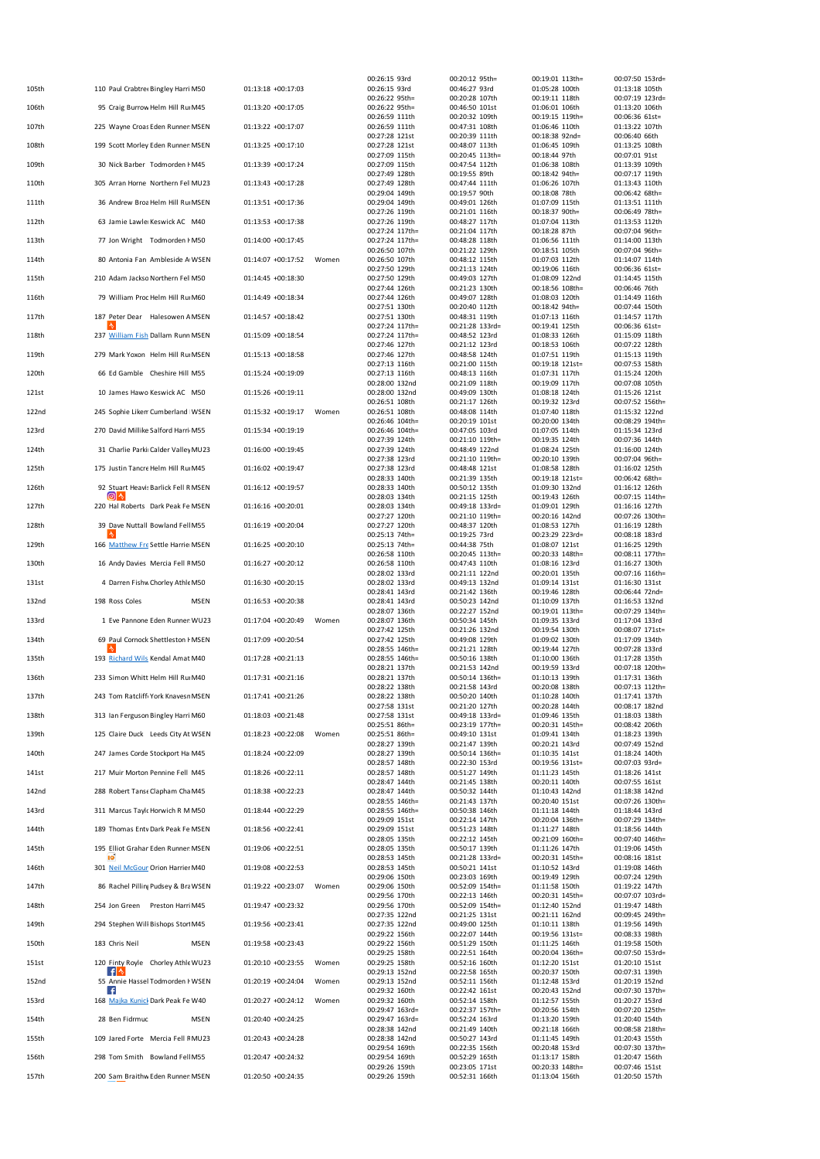| 105th | 110 Paul Crabtre &Bingley Harri M50        | 01:13:18 +00:17:03 |       | 00:26:15 93rd<br>00:26:15 93rd     | 00:20:12 95th=<br>00:46:27 93rd    | 00:19:01 113th=<br>01:05:28 100th | 00:07:50 153rd=<br>01:13:18 105th |
|-------|--------------------------------------------|--------------------|-------|------------------------------------|------------------------------------|-----------------------------------|-----------------------------------|
|       |                                            |                    |       | 00:26:22 95th=                     | 00:20:28 107th                     | 00:19:11 118th                    | 00:07:19 123rd=                   |
| 106th | 95 Craig Burrow Helm Hill Ru M45           | 01:13:20 +00:17:05 |       | 00:26:22 95th=<br>00:26:59 111th   | 00:46:50 101st<br>00:20:32 109th   | 01:06:01 106th<br>00:19:15 119th= | 01:13:20 106th<br>00:06:36 61st=  |
| 107th | 225 Wayne Croas Eden Runner MSEN           | 01:13:22 +00:17:07 |       | 00:26:59 111th<br>00:27:28 121st   | 00:47:31 108th<br>00:20:39 111th   | 01:06:46 110th<br>00:18:38 92nd=  | 01:13:22 107th<br>00:06:40 66th   |
| 108th | 199 Scott Morley Eden Runner MSEN          | 01:13:25 +00:17:10 |       | 00:27:28 121st                     | 00:48:07 113th                     | 01:06:45 109th                    | 01:13:25 108th                    |
| 109th | 30 Nick Barber Todmorden I M45             | 01:13:39 +00:17:24 |       | 00:27:09 115th<br>00:27:09 115th   | 00:20:45 113th=<br>00:47:54 112th  | 00:18:44 97th<br>01:06:38 108th   | 00:07:01 91st<br>01:13:39 109th   |
| 110th | 305 Arran Horne Northern Fel MU23          | 01:13:43 +00:17:28 |       | 00:27:49 128th<br>00:27:49 128th   | 00:19:55 89th<br>00:47:44 111th    | 00:18:42 94th=<br>01:06:26 107th  | 00:07:17 119th<br>01:13:43 110th  |
|       |                                            |                    |       | 00:29:04 149th                     | 00:19:57 90th                      | 00:18:08 78th                     | 00:06:42 68th=                    |
| 111th | 36 Andrew Broa Helm Hill Ru MSEN           | 01:13:51 +00:17:36 |       | 00:29:04 149th<br>00:27:26 119th   | 00:49:01 126th<br>00:21:01 116th   | 01:07:09 115th<br>00:18:37 90th=  | 01:13:51 111th<br>00:06:49 78th=  |
| 112th | 63 Jamie LawlerKeswick AC M40              | 01:13:53 +00:17:38 |       | 00:27:26 119th<br>00:27:24 117th=  | 00:48:27 117th<br>00:21:04 117th   | 01:07:04 113th<br>00:18:28 87th   | 01:13:53 112th<br>00:07:04 96th=  |
| 113th | 77 Jon Wright Todmorden I M50              | 01:14:00 +00:17:45 |       | 00:27:24 117th=                    | 00:48:28 118th                     | 01:06:56 111th                    | 01:14:00 113th                    |
| 114th | 80 Antonia Fan Ambleside A WSEN            | 01:14:07 +00:17:52 | Women | 00:26:50 107th<br>00:26:50 107th   | 00:21:22 129th<br>00:48:12 115th   | 00:18:51 105th<br>01:07:03 112th  | 00:07:04 96th=<br>01:14:07 114th  |
| 115th | 210 Adam Jackso Northern Fel M50           | 01:14:45 +00:18:30 |       | 00:27:50 129th<br>00:27:50 129th   | 00:21:13 124th<br>00:49:03 127th   | 00:19:06 116th<br>01:08:09 122nd  | 00:06:36 61st=<br>01:14:45 115th  |
|       | 79 William Proc Helm Hill Ru M60           | 01:14:49 +00:18:34 |       | 00:27:44 126th<br>00:27:44 126th   | 00:21:23 130th<br>00:49:07 128th   | 00:18:56 108th=<br>01:08:03 120th | 00:06:46 76th<br>01:14:49 116th   |
| 116th |                                            |                    |       | 00:27:51 130th                     | 00:20:40 112th                     | 00:18:42 94th=                    | 00:07:44 150th                    |
| 117th | 187 Peter Dear Halesowen A MSEN            | 01:14:57 +00:18:42 |       | 00:27:51 130th<br>00:27:24 117th=  | 00:48:31 119th<br>00:21:28 133rd=  | 01:07:13 116th<br>00:19:41 125th  | 01:14:57 117th<br>00:06:36 61st=  |
| 118th | 237 William Fish Dallam Runn MSEN          | 01:15:09 +00:18:54 |       | 00:27:24 117th=<br>00:27:46 127th  | 00:48:52 123rd<br>00:21:12 123rd   | 01:08:33 126th<br>00:18:53 106th  | 01:15:09 118th<br>00:07:22 128th  |
| 119th | 279 Mark Yoxon Helm Hill Ru MSEN           | 01:15:13 +00:18:58 |       | 00:27:46 127th                     | 00:48:58 124th                     | 01:07:51 119th                    | 01:15:13 119th                    |
| 120th | 66 Ed Gamble Cheshire Hill M55             | 01:15:24 +00:19:09 |       | 00:27:13 116th<br>00:27:13 116th   | 00:21:00 115th<br>00:48:13 116th   | 00:19:18 121st=<br>01:07:31 117th | 00:07:53 158th<br>01:15:24 120th  |
| 121st | 10 James Hawo Keswick AC M50               | 01:15:26 +00:19:11 |       | 00:28:00 132nd<br>00:28:00 132nd   | 00:21:09 118th<br>00:49:09 130th   | 00:19:09 117th<br>01:08:18 124th  | 00:07:08 105th<br>01:15:26 121st  |
|       |                                            |                    |       | 00:26:51 108th                     | 00:21:17 126th                     | 00:19:32 123rd                    | 00:07:52 156th=                   |
| 122nd | 245 Sophie Likem Cumberland WSEN           | 01:15:32 +00:19:17 | Women | 00:26:51 108th<br>00:26:46 104th=  | 00:48:08 114th<br>00:20:19 101st   | 01:07:40 118th<br>00:20:00 134th  | 01:15:32 122nd<br>00:08:29 194th= |
| 123rd | 270 David Millike Salford Harri M55        | 01:15:34 +00:19:19 |       | 00:26:46 104th=<br>00:27:39 124th  | 00:47:05 103rd<br>00:21:10 119th=  | 01:07:05 114th<br>00:19:35 124th  | 01:15:34 123rd<br>00:07:36 144th  |
| 124th | 31 Charlie Parki Calder Valley MU23        | 01:16:00 +00:19:45 |       | 00:27:39 124th                     | 00:48:49 122nd                     | 01:08:24 125th                    | 01:16:00 124th                    |
| 125th | 175 Justin Tancre Helm Hill Ru M45         | 01:16:02 +00:19:47 |       | 00:27:38 123rd<br>00:27:38 123rd   | 00:21:10 119th=<br>00:48:48 121st  | 00:20:10 139th<br>01:08:58 128th  | 00:07:04 96th=<br>01:16:02 125th  |
|       | 92 Stuart Heavis Barlick Fell R MSEN       | 01:16:12 +00:19:57 |       | 00:28:33 140th                     | 00:21:39 135th                     | 00:19:18 121st=<br>01:09:30 132nd | 00:06:42 68th=                    |
| 126th | ⊚ ^                                        |                    |       | 00:28:33 140th<br>00:28:03 134th   | 00:50:12 135th<br>00:21:15 125th   | 00:19:43 126th                    | 01:16:12 126th<br>00:07:15 114th= |
| 127th | 220 Hal Roberts Dark Peak Fe MSEN          | 01:16:16 +00:20:01 |       | 00:28:03 134th<br>00:27:27 120th   | 00:49:18 133rd=<br>00:21:10 119th= | 01:09:01 129th<br>00:20:16 142nd  | 01:16:16 127th<br>00:07:26 130th= |
| 128th | 39 Dave Nuttall Bowland Fell M55           | 01:16:19 +00:20:04 |       | 00:27:27 120th<br>00:25:13 74th=   | 00:48:37 120th<br>00:19:25 73rd    | 01:08:53 127th<br>00:23:29 223rd= | 01:16:19 128th<br>00:08:18 183rd  |
| 129th | 166 Matthew Fre Settle Harrie MSEN         | 01:16:25 +00:20:10 |       | 00:25:13 74th=                     | 00:44:38 75th                      | 01:08:07 121st                    | 01:16:25 129th                    |
| 130th | 16 Andy Davies Mercia Fell F M50           | 01:16:27 +00:20:12 |       | 00:26:58 110th<br>00:26:58 110th   | 00:20:45 113th=<br>00:47:43 110th  | 00:20:33 148th=<br>01:08:16 123rd | 00:08:11 177th=<br>01:16:27 130th |
| 131st | 4 Darren Fishw Chorley Athle M50           | 01:16:30 +00:20:15 |       | 00:28:02 133rd<br>00:28:02 133rd   | 00:21:11 122nd<br>00:49:13 132nd   | 00:20:01 135th<br>01:09:14 131st  | 00:07:16 116th=<br>01:16:30 131st |
|       | 198 Ross Coles                             | 01:16:53 +00:20:38 |       | 00:28:41 143rd                     | 00:21:42 136th                     | 00:19:46 128th                    | 00:06:44 72nd=                    |
| 132nd | <b>MSEN</b>                                |                    |       | 00:28:41 143rd<br>00:28:07 136th   | 00:50:23 142nd<br>00:22:27 152nd   | 01:10:09 137th<br>00:19:01 113th= | 01:16:53 132nd<br>00:07:29 134th= |
| 133rd | 1 Eve Pannone Eden Runner WU23             | 01:17:04 +00:20:49 | Women | 00:28:07 136th<br>00:27:42 125th   | 00:50:34 145th<br>00:21:26 132nd   | 01:09:35 133rd<br>00:19:54 130th  | 01:17:04 133rd<br>00:08:07 171st  |
| 134th | 69 Paul Cornock Shettleston I MSEN         | 01:17:09 +00:20:54 |       | 00:27:42 125th<br>00:28:55 146th=  | 00:49:08 129th<br>00:21:21 128th   | 01:09:02 130th<br>00:19:44 127th  | 01:17:09 134th<br>00:07:28 133rd  |
| 135th | 193 Richard Wils Kendal Amat M40           | 01:17:28 +00:21:13 |       | 00:28:55 146th=                    | 00:50:16 138th                     | 01:10:00 136th                    | 01:17:28 135th                    |
| 136th | 233 Simon Whitt Helm Hill Ru M40           | 01:17:31 +00:21:16 |       | 00:28:21 137th<br>00:28:21 137th   | 00:21:53 142nd<br>00:50:14 136th=  | 00:19:59 133rd<br>01:10:13 139th  | 00:07:18 120th=<br>01:17:31 136th |
| 137th | 243 Tom Ratcliff York Knavesr MSEN         | 01:17:41 +00:21:26 |       | 00:28:22 138th<br>00:28:22 138th   | 00:21:58 143rd<br>00:50:20 140th   | 00:20:08 138th<br>01:10:28 140th  | 00:07:13 112th=<br>01:17:41 137th |
|       |                                            |                    |       | 00:27:58 131st                     | 00:21:20 127th                     | 00:20:28 144th                    | 00:08:17 182nd                    |
| 138th | 313 Ian Ferguson Bingley Harri M60         | 01:18:03 +00:21:48 |       | 00:27:58 131st<br>00:25:51 86th=   | 00:49:18 133rd=<br>00:23:19 177th= | 01:09:46 135th<br>00:20:31 145th= | 01:18:03 138th<br>00:08:42 206th  |
| 139th | 125 Claire Duck Leeds City At WSEN         | 01:18:23 +00:22:08 | Women | 00:25:51 86th=<br>00:28:27 139th   | 00:49:10 131st<br>00:21:47 139th   | 01:09:41 134th<br>00:20:21 143rd  | 01:18:23 139th<br>00:07:49 152nd  |
| 140th | 247 James Corde Stockport Ha M45           | 01:18:24 +00:22:09 |       | 00:28:27 139th<br>00:28:57 148th   | 00:50:14 136th=<br>00:22:30 153rd  | 01:10:35 141st<br>00:19:56 131st= | 01:18:24 140th<br>00:07:03 93rd=  |
| 141st | 217 Muir Morton Pennine Fell M45           | 01:18:26 +00:22:11 |       | 00:28:57 148th                     | 00:51:27 149th                     | 01:11:23 145th                    | 01:18:26 141st                    |
| 142nd | 288 Robert Tanse Clapham Cha M45           | 01:18:38 +00:22:23 |       | 00:28:47 144th<br>00:28:47 144th   | 00:21:45 138th<br>00:50:32 144th   | 00:20:11 140th<br>01:10:43 142nd  | 00:07:55 161st<br>01:18:38 142nd  |
| 143rd | 311 Marcus Taylc Horwich R M M50           | 01:18:44 +00:22:29 |       | 00:28:55 146th=<br>00:28:55 146th= | 00:21:43 137th<br>00:50:38 146th   | 00:20:40 151st<br>01:11:18 144th  | 00:07:26 130th=<br>01:18:44 143rd |
|       |                                            |                    |       | 00:29:09 151st                     | 00:22:14 147th                     | 00:20:04 136th=                   | 00:07:29 134th=                   |
| 144th | 189 Thomas Entv Dark Peak Fe MSEN          | 01:18:56 +00:22:41 |       | 00:29:09 151st<br>00:28:05 135th   | 00:51:23 148th<br>00:22:12 145th   | 01:11:27 148th<br>00:21:09 160th= | 01:18:56 144th<br>00:07:40 146th= |
| 145th | 195 Elliot Grahan Eden Runner MSEN<br>10   | 01:19:06 +00:22:51 |       | 00:28:05 135th<br>00:28:53 145th   | 00:50:17 139th<br>00:21:28 133rd=  | 01:11:26 147th<br>00:20:31 145th= | 01:19:06 145th<br>00:08:16 181st  |
| 146th | 301 Neil McGoun Orion Harrier M40          | 01:19:08 +00:22:53 |       | 00:28:53 145th                     | 00:50:21 141st                     | 01:10:52 143rd                    | 01:19:08 146th                    |
| 147th | 86 Rachel Pilling Pudsey & Bra WSEN        | 01:19:22 +00:23:07 | Women | 00:29:06 150th<br>00:29:06 150th   | 00:23:03 169th<br>00:52:09 154th=  | 00:19:49 129th<br>01:11:58 150th  | 00:07:24 129th<br>01:19:22 147th  |
| 148th | 254 Jon Green Preston Harri M45            | 01:19:47 +00:23:32 |       | 00:29:56 170th<br>00:29:56 170th   | 00:22:13 146th<br>00:52:09 154th=  | 00:20:31 145th=<br>01:12:40 152nd | 00:07:07 103rd=<br>01:19:47 148th |
| 149th | 294 Stephen Will Bishops Stor M45          | 01:19:56 +00:23:41 |       | 00:27:35 122nd<br>00:27:35 122nd   | 00:21:25 131st<br>00:49:00 125th   | 00:21:11 162nd<br>01:10:11 138th  | 00:09:45 249th=<br>01:19:56 149th |
|       |                                            |                    |       | 00:29:22 156th                     | 00:22:07 144th                     | 00:19:56 131st=                   | 00:08:33 198th                    |
| 150th | 183 Chris Neil<br><b>MSEN</b>              | 01:19:58 +00:23:43 |       | 00:29:22 156th<br>00:29:25 158th   | 00:51:29 150th<br>00:22:51 164th   | 01:11:25 146th<br>00:20:04 136th= | 01:19:58 150th<br>00:07:50 153rd= |
| 151st | 120 Finty Royle Chorley Athle WU23<br>^ ا+ | 01:20:10 +00:23:55 | Women | 00:29:25 158th<br>00:29:13 152nd   | 00:52:16 160th<br>00:22:58 165th   | 01:12:20 151st<br>00:20:37 150th  | 01:20:10 151st<br>00:07:31 139th  |
| 152nd | 55 Annie Hassel Todmorden I WSEN           | 01:20:19 +00:24:04 | Women | 00:29:13 152nd                     | 00:52:11 156th                     | 01:12:48 153rd                    | 01:20:19 152nd                    |
| 153rd | 168 Majka Kunick Dark Peak Fe W40          | 01:20:27 +00:24:12 | Women | 00:29:32 160th<br>00:29:32 160th   | 00:22:42 161st<br>00:52:14 158th   | 00:20:43 152nd<br>01:12:57 155th  | 00:07:30 137th=<br>01:20:27 153rd |
| 154th | 28 Ben Fidrmuc<br><b>MSEN</b>              | 01:20:40 +00:24:25 |       | 00:29:47 163rd=<br>00:29:47 163rd= | 00:22:37 157th=<br>00:52:24 163rd  | 00:20:56 154th<br>01:13:20 159th  | 00:07:20 125th=<br>01:20:40 154th |
|       |                                            |                    |       | 00:28:38 142nd                     | 00:21:49 140th                     | 00:21:18 166th                    | 00:08:58 218th=                   |
| 155th | 109 Jared Forte Mercia Fell FMU23          | 01:20:43 +00:24:28 |       | 00:28:38 142nd<br>00:29:54 169th   | 00:50:27 143rd<br>00:22:35 156th   | 01:11:45 149th<br>00:20:48 153rd  | 01:20:43 155th<br>00:07:30 137th= |
| 156th | 298 Tom Smith Bowland Fell M55             | 01:20:47 +00:24:32 |       | 00:29:54 169th<br>00:29:26 159th   | 00:52:29 165th<br>00:23:05 171st   | 01:13:17 158th<br>00:20:33 148th= | 01:20:47 156th<br>00:07:46 151st  |
| 157th | 200 Sam Braithw Eden Runner MSEN           | 01:20:50 +00:24:35 |       | 00:29:26 159th                     | 00:52:31 166th                     | 01:13:04 156th                    | 01:20:50 157th                    |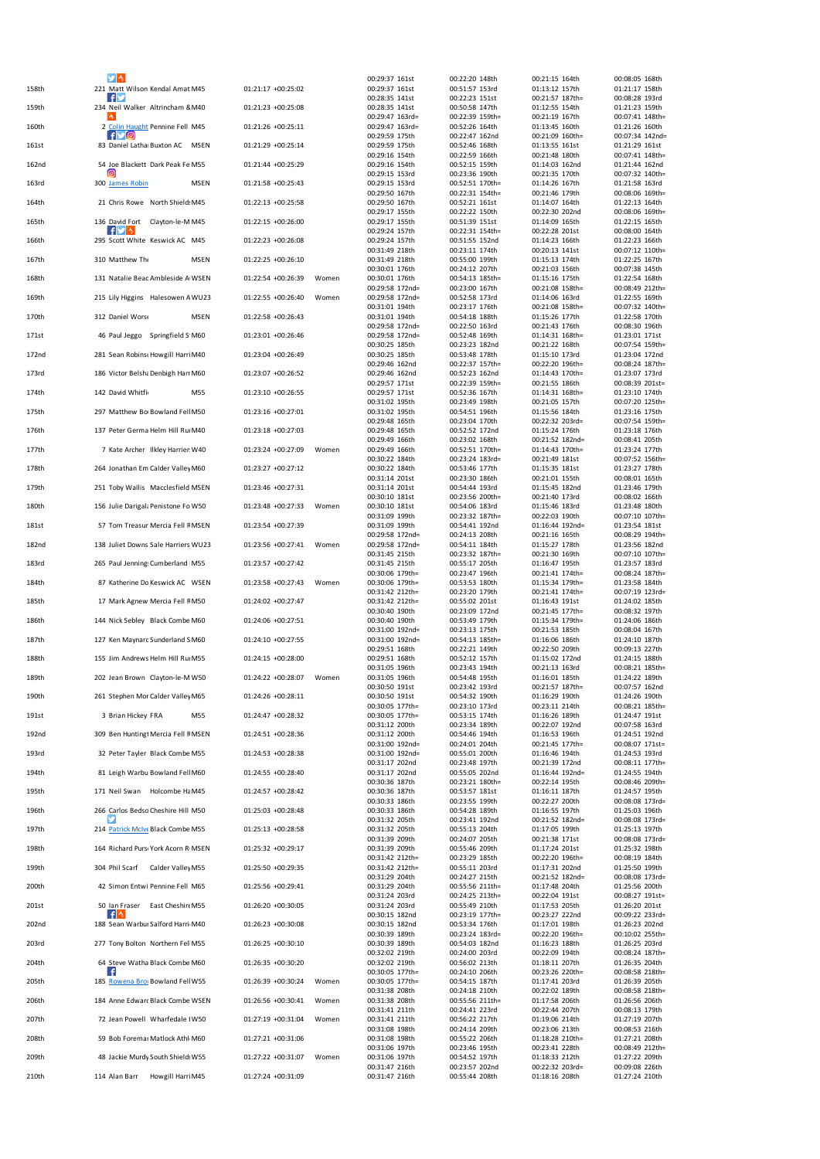|       |                                            |                    |       | 00:29:37 161st                     | 00:22:20 148th                     | 00:21:15 164th                     | 00:08:05 168th                    |
|-------|--------------------------------------------|--------------------|-------|------------------------------------|------------------------------------|------------------------------------|-----------------------------------|
| 158th | 221 Matt Wilson Kendal Amat M45<br>. F 1   | 01:21:17 +00:25:02 |       | 00:29:37 161st<br>00:28:35 141st   | 00:51:57 153rd<br>00:22:23 151st   | 01:13:12 157th<br>00:21:57 187th=  | 01:21:17 158th<br>00:08:28 193rd  |
| 159th | 234 Neil Walker Altrincham 8 M40           | 01:21:23 +00:25:08 |       | 00:28:35 141st                     | 00:50:58 147th                     | 01:12:55 154th                     | 01:21:23 159th                    |
| 160th | 2 Colin Haught Pennine Fell M45            | 01:21:26 +00:25:11 |       | 00:29:47 163rd=<br>00:29:47 163rd= | 00:22:39 159th=<br>00:52:26 164th  | 00:21:19 167th<br>01:13:45 160th   | 00:07:41 148th=<br>01:21:26 160th |
|       | $f \trianglerighteq 0$                     |                    |       | 00:29:59 175th                     | 00:22:47 162nd                     | 00:21:09 160th=                    | 00:07:34 142nd=                   |
| 161st | 83 Daniel Lathar Buxton AC MSEN            | 01:21:29 +00:25:14 |       | 00:29:59 175th<br>00:29:16 154th   | 00:52:46 168th<br>00:22:59 166th   | 01:13:55 161st<br>00:21:48 180th   | 01:21:29 161st<br>00:07:41 148th  |
| 162nd | 54 Joe Blackett Dark Peak Fe M55<br>Θ      | 01:21:44 +00:25:29 |       | 00:29:16 154th                     | 00:52:15 159th                     | 01:14:03 162nd                     | 01:21:44 162nd                    |
| 163rd | 300 James Robin<br><b>MSEN</b>             | 01:21:58 +00:25:43 |       | 00:29:15 153rd<br>00:29:15 153rd   | 00:23:36 190th<br>00:52:51 170th=  | 00:21:35 170th<br>01:14:26 167th   | 00:07:32 140th=<br>01:21:58 163rd |
|       |                                            |                    |       | 00:29:50 167th                     | 00:22:31 154th=                    | 00:21:46 179th                     | 00:08:06 169th=                   |
| 164th | 21 Chris Rowe North Shield: M45            | 01:22:13 +00:25:58 |       | 00:29:50 167th<br>00:29:17 155th   | 00:52:21 161st<br>00:22:22 150th   | 01:14:07 164th<br>00:22:30 202nd   | 01:22:13 164th<br>00:08:06 169th  |
| 165th | 136 David Fort Clayton-le-M M45            | 01:22:15 +00:26:00 |       | 00:29:17 155th                     | 00:51:39 151st                     | 01:14:09 165th                     | 01:22:15 165th                    |
| 166th | . fl≫l ∿<br>295 Scott White Keswick AC M45 | 01:22:23 +00:26:08 |       | 00:29:24 157th<br>00:29:24 157th   | 00:22:31 154th=<br>00:51:55 152nd  | 00:22:28 201st<br>01:14:23 166th   | 00:08:00 164th<br>01:22:23 166th  |
|       |                                            | 01:22:25 +00:26:10 |       | 00:31:49 218th                     | 00:23:11 174th                     | 00:20:13 141st                     | 00:07:12 110th=                   |
| 167th | 310 Matthew The<br><b>MSEN</b>             |                    |       | 00:31:49 218th<br>00:30:01 176th   | 00:55:00 199th<br>00:24:12 207th   | 01:15:13 174th<br>00:21:03 156th   | 01:22:25 167th<br>00:07:38 145th  |
| 168th | 131 Natalie Bead Ambleside A WSEN          | 01:22:54 +00:26:39 | Women | 00:30:01 176th<br>00:29:58 172nd=  | 00:54:13 185th=<br>00:23:00 167th  | 01:15:16 175th<br>00:21:08 158th=  | 01:22:54 168th<br>00:08:49 212th= |
| 169th | 215 Lily Higgins Halesowen A WU23          | 01:22:55 +00:26:40 | Women | 00:29:58 172nd=                    | 00:52:58 173rd                     | 01:14:06 163rd                     | 01:22:55 169th                    |
| 170th | 312 Daniel Worse<br><b>MSEN</b>            | 01:22:58 +00:26:43 |       | 00:31:01 194th<br>00:31:01 194th   | 00:23:17 176th<br>00:54:18 188th   | 00:21:08 158th=<br>01:15:26 177th  | 00:07:32 140th=<br>01:22:58 170th |
|       |                                            |                    |       | 00:29:58 172nd=                    | 00:22:50 163rd                     | 00:21:43 176th                     | 00:08:30 196th                    |
| 171st | 46 Paul Jeggo Springfield S M60            | 01:23:01 +00:26:46 |       | 00:29:58 172nd=<br>00:30:25 185th  | 00:52:48 169th<br>00:23:23 182nd   | 01:14:31 168th=<br>00:21:22 168th  | 01:23:01 171st<br>00:07:54 159th  |
| 172nd | 281 Sean Robins (Howgill Harri M40         | 01:23:04 +00:26:49 |       | 00:30:25 185th                     | 00:53:48 178th                     | 01:15:10 173rd                     | 01:23:04 172nd                    |
| 173rd | 186 Victor Belsha Denbigh Harı M60         | 01:23:07 +00:26:52 |       | 00:29:46 162nd<br>00:29:46 162nd   | 00:22:37 157th=<br>00:52:23 162nd  | 00:22:20 196th=<br>01:14:43 170th= | 00:08:24 187th=<br>01:23:07 173rd |
|       |                                            |                    |       | 00:29:57 171st                     | 00:22:39 159th=                    | 00:21:55 186th                     | 00:08:39 201st=                   |
| 174th | 142 David Whitfie<br>M55                   | 01:23:10 +00:26:55 |       | 00:29:57 171st<br>00:31:02 195th   | 00:52:36 167th<br>00:23:49 198th   | 01:14:31 168th=<br>00:21:05 157th  | 01:23:10 174th<br>00:07:20 125th  |
| 175th | 297 Matthew BorBowland Fell M50            | 01:23:16 +00:27:01 |       | 00:31:02 195th                     | 00:54:51 196th                     | 01:15:56 184th                     | 01:23:16 175th                    |
| 176th | 137 Peter Germa Helm Hill Ru M40           | 01:23:18 +00:27:03 |       | 00:29:48 165th<br>00:29:48 165th   | 00:23:04 170th<br>00:52:52 172nd   | 00:22:32 203rd=<br>01:15:24 176th  | 00:07:54 159th=<br>01:23:18 176th |
|       |                                            |                    |       | 00:29:49 166th                     | 00:23:02 168th                     | 00:21:52 182nd=                    | 00:08:41 205th                    |
| 177th | 7 Kate Archer Ilkley Harrier W40           | 01:23:24 +00:27:09 | Women | 00:29:49 166th<br>00:30:22 184th   | 00:52:51 170th=<br>00:23:24 183rd= | 01:14:43 170th=<br>00:21:49 181st  | 01:23:24 177th<br>00:07:52 156th= |
| 178th | 264 Jonathan Em Calder Valley M60          | 01:23:27 +00:27:12 |       | 00:30:22 184th                     | 00:53:46 177th                     | 01:15:35 181st                     | 01:23:27 178th                    |
| 179th | 251 Toby Wallis Macclesfield MSEN          | 01:23:46 +00:27:31 |       | 00:31:14 201st<br>00:31:14 201st   | 00:23:30 186th<br>00:54:44 193rd   | 00:21:01 155th<br>01:15:45 182nd   | 00:08:01 165th<br>01:23:46 179th  |
|       |                                            | 01:23:48 +00:27:33 |       | 00:30:10 181st                     | 00:23:56 200th=                    | 00:21:40 173rd                     | 00:08:02 166th                    |
| 180th | 156 Julie Darigal: Penistone Fo W50        |                    | Women | 00:30:10 181st<br>00:31:09 199th   | 00:54:06 183rd<br>00:23:32 187th=  | 01:15:46 183rd<br>00:22:03 190th   | 01:23:48 180th<br>00:07:10 107th= |
| 181st | 57 Tom Treasur Mercia Fell F MSEN          | 01:23:54 +00:27:39 |       | 00:31:09 199th<br>00:29:58 172nd=  | 00:54:41 192nd<br>00:24:13 208th   | 01:16:44 192nd=<br>00:21:16 165th  | 01:23:54 181st<br>00:08:29 194th  |
| 182nd | 138 Juliet Downs Sale Harriers WU23        | 01:23:56 +00:27:41 | Women | 00:29:58 172nd=                    | 00:54:11 184th                     | 01:15:27 178th                     | 01:23:56 182nd                    |
| 183rd | 265 Paul Jenning: Cumberland M55           | 01:23:57 +00:27:42 |       | 00:31:45 215th<br>00:31:45 215th   | 00:23:32 187th=<br>00:55:17 205th  | 00:21:30 169th<br>01:16:47 195th   | 00:07:10 107th=<br>01:23:57 183rd |
|       |                                            |                    |       | 00:30:06 179th=                    | 00:23:47 196th                     | 00:21:41 174th=                    | 00:08:24 187th=                   |
| 184th | 87 Katherine Do Keswick AC WSEN            | 01:23:58 +00:27:43 | Women | 00:30:06 179th=<br>00:31:42 212th= | 00:53:53 180th<br>00:23:20 179th   | 01:15:34 179th=<br>00:21:41 174th= | 01:23:58 184th<br>00:07:19 123rd  |
| 185th | 17 Mark Agnew Mercia Fell FM50             | 01:24:02 +00:27:47 |       | 00:31:42 212th=                    | 00:55:02 201st                     | 01:16:43 191st                     | 01:24:02 185th                    |
| 186th | 144 Nick Sebley Black Combe M60            | 01:24:06 +00:27:51 |       | 00:30:40 190th<br>00:30:40 190th   | 00:23:09 172nd<br>00:53:49 179th   | 00:21:45 177th=<br>01:15:34 179th= | 00:08:32 197th<br>01:24:06 186th  |
|       |                                            |                    |       | 00:31:00 192nd=                    | 00:23:13 175th                     | 00:21:53 185th                     | 00:08:04 167th                    |
| 187th | 127 Ken Maynard Sunderland S M60           | 01:24:10 +00:27:55 |       | 00:31:00 192nd=<br>00:29:51 168th  | 00:54:13 185th=<br>00:22:21 149th  | 01:16:06 186th<br>00:22:50 209th   | 01:24:10 187th<br>00:09:13 227th  |
| 188th | 155 Jim Andrews Helm Hill Ru M55           | 01:24:15 +00:28:00 |       | 00:29:51 168th                     | 00:52:12 157th                     | 01:15:02 172nd                     | 01:24:15 188th                    |
| 189th | 202 Jean Brown Clayton-le-MW50             | 01:24:22 +00:28:07 | Women | 00:31:05 196th<br>00:31:05 196th   | 00:23:43 194th<br>00:54:48 195th   | 00:21:13 163rd<br>01:16:01 185th   | 00:08:21 185th=<br>01:24:22 189th |
| 190th | 261 Stephen Mor Calder Valley M65          | 01:24:26 +00:28:11 |       | 00:30:50 191st<br>00:30:50 191st   | 00:23:42 193rd<br>00:54:32 190th   | 00:21:57 187th=<br>01:16:29 190th  | 00:07:57 162nd<br>01:24:26 190th  |
|       |                                            |                    |       | 00:30:05 177th=                    | 00:23:10 173rd                     | 00:23:11 214th                     | 00:08:21 185th=                   |
| 191st | 3 Brian Hickey FRA<br>M <sub>55</sub>      | 01:24:47 +00:28:32 |       | 00:30:05 177th=<br>00:31:12 200th  | 00:53:15 174th<br>00:23:34 189th   | 01:16:26 189th<br>00:22:07 192nd   | 01:24:47 191st<br>00:07:58 163rd  |
| 192nd | 309 Ben Huntingt Mercia Fell F MSEN        | 01:24:51 +00:28:36 |       | 00:31:12 200th                     | 00:54:46 194th                     | 01:16:53 196th                     | 01:24:51 192nd                    |
| 193rd | 32 Peter Tayler Black Combe M55            | 01:24:53 +00:28:38 |       | 00:31:00 192nd=<br>00:31:00 192nd= | 00:24:01 204th<br>00:55:01 200th   | 00:21:45 177th=<br>01:16:46 194th  | 00:08:07 171st=<br>01:24:53 193rd |
|       |                                            |                    |       | 00:31:17 202nd                     | 00:23:48 197th                     | 00:21:39 172nd                     | 00:08:11 177th=                   |
| 194th | 81 Leigh Warbu Bowland Fell M60            | 01:24:55 +00:28:40 |       | 00:31:17 202nd<br>00:30:36 187th   | 00:55:05 202nd<br>00:23:21 180th=  | 01:16:44 192nd=<br>00:22:14 195th  | 01:24:55 194th<br>00:08:46 209th= |
| 195th | 171 Neil Swan Holcombe Ha M45              | 01:24:57 +00:28:42 |       | 00:30:36 187th                     | 00:53:57 181st                     | 01:16:11 187th                     | 01:24:57 195th                    |
| 196th | 266 Carlos Bedso Cheshire Hill M50         | 01:25:03 +00:28:48 |       | 00:30:33 186th<br>00:30:33 186th   | 00:23:55 199th<br>00:54:28 189th   | 00:22:27 200th<br>01:16:55 197th   | 00:08:08 173rd=<br>01:25:03 196th |
|       | 214 Patrick McIve Black Combe M55          | 01:25:13 +00:28:58 |       | 00:31:32 205th<br>00:31:32 205th   | 00:23:41 192nd<br>00:55:13 204th   | 00:21:52 182nd=<br>01:17:05 199th  | 00:08:08 173rd=<br>01:25:13 197th |
| 197th |                                            |                    |       | 00:31:39 209th                     | 00:24:07 205th                     | 00:21:38 171st                     | 00:08:08 173rd=                   |
| 198th | 164 Richard Pursi York Acorn R MSEN        | 01:25:32 +00:29:17 |       | 00:31:39 209th<br>00:31:42 212th=  | 00:55:46 209th<br>00:23:29 185th   | 01:17:24 201st<br>00:22:20 196th=  | 01:25:32 198th<br>00:08:19 184th  |
| 199th | 304 Phil Scarf<br>Calder Valley M55        | 01:25:50 +00:29:35 |       | 00:31:42 212th=                    | 00:55:11 203rd                     | 01:17:31 202nd                     | 01:25:50 199th                    |
| 200th | 42 Simon Entwi Pennine Fell M65            | 01:25:56 +00:29:41 |       | 00:31:29 204th<br>00:31:29 204th   | 00:24:27 215th<br>00:55:56 211th=  | 00:21:52 182nd=<br>01:17:48 204th  | 00:08:08 173rd=<br>01:25:56 200th |
|       |                                            |                    |       | 00:31:24 203rd                     | 00:24:25 213th=                    | 00:22:04 191st                     | 00:08:27 191st=                   |
| 201st | 50 Ian Fraser East Cheshir M55<br>. f ^    | 01:26:20 +00:30:05 |       | 00:31:24 203rd<br>00:30:15 182nd   | 00:55:49 210th<br>00:23:19 177th=  | 01:17:53 205th<br>00:23:27 222nd   | 01:26:20 201st<br>00:09:22 233rd= |
| 202nd | 188 Sean Warbur Salford Harri M40          | 01:26:23 +00:30:08 |       | 00:30:15 182nd                     | 00:53:34 176th                     | 01:17:01 198th                     | 01:26:23 202nd                    |
| 203rd | 277 Tony Bolton Northern Fel M55           | 01:26:25 +00:30:10 |       | 00:30:39 189th<br>00:30:39 189th   | 00:23:24 183rd=<br>00:54:03 182nd  | 00:22:20 196th=<br>01:16:23 188th  | 00:10:02 255th=<br>01:26:25 203rd |
|       |                                            |                    |       | 00:32:02 219th                     | 00:24:00 203rd                     | 00:22:09 194th                     | 00:08:24 187th=                   |
| 204th | 64 Steve Watha Black Combe M60<br>÷        | 01:26:35 +00:30:20 |       | 00:32:02 219th<br>00:30:05 177th=  | 00:56:02 213th<br>00:24:10 206th   | 01:18:11 207th<br>00:23:26 220th=  | 01:26:35 204th<br>00:08:58 218th= |
| 205th | 185 Rowena Broy Bowland Fell W55           | 01:26:39 +00:30:24 | Women | 00:30:05 177th=                    | 00:54:15 187th                     | 01:17:41 203rd                     | 01:26:39 205th                    |
| 206th | 184 Anne Edwarc Black Combe WSEN           | 01:26:56 +00:30:41 | Women | 00:31:38 208th<br>00:31:38 208th   | 00:24:18 210th<br>00:55:56 211th=  | 00:22:02 189th<br>01:17:58 206th   | 00:08:58 218th=<br>01:26:56 206th |
|       | 72 Jean Powell Wharfedale   W50            | 01:27:19 +00:31:04 |       | 00:31:41 211th                     | 00:24:41 223rd                     | 00:22:44 207th                     | 00:08:13 179th                    |
| 207th |                                            |                    | Women | 00:31:41 211th<br>00:31:08 198th   | 00:56:22 217th<br>00:24:14 209th   | 01:19:06 214th<br>00:23:06 213th   | 01:27:19 207th<br>00:08:53 216th  |
| 208th | 59 Bob Foremar Matlock Athl M60            | 01:27:21 +00:31:06 |       | 00:31:08 198th<br>00:31:06 197th   | 00:55:22 206th<br>00:23:46 195th   | 01:18:28 210th=<br>00:23:41 228th  | 01:27:21 208th<br>00:08:49 212th= |
| 209th | 48 Jackie Murdy South Shield: W55          | 01:27:22 +00:31:07 | Women | 00:31:06 197th                     | 00:54:52 197th                     | 01:18:33 212th                     | 01:27:22 209th                    |
| 210th | 114 Alan Barr<br>Howgill Harri M45         | 01:27:24 +00:31:09 |       | 00:31:47 216th<br>00:31:47 216th   | 00:23:57 202nd<br>00:55:44 208th   | 00:22:32 203rd=<br>01:18:16 208th  | 00:09:08 226th<br>01:27:24 210th  |
|       |                                            |                    |       |                                    |                                    |                                    |                                   |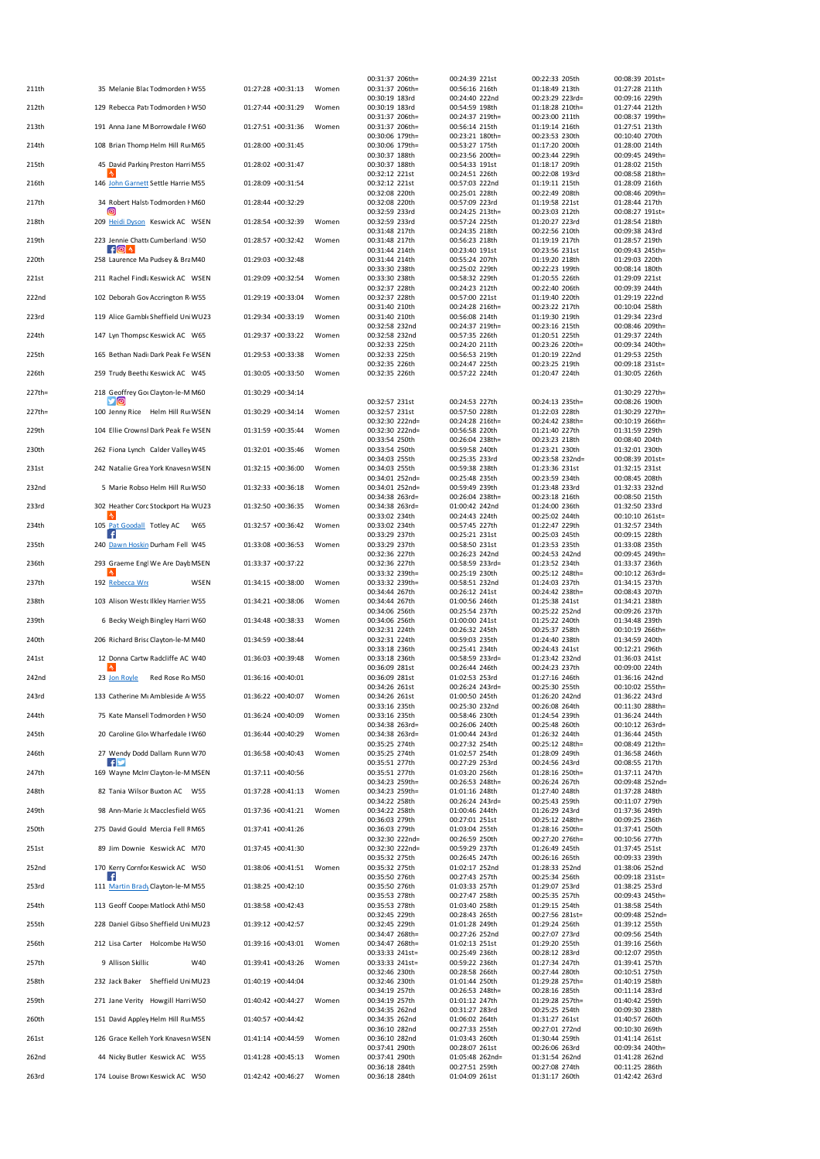| 211th  | 35 Melanie Blac Todmorden I W55          | 01:27:28 +00:31:13 | Women | 00:31:37 206th=<br>00:31:37 206th= | 00:24:39 221st<br>00:56:16 216th  | 00:22:33 205th<br>01:18:49 213th  | 00:08:39 201st=<br>01:27:28 211th |
|--------|------------------------------------------|--------------------|-------|------------------------------------|-----------------------------------|-----------------------------------|-----------------------------------|
|        |                                          |                    |       | 00:30:19 183rd                     | 00:24:40 222nd                    | 00:23:29 223rd=                   | 00:09:16 229th                    |
| 212th  | 129 Rebecca Patr Todmorden I W50         | 01:27:44 +00:31:29 | Women | 00:30:19 183rd                     | 00:54:59 198th                    | 01:18:28 210th=                   | 01:27:44 212th                    |
| 213th  | 191 Anna Jane M Borrowdale I W60         | 01:27:51 +00:31:36 | Women | 00:31:37 206th=<br>00:31:37 206th= | 00:24:37 219th=<br>00:56:14 215th | 00:23:00 211th<br>01:19:14 216th  | 00:08:37 199th:<br>01:27:51 213th |
|        |                                          |                    |       | 00:30:06 179th=                    | 00:23:21 180th=                   | 00:23:53 230th                    | 00:10:40 270th                    |
| 214th  | 108 Brian Thomp Helm Hill Ru M65         | 01:28:00 +00:31:45 |       | 00:30:06 179th=<br>00:30:37 188th  | 00:53:27 175th<br>00:23:56 200th= | 01:17:20 200th<br>00:23:44 229th  | 01:28:00 214th<br>00:09:45 249th= |
| 215th  | 45 David Parking Preston Harri M55       | 01:28:02 +00:31:47 |       | 00:30:37 188th                     | 00:54:33 191st                    | 01:18:17 209th                    | 01:28:02 215th                    |
| 216th  | 146 John Garnett Settle Harrie M55       | 01:28:09 +00:31:54 |       | 00:32:12 221st<br>00:32:12 221st   | 00:24:51 226th<br>00:57:03 222nd  | 00:22:08 193rd<br>01:19:11 215th  | 00:08:58 218th<br>01:28:09 216th  |
|        |                                          |                    |       | 00:32:08 220th                     | 00:25:01 228th                    | 00:22:49 208th                    | 00:08:46 209th                    |
| 217th  | 34 Robert Halst Todmorden I M60<br>[ල    | 01:28:44 +00:32:29 |       | 00:32:08 220th                     | 00:57:09 223rd                    | 01:19:58 221st                    | 01:28:44 217th                    |
| 218th  | 209 Heidi Dyson Keswick AC WSEN          | 01:28:54 +00:32:39 | Women | 00:32:59 233rd<br>00:32:59 233rd   | 00:24:25 213th=<br>00:57:24 225th | 00:23:03 212th<br>01:20:27 223rd  | 00:08:27 191st=<br>01:28:54 218th |
|        |                                          |                    |       | 00:31:48 217th                     | 00:24:35 218th                    | 00:22:56 210th                    | 00:09:38 243rd                    |
| 219th  | 223 Jennie Chatt« Cumberland W50         | 01:28:57 +00:32:42 | Women | 00:31:48 217th<br>00:31:44 214th   | 00:56:23 218th<br>00:23:40 191st  | 01:19:19 217th<br>00:23:56 231st  | 01:28:57 219th<br>00:09:43 245th  |
| 220th  | 258 Laurence Ma Pudsey & Bra M40         | 01:29:03 +00:32:48 |       | 00:31:44 214th                     | 00:55:24 207th                    | 01:19:20 218th                    | 01:29:03 220th                    |
|        |                                          |                    |       | 00:33:30 238th                     | 00:25:02 229th                    | 00:22:23 199th                    | 00:08:14 180th                    |
| 221st  | 211 Rachel Findla Keswick AC WSEN        | 01:29:09 +00:32:54 | Women | 00:33:30 238th<br>00:32:37 228th   | 00:58:32 229th<br>00:24:23 212th  | 01:20:55 226th<br>00:22:40 206th  | 01:29:09 221st<br>00:09:39 244th  |
| 222nd  | 102 Deborah Gov Accrington R W55         | 01:29:19 +00:33:04 | Women | 00:32:37 228th                     | 00:57:00 221st                    | 01:19:40 220th                    | 01:29:19 222nd                    |
| 223rd  | 119 Alice Gamble Sheffield Uni WU23      | 01:29:34 +00:33:19 | Women | 00:31:40 210th<br>00:31:40 210th   | 00:24:28 216th=<br>00:56:08 214th | 00:23:22 217th<br>01:19:30 219th  | 00:10:04 258th<br>01:29:34 223rd  |
|        |                                          |                    |       | 00:32:58 232nd                     | 00:24:37 219th=                   | 00:23:16 215th                    | 00:08:46 209th=                   |
| 224th  | 147 Lyn Thompsc Keswick AC W65           | 01:29:37 +00:33:22 | Women | 00:32:58 232nd<br>00:32:33 225th   | 00:57:35 226th<br>00:24:20 211th  | 01:20:51 225th<br>00:23:26 220th= | 01:29:37 224th<br>00:09:34 240th= |
| 225th  | 165 Bethan Nadii Dark Peak Fe WSEN       | 01:29:53 +00:33:38 | Women | 00:32:33 225th                     | 00:56:53 219th                    | 01:20:19 222nd                    | 01:29:53 225th                    |
|        |                                          |                    |       | 00:32:35 226th                     | 00:24:47 225th                    | 00:23:25 219th                    | 00:09:18 231st-                   |
| 226th  | 259 Trudy Beetha Keswick AC W45          | 01:30:05 +00:33:50 | Women | 00:32:35 226th                     | 00:57:22 224th                    | 01:20:47 224th                    | 01:30:05 226th                    |
| 227th= | 218 Geoffrey Got Clayton-le-M M60        | 01:30:29 +00:34:14 |       |                                    |                                   |                                   | 01:30:29 227th=                   |
| 227th= | УЮ<br>100 Jenny Rice Helm Hill Ru WSEN   | 01:30:29 +00:34:14 | Women | 00:32:57 231st<br>00:32:57 231st   | 00:24:53 227th<br>00:57:50 228th  | 00:24:13 235th=<br>01:22:03 228th | 00:08:26 190th<br>01:30:29 227th= |
|        |                                          |                    |       | 00:32:30 222nd=                    | 00:24:28 216th=                   | 00:24:42 238th=                   | 00:10:19 266th=                   |
| 229th  | 104 Ellie Crownsł Dark Peak Fe WSEN      | 01:31:59 +00:35:44 | Women | 00:32:30 222nd=                    | 00:56:58 220th                    | 01:21:40 227th                    | 01:31:59 229th                    |
| 230th  | 262 Fiona Lynch Calder Valley W45        | 01:32:01 +00:35:46 | Women | 00:33:54 250th<br>00:33:54 250th   | 00:26:04 238th=<br>00:59:58 240th | 00:23:23 218th<br>01:23:21 230th  | 00:08:40 204th<br>01:32:01 230th  |
|        |                                          |                    |       | 00:34:03 255th                     | 00:25:35 233rd                    | 00:23:58 232nd=                   | 00:08:39 201st=                   |
| 231st  | 242 Natalie Grea York Knavesr WSEN       | 01:32:15 +00:36:00 | Women | 00:34:03 255th<br>00:34:01 252nd=  | 00:59:38 238th<br>00:25:48 235th  | 01:23:36 231st<br>00:23:59 234th  | 01:32:15 231st<br>00:08:45 208th  |
| 232nd  | 5 Marie Robso Helm Hill Ru W50           | 01:32:33 +00:36:18 | Women | 00:34:01 252nd=                    | 00:59:49 239th                    | 01:23:48 233rd                    | 01:32:33 232nd                    |
|        | 302 Heather Cord Stockport Ha WU23       | 01:32:50 +00:36:35 | Women | 00:34:38 263rd=<br>00:34:38 263rd= | 00:26:04 238th=                   | 00:23:18 216th<br>01:24:00 236th  | 00:08:50 215th<br>01:32:50 233rd  |
| 233rd  |                                          |                    |       | 00:33:02 234th                     | 01:00:42 242nd<br>00:24:43 224th  | 00:25:02 244th                    | 00:10:10 261st=                   |
| 234th  | 105 Pat Goodall Totley AC<br>W65<br>- 4  | 01:32:57 +00:36:42 | Women | 00:33:02 234th                     | 00:57:45 227th                    | 01:22:47 229th                    | 01:32:57 234th                    |
| 235th  | 240 Dawn Hoskin Durham Fell W45          | 01:33:08 +00:36:53 | Women | 00:33:29 237th<br>00:33:29 237th   | 00:25:21 231st<br>00:58:50 231st  | 00:25:03 245th<br>01:23:53 235th  | 00:09:15 228th<br>01:33:08 235th  |
|        |                                          |                    |       | 00:32:36 227th                     | 00:26:23 242nd                    | 00:24:53 242nd                    | 00:09:45 249th                    |
| 236th  | 293 Graeme Engl We Are Dayl: MSEN        | 01:33:37 +00:37:22 |       | 00:32:36 227th<br>00:33:32 239th=  | 00:58:59 233rd=<br>00:25:19 230th | 01:23:52 234th<br>00:25:12 248th= | 01:33:37 236th<br>00:10:12 263rd- |
| 237th  | 192 Rebecca Wre<br>WSEN                  | 01:34:15 +00:38:00 | Women | 00:33:32 239th=                    | 00:58:51 232nd                    | 01:24:03 237th                    | 01:34:15 237th                    |
|        | 103 Alison Westc Ilkley Harrier W55      | 01:34:21 +00:38:06 | Women | 00:34:44 267th                     | 00:26:12 241st<br>01:00:56 246th  | 00:24:42 238th=<br>01:25:38 241st | 00:08:43 207th<br>01:34:21 238th  |
| 238th  |                                          |                    |       | 00:34:44 267th<br>00:34:06 256th   | 00:25:54 237th                    | 00:25:22 252nd                    | 00:09:26 237th                    |
| 239th  | 6 Becky Weigh Bingley Harri W60          | 01:34:48 +00:38:33 | Women | 00:34:06 256th                     | 01:00:00 241st                    | 01:25:22 240th                    | 01:34:48 239th                    |
| 240th  | 206 Richard Brisc Clayton-le-M M40       | 01:34:59 +00:38:44 |       | 00:32:31 224th<br>00:32:31 224th   | 00:26:32 245th<br>00:59:03 235th  | 00:25:37 258th<br>01:24:40 238th  | 00:10:19 266th<br>01:34:59 240th  |
|        |                                          |                    |       | 00:33:18 236th                     | 00:25:41 234th                    | 00:24:43 241st                    | 00:12:21 296th                    |
| 241st  | 12 Donna Cartw Radcliffe AC W40          | 01:36:03 +00:39:48 | Women | 00:33:18 236th<br>00:36:09 281st   | 00:58:59 233rd=<br>00:26:44 246th | 01:23:42 232nd<br>00:24:23 237th  | 01:36:03 241st<br>00:09:00 224th  |
| 242nd  | 23 Jon Royle<br>Red Rose Ro M50          | 01:36:16 +00:40:01 |       | 00:36:09 281st                     | 01:02:53 253rd                    | 01:27:16 246th                    | 01:36:16 242nd                    |
| 243rd  | 133 Catherine Mt Ambleside A W55         | 01:36:22 +00:40:07 | Women | 00:34:26 261st<br>00:34:26 261st   | 00:26:24 243rd=<br>01:00:50 245th | 00:25:30 255th<br>01:26:20 242nd  | 00:10:02 255th=<br>01:36:22 243rd |
|        |                                          |                    |       | 00:33:16 235th                     | 00:25:30 232nd                    | 00:26:08 264th                    | 00:11:30 288th=                   |
| 244th  | 75 Kate Mansell Todmorden I W50          | 01:36:24 +00:40:09 | Women | 00:33:16 235th                     | 00:58:46 230th                    | 01:24:54 239th                    | 01:36:24 244th                    |
| 245th  | 20 Caroline Glov Wharfedale   W60        | 01:36:44 +00:40:29 | Women | 00:34:38 263rd=<br>00:34:38 263rd= | 00:26:06 240th<br>01:00:44 243rd  | 00:25:48 260th<br>01:26:32 244th  | 00:10:12 263rd=<br>01:36:44 245th |
|        |                                          |                    |       | 00:35:25 274th                     | 00:27:32 254th                    | 00:25:12 248th=                   | 00:08:49 212th                    |
| 246th  | 27 Wendy Dodd Dallam Runn W70<br>HM      | 01:36:58 +00:40:43 | Women | 00:35:25 274th<br>00:35:51 277th   | 01:02:57 254th<br>00:27:29 253rd  | 01:28:09 249th<br>00:24:56 243rd  | 01:36:58 246th<br>00:08:55 217th  |
| 247th  | 169 Wayne McInt Clayton-le-M MSEN        | 01:37:11 +00:40:56 |       | 00:35:51 277th                     | 01:03:20 256th                    | 01:28:16 250th=                   | 01:37:11 247th                    |
| 248th  | 82 Tania Wilson Buxton AC W55            | 01:37:28 +00:41:13 | Women | 00:34:23 259th=<br>00:34:23 259th= | 00:26:53 248th=<br>01:01:16 248th | 00:26:24 267th<br>01:27:40 248th  | 00:09:48 252nd=<br>01:37:28 248th |
|        |                                          |                    |       | 00:34:22 258th                     | 00:26:24 243rd=                   | 00:25:43 259th                    | 00:11:07 279th                    |
| 249th  | 98 Ann-Marie Jc Macclesfield W65         | 01:37:36 +00:41:21 | Women | 00:34:22 258th<br>00:36:03 279th   | 01:00:46 244th<br>00:27:01 251st  | 01:26:29 243rd<br>00:25:12 248th= | 01:37:36 249th<br>00:09:25 236th  |
| 250th  | 275 David Gould Mercia Fell FM65         | 01:37:41 +00:41:26 |       | 00:36:03 279th                     | 01:03:04 255th                    | 01:28:16 250th=                   | 01:37:41 250th                    |
|        | 89 Jim Downie Keswick AC M70             | 01:37:45 +00:41:30 |       | 00:32:30 222nd=                    | 00:26:59 250th                    | 00:27:20 276th=<br>01:26:49 245th | 00:10:56 277th                    |
| 251st  |                                          |                    |       | 00:32:30 222nd=<br>00:35:32 275th  | 00:59:29 237th<br>00:26:45 247th  | 00:26:16 265th                    | 01:37:45 251st<br>00:09:33 239th  |
| 252nd  | 170 Kerry Cornfor Keswick AC W50         | 01:38:06 +00:41:51 | Women | 00:35:32 275th                     | 01:02:17 252nd                    | 01:28:33 252nd                    | 01:38:06 252nd                    |
| 253rd  | ⊦f.<br>111 Martin Brady Clayton-le-M M55 | 01:38:25 +00:42:10 |       | 00:35:50 276th<br>00:35:50 276th   | 00:27:43 257th<br>01:03:33 257th  | 00:25:34 256th<br>01:29:07 253rd  | 00:09:18 231st=<br>01:38:25 253rd |
|        |                                          |                    |       | 00:35:53 278th                     | 00:27:47 258th                    | 00:25:35 257th                    | 00:09:43 245th=                   |
| 254th  | 113 Geoff Cooper Matlock Athl M50        | 01:38:58 +00:42:43 |       | 00:35:53 278th<br>00:32:45 229th   | 01:03:40 258th<br>00:28:43 265th  | 01:29:15 254th<br>00:27:56 281st= | 01:38:58 254th<br>00:09:48 252nd= |
| 255th  | 228 Daniel Gibso Sheffield Uni MU23      | 01:39:12 +00:42:57 |       | 00:32:45 229th                     | 01:01:28 249th                    | 01:29:24 256th                    | 01:39:12 255th                    |
|        | 212 Lisa Carter Holcombe Ha W50          | 01:39:16 +00:43:01 | Women | 00:34:47 268th=<br>00:34:47 268th= | 00:27:26 252nd<br>01:02:13 251st  | 00:27:07 273rd<br>01:29:20 255th  | 00:09:56 254th                    |
| 256th  |                                          |                    |       | 00:33:33 241st=                    | 00:25:49 236th                    | 00:28:12 283rd                    | 01:39:16 256th<br>00:12:07 295th  |
| 257th  | 9 Allison Skillic<br>W40                 | 01:39:41 +00:43:26 | Women | 00:33:33 241st=                    | 00:59:22 236th                    | 01:27:34 247th                    | 01:39:41 257th                    |
| 258th  | 232 Jack Baker Sheffield Uni MU23        | 01:40:19 +00:44:04 |       | 00:32:46 230th<br>00:32:46 230th   | 00:28:58 266th<br>01:01:44 250th  | 00:27:44 280th<br>01:29:28 257th= | 00:10:51 275th<br>01:40:19 258th  |
|        |                                          |                    |       | 00:34:19 257th                     | 00:26:53 248th=                   | 00:28:16 285th                    | 00:11:14 283rd                    |
| 259th  | 271 Jane Verity Howgill Harri W50        | 01:40:42 +00:44:27 | Women | 00:34:19 257th<br>00:34:35 262nd   | 01:01:12 247th<br>00:31:27 283rd  | 01:29:28 257th=<br>00:25:25 254th | 01:40:42 259th<br>00:09:30 238th  |
| 260th  | 151 David Appley Helm Hill Ru M55        | 01:40:57 +00:44:42 |       | 00:34:35 262nd                     | 01:06:02 264th                    | 01:31:27 261st                    | 01:40:57 260th                    |
| 261st  | 126 Grace Kelleh York Knavesr WSEN       | 01:41:14 +00:44:59 | Women | 00:36:10 282nd<br>00:36:10 282nd   | 00:27:33 255th<br>01:03:43 260th  | 00:27:01 272nd<br>01:30:44 259th  | 00:10:30 269th<br>01:41:14 261st  |
|        |                                          |                    |       | 00:37:41 290th                     | 00:28:07 261st                    | 00:26:06 263rd                    | 00:09:34 240th=                   |
| 262nd  | 44 Nicky Butler Keswick AC W55           | 01:41:28 +00:45:13 | Women | 00:37:41 290th                     | 01:05:48 262nd=                   | 01:31:54 262nd                    | 01:41:28 262nd                    |
| 263rd  | 174 Louise Browr Keswick AC W50          | 01:42:42 +00:46:27 | Women | 00:36:18 284th<br>00:36:18 284th   | 00:27:51 259th<br>01:04:09 261st  | 00:27:08 274th<br>01:31:17 260th  | 00:11:25 286th<br>01:42:42 263rd  |
|        |                                          |                    |       |                                    |                                   |                                   |                                   |